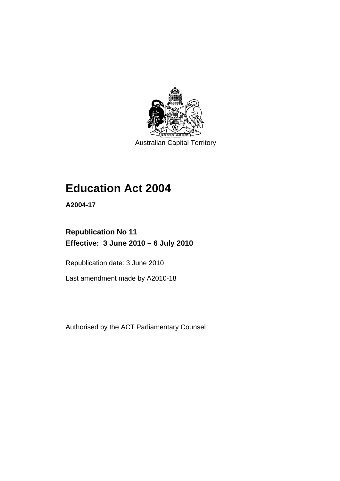

Australian Capital Territory

# **[Education Act 2004](#page-12-0)**

**A2004-17** 

## **Republication No 11 Effective: 3 June 2010 – 6 July 2010**

Republication date: 3 June 2010

Last amendment made by A2010-18

Authorised by the ACT Parliamentary Counsel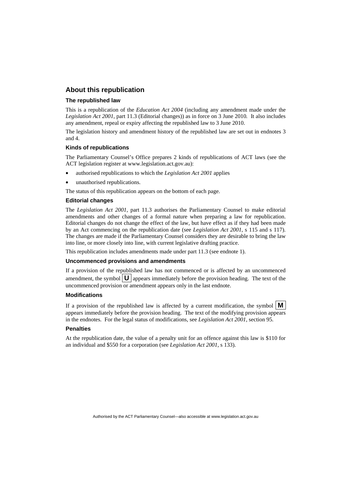#### **About this republication**

#### **The republished law**

This is a republication of the *Education Act 2004* (including any amendment made under the *Legislation Act 2001*, part 11.3 (Editorial changes)) as in force on 3 June 2010*.* It also includes any amendment, repeal or expiry affecting the republished law to 3 June 2010.

The legislation history and amendment history of the republished law are set out in endnotes 3 and 4.

#### **Kinds of republications**

The Parliamentary Counsel's Office prepares 2 kinds of republications of ACT laws (see the ACT legislation register at www.legislation.act.gov.au):

- authorised republications to which the *Legislation Act 2001* applies
- unauthorised republications.

The status of this republication appears on the bottom of each page.

#### **Editorial changes**

The *Legislation Act 2001*, part 11.3 authorises the Parliamentary Counsel to make editorial amendments and other changes of a formal nature when preparing a law for republication. Editorial changes do not change the effect of the law, but have effect as if they had been made by an Act commencing on the republication date (see *Legislation Act 2001*, s 115 and s 117). The changes are made if the Parliamentary Counsel considers they are desirable to bring the law into line, or more closely into line, with current legislative drafting practice.

This republication includes amendments made under part 11.3 (see endnote 1).

#### **Uncommenced provisions and amendments**

If a provision of the republished law has not commenced or is affected by an uncommenced amendment, the symbol  $\mathbf{U}$  appears immediately before the provision heading. The text of the uncommenced provision or amendment appears only in the last endnote.

#### **Modifications**

If a provision of the republished law is affected by a current modification, the symbol  $\mathbf{M}$ appears immediately before the provision heading. The text of the modifying provision appears in the endnotes. For the legal status of modifications, see *Legislation Act 2001*, section 95.

#### **Penalties**

At the republication date, the value of a penalty unit for an offence against this law is \$110 for an individual and \$550 for a corporation (see *Legislation Act 2001*, s 133).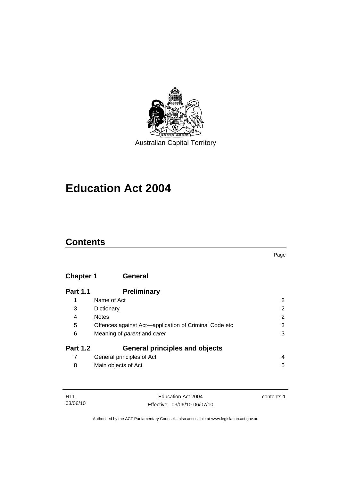

# **[Education Act 2004](#page-12-0)**

### **Contents**

### **Chapter 1 General**

| <b>Part 1.1</b> | <b>Preliminary</b>                                    |                |
|-----------------|-------------------------------------------------------|----------------|
| 1               | Name of Act                                           | 2              |
| 3               | Dictionary                                            | 2              |
| 4               | <b>Notes</b>                                          | $\overline{2}$ |
| 5               | Offences against Act-application of Criminal Code etc | 3              |
| 6               | Meaning of <i>parent</i> and <i>carer</i>             | 3              |
| <b>Part 1.2</b> | <b>General principles and objects</b>                 |                |
|                 | General principles of Act                             | 4              |
| 8               | Main objects of Act                                   | 5              |

| R11      | Education Act 2004           | contents 1 |
|----------|------------------------------|------------|
| 03/06/10 | Effective: 03/06/10-06/07/10 |            |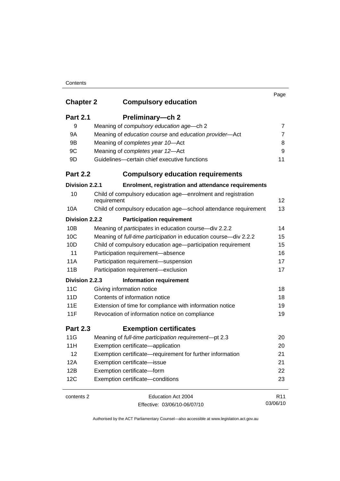#### **Contents**

|                  |                                                                             | Page            |
|------------------|-----------------------------------------------------------------------------|-----------------|
| <b>Chapter 2</b> | <b>Compulsory education</b>                                                 |                 |
| <b>Part 2.1</b>  | Preliminary-ch 2                                                            |                 |
| 9                | Meaning of compulsory education age-ch 2                                    | 7               |
| 9A               | Meaning of education course and education provider-Act                      | $\overline{7}$  |
| 9B               | Meaning of completes year 10-Act                                            | 8               |
| 9C               | Meaning of completes year 12-Act                                            | 9               |
| 9D               | Guidelines-certain chief executive functions                                | 11              |
| <b>Part 2.2</b>  | <b>Compulsory education requirements</b>                                    |                 |
| Division 2.2.1   | Enrolment, registration and attendance requirements                         |                 |
| 10               | Child of compulsory education age—enrolment and registration<br>requirement | 12              |
| 10A              | Child of compulsory education age-school attendance requirement             | 13              |
| Division 2.2.2   | <b>Participation requirement</b>                                            |                 |
| 10B              | Meaning of participates in education course-div 2.2.2                       | 14              |
| 10C              | Meaning of full-time participation in education course-div 2.2.2            | 15              |
| 10D              | Child of compulsory education age-participation requirement                 | 15              |
| 11               | Participation requirement-absence                                           | 16              |
| 11A              | Participation requirement-suspension                                        | 17              |
| 11B              | Participation requirement-exclusion                                         | 17              |
| Division 2.2.3   | <b>Information requirement</b>                                              |                 |
| 11C              | Giving information notice                                                   | 18              |
| 11D              | Contents of information notice                                              | 18              |
| 11E              | Extension of time for compliance with information notice                    | 19              |
| 11F              | Revocation of information notice on compliance                              | 19              |
| <b>Part 2.3</b>  | <b>Exemption certificates</b>                                               |                 |
| 11G              | Meaning of full-time participation requirement-pt 2.3                       | 20              |
| 11H              | Exemption certificate-application                                           | 20              |
| 12               | Exemption certificate—requirement for further information                   | 21              |
| 12A              | Exemption certificate-issue                                                 | 21              |
| 12B              | Exemption certificate-form                                                  | 22              |
| 12C              | Exemption certificate-conditions                                            | 23              |
| contents 2       | Education Act 2004                                                          | R <sub>11</sub> |
|                  | Effective: 03/06/10-06/07/10                                                | 03/06/10        |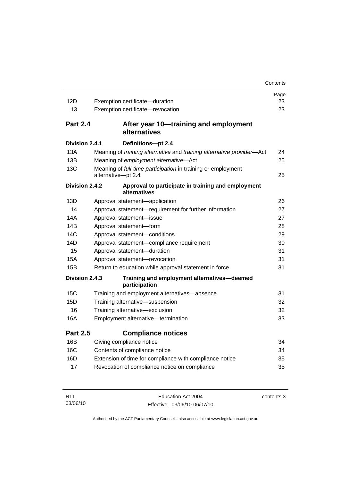|                 |                                                                                    | Contents |
|-----------------|------------------------------------------------------------------------------------|----------|
|                 |                                                                                    | Page     |
| 12D             | Exemption certificate-duration                                                     | 23       |
| 13              | Exemption certificate-revocation                                                   | 23       |
| <b>Part 2.4</b> | After year 10—training and employment<br>alternatives                              |          |
| Division 2.4.1  | Definitions-pt 2.4                                                                 |          |
| 13A             | Meaning of training alternative and training alternative provider-Act              | 24       |
| 13B             | Meaning of employment alternative-Act                                              | 25       |
| 13C             | Meaning of full-time participation in training or employment<br>alternative-pt 2.4 | 25       |
| Division 2.4.2  | Approval to participate in training and employment<br>alternatives                 |          |
| 13D             | Approval statement-application                                                     | 26       |
| 14              | Approval statement-requirement for further information                             | 27       |
| 14A             | Approval statement-issue                                                           | 27       |
| 14B             | Approval statement-form                                                            | 28       |
| 14C             | Approval statement-conditions                                                      | 29       |
| 14D             | Approval statement-compliance requirement                                          | 30       |
| 15              | Approval statement-duration                                                        | 31       |
| 15A             | Approval statement-revocation                                                      | 31       |
| 15B             | Return to education while approval statement in force                              | 31       |
| Division 2.4.3  | Training and employment alternatives-deemed<br>participation                       |          |
| 15C             | Training and employment alternatives-absence                                       | 31       |
| 15D             | Training alternative-suspension                                                    | 32       |
| 16              | Training alternative-exclusion                                                     | 32       |
| 16A             | Employment alternative-termination                                                 | 33       |
| <b>Part 2.5</b> | <b>Compliance notices</b>                                                          |          |
| 16B             | Giving compliance notice                                                           | 34       |
| 16C             | Contents of compliance notice                                                      | 34       |
| 16D             | Extension of time for compliance with compliance notice                            | 35       |
| 17              | Revocation of compliance notice on compliance                                      | 35       |

| R11      | Education Act 2004           | contents 3 |
|----------|------------------------------|------------|
| 03/06/10 | Effective: 03/06/10-06/07/10 |            |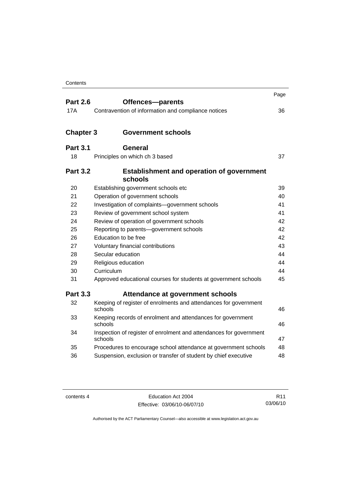|                  |                                                                               | Page |
|------------------|-------------------------------------------------------------------------------|------|
| <b>Part 2.6</b>  | Offences-parents                                                              |      |
| 17A              | Contravention of information and compliance notices                           | 36   |
| <b>Chapter 3</b> | <b>Government schools</b>                                                     |      |
|                  |                                                                               |      |
| <b>Part 3.1</b>  | General                                                                       |      |
| 18               | Principles on which ch 3 based                                                | 37   |
| <b>Part 3.2</b>  | <b>Establishment and operation of government</b><br>schools                   |      |
| 20               | Establishing government schools etc                                           | 39   |
| 21               | Operation of government schools                                               | 40   |
| 22               | Investigation of complaints-government schools                                | 41   |
| 23               | Review of government school system                                            | 41   |
| 24               | Review of operation of government schools                                     | 42   |
| 25               | Reporting to parents-government schools                                       | 42   |
| 26               | Education to be free                                                          | 42   |
| 27               | Voluntary financial contributions                                             | 43   |
| 28               | Secular education                                                             | 44   |
| 29               | Religious education                                                           | 44   |
| 30               | Curriculum                                                                    | 44   |
| 31               | Approved educational courses for students at government schools               | 45   |
| <b>Part 3.3</b>  | Attendance at government schools                                              |      |
| 32               | Keeping of register of enrolments and attendances for government<br>schools   | 46   |
| 33               | Keeping records of enrolment and attendances for government<br>schools        | 46   |
| 34               | Inspection of register of enrolment and attendances for government<br>schools | 47   |
| 35               | Procedures to encourage school attendance at government schools               | 48   |
| 36               | Suspension, exclusion or transfer of student by chief executive               | 48   |

| contents 4 |  |
|------------|--|
|------------|--|

Education Act 2004 Effective: 03/06/10-06/07/10

R11 03/06/10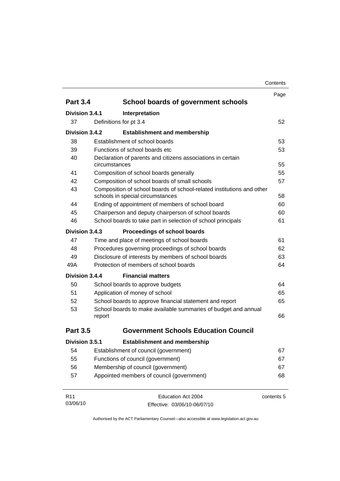| Contents |
|----------|
|----------|

|                             |                                           |                                                                                                           | Page       |
|-----------------------------|-------------------------------------------|-----------------------------------------------------------------------------------------------------------|------------|
| <b>Part 3.4</b>             |                                           | School boards of government schools                                                                       |            |
| Division 3.4.1              |                                           | Interpretation                                                                                            |            |
| 37                          | Definitions for pt 3.4                    |                                                                                                           | 52         |
| Division 3.4.2              |                                           | <b>Establishment and membership</b>                                                                       |            |
| 38                          |                                           | Establishment of school boards                                                                            | 53         |
| 39                          |                                           | Functions of school boards etc.                                                                           | 53         |
| 40                          | circumstances                             | Declaration of parents and citizens associations in certain                                               | 55         |
| 41                          |                                           | Composition of school boards generally                                                                    | 55         |
| 42                          |                                           | Composition of school boards of small schools                                                             | 57         |
| 43                          |                                           | Composition of school boards of school-related institutions and other<br>schools in special circumstances | 58         |
| 44                          |                                           | Ending of appointment of members of school board                                                          | 60         |
| 45                          |                                           | Chairperson and deputy chairperson of school boards                                                       | 60         |
| 46                          |                                           | School boards to take part in selection of school principals                                              | 61         |
| Division 3.4.3              |                                           | Proceedings of school boards                                                                              |            |
| 47                          |                                           | Time and place of meetings of school boards                                                               | 61         |
| 48                          |                                           | Procedures governing proceedings of school boards                                                         | 62         |
| 49                          |                                           | Disclosure of interests by members of school boards                                                       | 63         |
| 49A                         |                                           | Protection of members of school boards                                                                    | 64         |
| Division 3.4.4              |                                           | <b>Financial matters</b>                                                                                  |            |
| 50                          |                                           | School boards to approve budgets                                                                          | 64         |
| 51                          |                                           | Application of money of school                                                                            | 65         |
| 52                          |                                           | School boards to approve financial statement and report                                                   | 65         |
| 53                          | report                                    | School boards to make available summaries of budget and annual                                            | 66         |
| <b>Part 3.5</b>             |                                           | <b>Government Schools Education Council</b>                                                               |            |
| Division 3.5.1              |                                           | <b>Establishment and membership</b>                                                                       |            |
| 54                          |                                           | Establishment of council (government)                                                                     | 67         |
| 55                          |                                           | Functions of council (government)                                                                         | 67         |
| 56                          |                                           | Membership of council (government)                                                                        | 67         |
| 57                          | Appointed members of council (government) |                                                                                                           |            |
| R <sub>11</sub><br>03/06/10 |                                           | Education Act 2004<br>Effective: 03/06/10-06/07/10                                                        | contents 5 |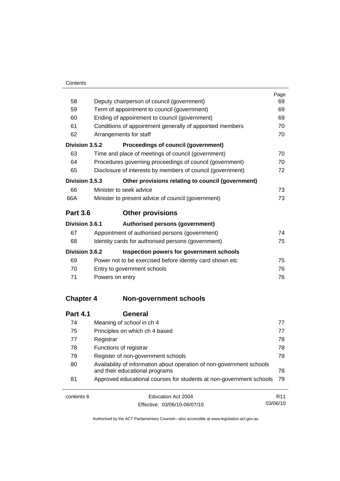L.

|                  |                                                                       | Page |  |
|------------------|-----------------------------------------------------------------------|------|--|
| 58               | Deputy chairperson of council (government)                            |      |  |
| 59               | Term of appointment to council (government)                           |      |  |
| 60               | Ending of appointment to council (government)                         |      |  |
| 61               | Conditions of appointment generally of appointed members              | 70   |  |
| 62               | Arrangements for staff                                                | 70   |  |
| Division 3.5.2   | Proceedings of council (government)                                   |      |  |
| 63               | Time and place of meetings of council (government)                    | 70   |  |
| 64               | Procedures governing proceedings of council (government)              | 70   |  |
| 65               | Disclosure of interests by members of council (government)            | 72   |  |
| Division 3.5.3   | Other provisions relating to council (government)                     |      |  |
| 66               | Minister to seek advice                                               | 73   |  |
| 66A              | Minister to present advice of council (government)                    | 73   |  |
| <b>Part 3.6</b>  | <b>Other provisions</b>                                               |      |  |
| Division 3.6.1   | Authorised persons (government)                                       |      |  |
| 67               | Appointment of authorised persons (government)                        | 74   |  |
| 68               | Identity cards for authorised persons (government)                    | 75   |  |
| Division 3.6.2   | Inspection powers for government schools                              |      |  |
| 69               | Power not to be exercised before identity card shown etc              | 75   |  |
| 70               | Entry to government schools                                           | 76   |  |
| 71               | Powers on entry                                                       | 76   |  |
| <b>Chapter 4</b> | <b>Non-government schools</b>                                         |      |  |
| <b>Part 4.1</b>  | <b>General</b>                                                        |      |  |
| 74               | Meaning of school in ch 4                                             | 77   |  |
| 75               | Principles on which ch 4 based                                        | 77   |  |
| 77               | Registrar                                                             | 78   |  |
| 78               | Functions of registrar                                                | 78   |  |
| 79               | Register of non-government schools                                    | 78   |  |
| 80               | Availability of information about operation of non-government schools |      |  |

| contents 6 | Education Act 2004                                                                                        | R <sub>11</sub> |
|------------|-----------------------------------------------------------------------------------------------------------|-----------------|
| 81         | Approved educational courses for students at non-government schools 79                                    |                 |
| οU         | Availability of implifiation about operation of non-government scribble<br>and their educational programs |                 |

Effective: 03/06/10-06/07/10

R11 03/06/10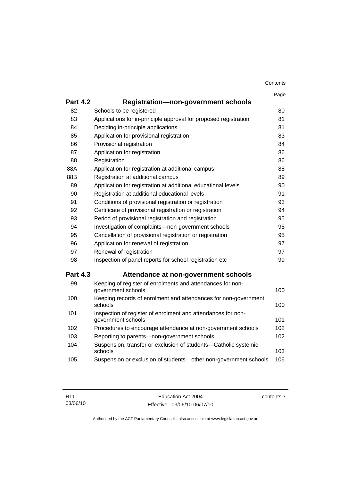| Contents |
|----------|
|----------|

|                 |                                                                                    | Page |
|-----------------|------------------------------------------------------------------------------------|------|
| <b>Part 4.2</b> | <b>Registration-non-government schools</b>                                         |      |
| 82              | Schools to be registered                                                           | 80   |
| 83              | Applications for in-principle approval for proposed registration                   | 81   |
| 84              | Deciding in-principle applications                                                 | 81   |
| 85              | Application for provisional registration                                           | 83   |
| 86              | Provisional registration                                                           | 84   |
| 87              | Application for registration                                                       | 86   |
| 88              | Registration                                                                       | 86   |
| 88A             | Application for registration at additional campus                                  | 88   |
| 88B             | Registration at additional campus                                                  | 89   |
| 89              | Application for registration at additional educational levels                      | 90   |
| 90              | Registration at additional educational levels                                      | 91   |
| 91              | Conditions of provisional registration or registration                             | 93   |
| 92              | Certificate of provisional registration or registration                            |      |
| 93              | Period of provisional registration and registration                                |      |
| 94              | Investigation of complaints-non-government schools                                 | 95   |
| 95              | Cancellation of provisional registration or registration                           | 95   |
| 96              | Application for renewal of registration                                            | 97   |
| 97              | Renewal of registration                                                            | 97   |
| 98              | Inspection of panel reports for school registration etc                            | 99   |
| <b>Part 4.3</b> | Attendance at non-government schools                                               |      |
| 99              | Keeping of register of enrolments and attendances for non-<br>government schools   | 100  |
| 100             | Keeping records of enrolment and attendances for non-government<br>schools         | 100  |
| 101             | Inspection of register of enrolment and attendances for non-<br>government schools | 101  |
| 102             | Procedures to encourage attendance at non-government schools                       | 102  |
| 103             | Reporting to parents-non-government schools                                        | 102  |
| 104             | Suspension, transfer or exclusion of students-Catholic systemic<br>schools         | 103  |
| 105             | Suspension or exclusion of students-other non-government schools                   | 106  |

contents 7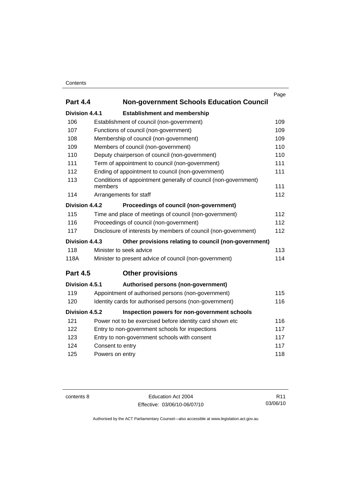#### **Contents**

|                 |                                                                 | Page |
|-----------------|-----------------------------------------------------------------|------|
| <b>Part 4.4</b> | <b>Non-government Schools Education Council</b>                 |      |
| Division 4.4.1  | <b>Establishment and membership</b>                             |      |
| 106             | Establishment of council (non-government)                       | 109  |
| 107             | Functions of council (non-government)                           | 109  |
| 108             | Membership of council (non-government)                          | 109  |
| 109             | Members of council (non-government)                             | 110  |
| 110             | Deputy chairperson of council (non-government)                  | 110  |
| 111             | Term of appointment to council (non-government)                 | 111  |
| 112             | Ending of appointment to council (non-government)               | 111  |
| 113             | Conditions of appointment generally of council (non-government) |      |
|                 | members                                                         | 111  |
| 114             | Arrangements for staff                                          | 112  |
| Division 4.4.2  | Proceedings of council (non-government)                         |      |
| 115             | Time and place of meetings of council (non-government)          |      |
| 116             | Proceedings of council (non-government)                         | 112  |
| 117             | Disclosure of interests by members of council (non-government)  | 112  |
| Division 4.4.3  | Other provisions relating to council (non-government)           |      |
| 118             | Minister to seek advice                                         | 113  |
| 118A            | 114<br>Minister to present advice of council (non-government)   |      |
| <b>Part 4.5</b> | <b>Other provisions</b>                                         |      |
| Division 4.5.1  | Authorised persons (non-government)                             |      |
| 119             | Appointment of authorised persons (non-government)              | 115  |
| 120             | Identity cards for authorised persons (non-government)          | 116  |
| Division 4.5.2  | Inspection powers for non-government schools                    |      |
| 121             | Power not to be exercised before identity card shown etc        | 116  |
| 122             | Entry to non-government schools for inspections<br>117          |      |
| 123             | Entry to non-government schools with consent<br>117             |      |
| 124             | 117<br>Consent to entry                                         |      |
| 125             | Powers on entry                                                 | 118  |
|                 |                                                                 |      |

contents 8 Education Act 2004 Effective: 03/06/10-06/07/10

R11 03/06/10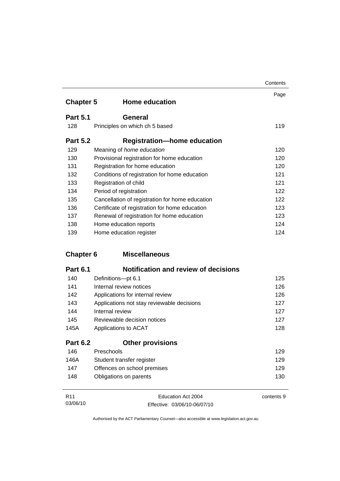|                  |                                                 | Contents |
|------------------|-------------------------------------------------|----------|
| <b>Chapter 5</b> | <b>Home education</b>                           | Page     |
| <b>Part 5.1</b>  | <b>General</b>                                  |          |
| 128              | Principles on which ch 5 based                  | 119      |
| <b>Part 5.2</b>  | <b>Registration-home education</b>              |          |
| 129              | Meaning of <i>home education</i>                | 120      |
| 130              | Provisional registration for home education     | 120      |
| 131              | Registration for home education                 | 120      |
| 132              | Conditions of registration for home education   | 121      |
| 133              | Registration of child                           | 121      |
| 134              | Period of registration                          | 122      |
| 135              | Cancellation of registration for home education | 122      |
| 136              | Certificate of registration for home education  | 123      |
| 137              | Renewal of registration for home education      | 123      |
| 138              | Home education reports                          | 124      |
| 139              | Home education register                         | 124      |

### **Chapter 6 Miscellaneous**

| <b>Part 6.1</b> | <b>Notification and review of decisions</b> |     |
|-----------------|---------------------------------------------|-----|
| 140             | Definitions-pt 6.1                          | 125 |
| 141             | Internal review notices                     | 126 |
| 142             | Applications for internal review            | 126 |
| 143             | Applications not stay reviewable decisions  | 127 |
| 144             | Internal review                             | 127 |
| 145             | Reviewable decision notices                 | 127 |
| 145A            | Applications to ACAT                        | 128 |
| <b>Part 6.2</b> | <b>Other provisions</b>                     |     |
| 146             | Preschools                                  | 129 |
| 146A            | Student transfer register                   | 129 |
| 147             | Offences on school premises                 | 129 |
| 148             | Obligations on parents                      | 130 |
|                 |                                             |     |

| R11      | Education Act 2004           | contents 9 |
|----------|------------------------------|------------|
| 03/06/10 | Effective: 03/06/10-06/07/10 |            |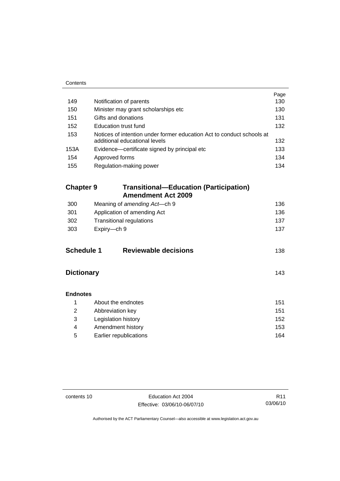| Contents          |                                                                                                        |      |
|-------------------|--------------------------------------------------------------------------------------------------------|------|
|                   |                                                                                                        | Page |
| 149               | Notification of parents                                                                                | 130  |
| 150               | Minister may grant scholarships etc                                                                    | 130  |
| 151               | Gifts and donations                                                                                    | 131  |
| 152               | <b>Education trust fund</b>                                                                            | 132  |
| 153               | Notices of intention under former education Act to conduct schools at<br>additional educational levels | 132  |
| 153A              | Evidence-certificate signed by principal etc                                                           | 133  |
| 154               | Approved forms                                                                                         | 134  |
| 155               | Regulation-making power                                                                                | 134  |
| <b>Chapter 9</b>  | <b>Transitional—Education (Participation)</b><br><b>Amendment Act 2009</b>                             |      |
| 300               |                                                                                                        | 136  |
| 301               | Meaning of amending Act-ch 9                                                                           | 136  |
| 302               | Application of amending Act                                                                            |      |
| 303               | <b>Transitional regulations</b><br>137<br>Expiry-ch 9                                                  |      |
|                   |                                                                                                        | 137  |
| <b>Schedule 1</b> | <b>Reviewable decisions</b>                                                                            | 138  |
| <b>Dictionary</b> |                                                                                                        | 143  |
| <b>Endnotes</b>   |                                                                                                        |      |
| 1                 | About the endnotes                                                                                     | 151  |
| $\overline{2}$    | Abbreviation key                                                                                       | 151  |
| 3                 | Legislation history                                                                                    | 152  |
| 4                 | Amendment history                                                                                      | 153  |
| 5                 | Earlier republications                                                                                 | 164  |

 $\mathbf{r}$ 

contents 10 Education Act 2004 Effective: 03/06/10-06/07/10

R11 03/06/10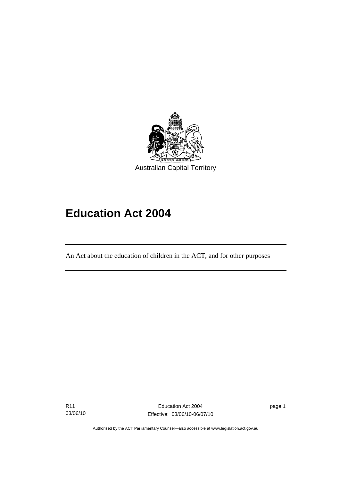<span id="page-12-0"></span>

# **Education Act 2004**

An Act about the education of children in the ACT, and for other purposes

R11 03/06/10

I

page 1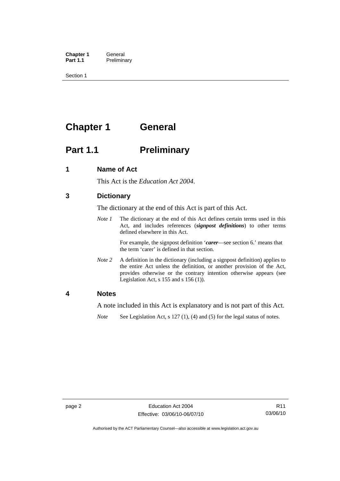<span id="page-13-0"></span>**Chapter 1 General**<br>**Part 1.1 Prelimina Preliminary** 

Section 1

### **Chapter 1 General**

### **Part 1.1** Preliminary

#### **1 Name of Act**

This Act is the *Education Act 2004*.

#### **3 Dictionary**

The dictionary at the end of this Act is part of this Act.

*Note 1* The dictionary at the end of this Act defines certain terms used in this Act, and includes references (*signpost definitions*) to other terms defined elsewhere in this Act.

> For example, the signpost definition '*carer*—see section 6.' means that the term 'carer' is defined in that section.

*Note 2* A definition in the dictionary (including a signpost definition) applies to the entire Act unless the definition, or another provision of the Act, provides otherwise or the contrary intention otherwise appears (see Legislation Act,  $s$  155 and  $s$  156 (1)).

#### **4 Notes**

A note included in this Act is explanatory and is not part of this Act.

*Note* See Legislation Act, s 127 (1), (4) and (5) for the legal status of notes.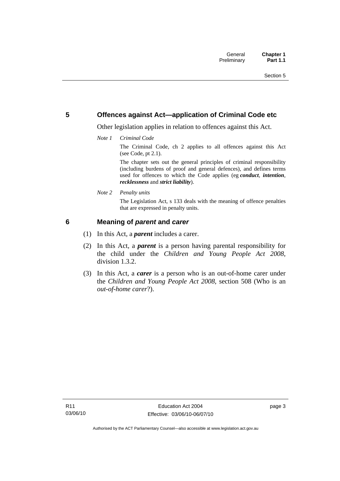#### <span id="page-14-0"></span>**5 Offences against Act—application of Criminal Code etc**

Other legislation applies in relation to offences against this Act.

*Note 1 Criminal Code*

The Criminal Code, ch 2 applies to all offences against this Act (see Code, pt 2.1).

The chapter sets out the general principles of criminal responsibility (including burdens of proof and general defences), and defines terms used for offences to which the Code applies (eg *conduct*, *intention*, *recklessness* and *strict liability*).

*Note 2 Penalty units* 

The Legislation Act, s 133 deals with the meaning of offence penalties that are expressed in penalty units.

#### **6 Meaning of** *parent* **and** *carer*

- (1) In this Act, a *parent* includes a carer.
- (2) In this Act, a *parent* is a person having parental responsibility for the child under the *Children and Young People Act 2008*, division 1.3.2.
- (3) In this Act, a *carer* is a person who is an out-of-home carer under the *Children and Young People Act 2008*, section 508 (Who is an *out-of-home carer*?).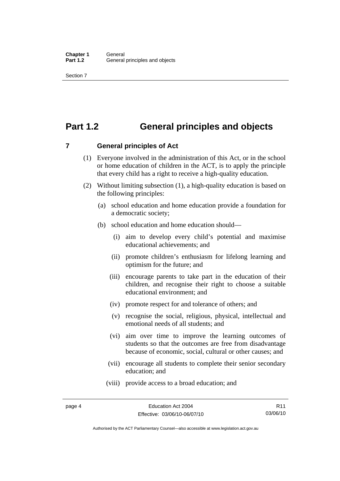### <span id="page-15-0"></span>**Part 1.2 General principles and objects**

**7 General principles of Act** 

- (1) Everyone involved in the administration of this Act, or in the school or home education of children in the ACT, is to apply the principle that every child has a right to receive a high-quality education.
- (2) Without limiting subsection (1), a high-quality education is based on the following principles:
	- (a) school education and home education provide a foundation for a democratic society;
	- (b) school education and home education should—
		- (i) aim to develop every child's potential and maximise educational achievements; and
		- (ii) promote children's enthusiasm for lifelong learning and optimism for the future; and
		- (iii) encourage parents to take part in the education of their children, and recognise their right to choose a suitable educational environment; and
		- (iv) promote respect for and tolerance of others; and
		- (v) recognise the social, religious, physical, intellectual and emotional needs of all students; and
		- (vi) aim over time to improve the learning outcomes of students so that the outcomes are free from disadvantage because of economic, social, cultural or other causes; and
		- (vii) encourage all students to complete their senior secondary education; and
		- (viii) provide access to a broad education; and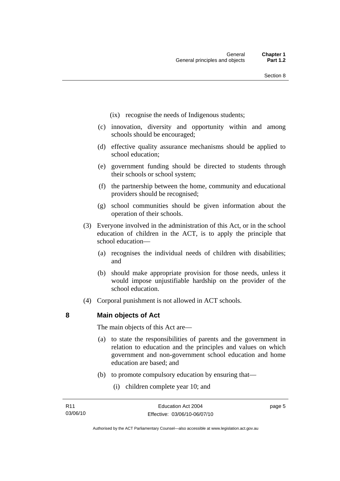- <span id="page-16-0"></span>(ix) recognise the needs of Indigenous students;
- (c) innovation, diversity and opportunity within and among schools should be encouraged;
- (d) effective quality assurance mechanisms should be applied to school education;
- (e) government funding should be directed to students through their schools or school system;
- (f) the partnership between the home, community and educational providers should be recognised;
- (g) school communities should be given information about the operation of their schools.
- (3) Everyone involved in the administration of this Act, or in the school education of children in the ACT, is to apply the principle that school education—
	- (a) recognises the individual needs of children with disabilities; and
	- (b) should make appropriate provision for those needs, unless it would impose unjustifiable hardship on the provider of the school education.
- (4) Corporal punishment is not allowed in ACT schools.

**8 Main objects of Act** 

The main objects of this Act are—

- (a) to state the responsibilities of parents and the government in relation to education and the principles and values on which government and non-government school education and home education are based; and
- (b) to promote compulsory education by ensuring that—
	- (i) children complete year 10; and

page 5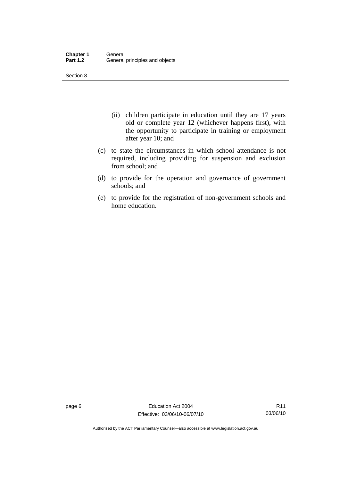Section 8

- (ii) children participate in education until they are 17 years old or complete year 12 (whichever happens first), with the opportunity to participate in training or employment after year 10; and
- (c) to state the circumstances in which school attendance is not required, including providing for suspension and exclusion from school; and
- (d) to provide for the operation and governance of government schools; and
- (e) to provide for the registration of non-government schools and home education.

page 6 **Education Act 2004** Effective: 03/06/10-06/07/10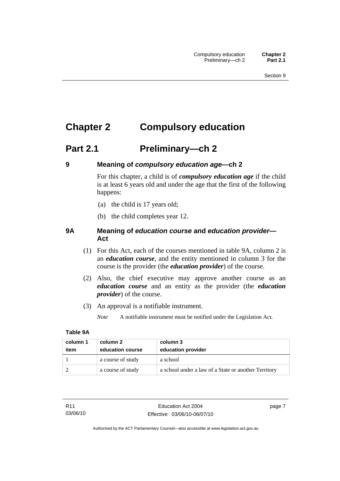### <span id="page-18-0"></span>**Chapter 2 Compulsory education**

### **Part 2.1 Preliminary—ch 2**

#### **9 Meaning of** *compulsory education age***—ch 2**

For this chapter, a child is of *compulsory education age* if the child is at least 6 years old and under the age that the first of the following happens:

- (a) the child is 17 years old;
- (b) the child completes year 12.

#### **9A Meaning of** *education course* **and** *education provider***— Act**

- (1) For this Act, each of the courses mentioned in table 9A, column 2 is an *education course*, and the entity mentioned in column 3 for the course is the provider (the *education provider*) of the course.
- (2) Also, the chief executive may approve another course as an *education course* and an entity as the provider (the *education provider*) of the course.
- (3) An approval is a notifiable instrument.

*Note* A notifiable instrument must be notified under the Legislation Act.

#### **Table 9A**

| column 1<br>item | column 2<br>education course | column 3<br>education provider                       |
|------------------|------------------------------|------------------------------------------------------|
|                  | a course of study            | a school                                             |
|                  | a course of study            | a school under a law of a State or another Territory |

page 7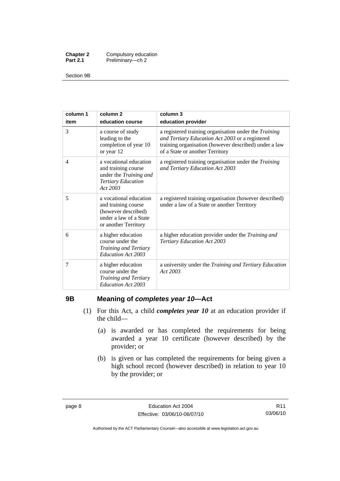<span id="page-19-0"></span>

| <b>Chapter 2</b> | Compulsory education |
|------------------|----------------------|
| <b>Part 2.1</b>  | Preliminary-ch 2     |

Section 9B

| column 1 | column <sub>2</sub>                                                                                                    | column 3                                                                                                                                                                                                    |
|----------|------------------------------------------------------------------------------------------------------------------------|-------------------------------------------------------------------------------------------------------------------------------------------------------------------------------------------------------------|
| item     | education course                                                                                                       | education provider                                                                                                                                                                                          |
| 3        | a course of study<br>leading to the<br>completion of year 10<br>or year 12                                             | a registered training organisation under the <i>Training</i><br>and Tertiary Education Act 2003 or a registered<br>training organisation (however described) under a law<br>of a State or another Territory |
| 4        | a vocational education<br>and training course<br>under the Training and<br><b>Tertiary Education</b><br>Act 2003       | a registered training organisation under the <i>Training</i><br>and Tertiary Education Act 2003                                                                                                             |
| 5        | a vocational education<br>and training course<br>(however described)<br>under a law of a State<br>or another Territory | a registered training organisation (however described)<br>under a law of a State or another Territory                                                                                                       |
| 6        | a higher education<br>course under the<br>Training and Tertiary<br>Education Act 2003                                  | a higher education provider under the Training and<br>Tertiary Education Act 2003                                                                                                                           |
| 7        | a higher education<br>course under the<br>Training and Tertiary<br>Education Act 2003                                  | a university under the Training and Tertiary Education<br>Act 2003                                                                                                                                          |

### **9B Meaning of** *completes year 10***—Act**

- (1) For this Act, a child *completes year 10* at an education provider if the child—
	- (a) is awarded or has completed the requirements for being awarded a year 10 certificate (however described) by the provider; or
	- (b) is given or has completed the requirements for being given a high school record (however described) in relation to year 10 by the provider; or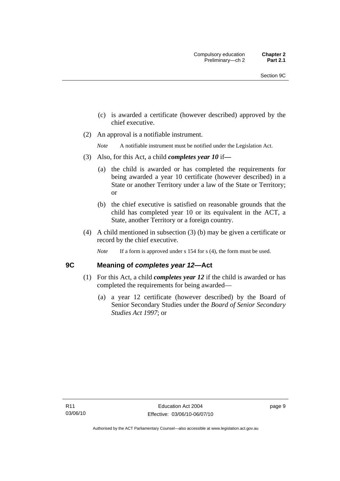- <span id="page-20-0"></span> (c) is awarded a certificate (however described) approved by the chief executive.
- (2) An approval is a notifiable instrument.

*Note* A notifiable instrument must be notified under the Legislation Act.

- (3) Also, for this Act, a child *completes year 10* if*—*
	- (a) the child is awarded or has completed the requirements for being awarded a year 10 certificate (however described) in a State or another Territory under a law of the State or Territory; or
	- (b) the chief executive is satisfied on reasonable grounds that the child has completed year 10 or its equivalent in the ACT, a State, another Territory or a foreign country.
- (4) A child mentioned in subsection (3) (b) may be given a certificate or record by the chief executive.
	- *Note* If a form is approved under s 154 for s (4), the form must be used.

#### **9C Meaning of** *completes year 12***—Act**

- (1) For this Act, a child *completes year 12* if the child is awarded or has completed the requirements for being awarded—
	- (a) a year 12 certificate (however described) by the Board of Senior Secondary Studies under the *Board of Senior Secondary Studies Act 1997*; or

page 9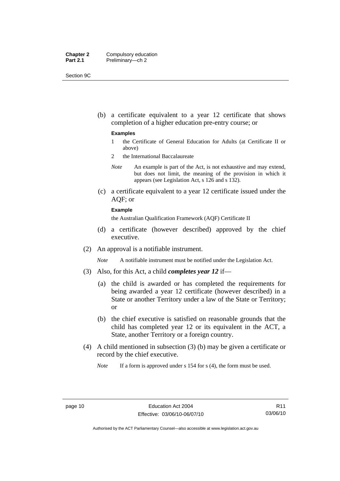| <b>Chapter 2</b> | Compulsory education |
|------------------|----------------------|
| <b>Part 2.1</b>  | Preliminary-ch 2     |

Section 9C

 (b) a certificate equivalent to a year 12 certificate that shows completion of a higher education pre-entry course; or

#### **Examples**

- 1 the Certificate of General Education for Adults (at Certificate II or above)
- 2 the International Baccalaureate
- *Note* An example is part of the Act, is not exhaustive and may extend, but does not limit, the meaning of the provision in which it appears (see Legislation Act, s 126 and s 132).
- (c) a certificate equivalent to a year 12 certificate issued under the AQF; or

#### **Example**

the Australian Qualification Framework (AQF) Certificate II

- (d) a certificate (however described) approved by the chief executive.
- (2) An approval is a notifiable instrument.

*Note* A notifiable instrument must be notified under the Legislation Act.

- (3) Also, for this Act, a child *completes year 12* if—
	- (a) the child is awarded or has completed the requirements for being awarded a year 12 certificate (however described) in a State or another Territory under a law of the State or Territory; or
	- (b) the chief executive is satisfied on reasonable grounds that the child has completed year 12 or its equivalent in the ACT, a State, another Territory or a foreign country.
- (4) A child mentioned in subsection (3) (b) may be given a certificate or record by the chief executive.

*Note* If a form is approved under s 154 for s (4), the form must be used.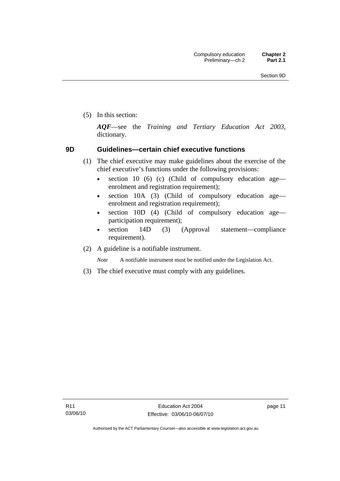<span id="page-22-0"></span>(5) In this section:

*AQF*—see the *Training and Tertiary Education Act 2003*, dictionary.

#### **9D Guidelines—certain chief executive functions**

- (1) The chief executive may make guidelines about the exercise of the chief executive's functions under the following provisions:
	- section 10 (6) (c) (Child of compulsory education age enrolment and registration requirement);
	- section 10A (3) (Child of compulsory education age enrolment and registration requirement);
	- section 10D (4) (Child of compulsory education age participation requirement);
	- section 14D (3) (Approval statement—compliance requirement).
- (2) A guideline is a notifiable instrument.

*Note* A notifiable instrument must be notified under the Legislation Act.

(3) The chief executive must comply with any guidelines.

page 11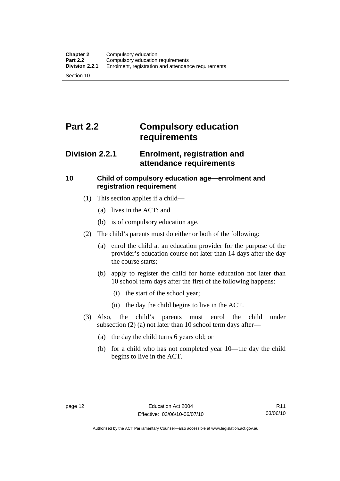### <span id="page-23-0"></span>**Part 2.2 Compulsory education requirements**

### **Division 2.2.1 Enrolment, registration and attendance requirements**

### **10 Child of compulsory education age—enrolment and registration requirement**

- (1) This section applies if a child—
	- (a) lives in the ACT; and
	- (b) is of compulsory education age.
- (2) The child's parents must do either or both of the following:
	- (a) enrol the child at an education provider for the purpose of the provider's education course not later than 14 days after the day the course starts;
	- (b) apply to register the child for home education not later than 10 school term days after the first of the following happens:
		- (i) the start of the school year;
		- (ii) the day the child begins to live in the ACT.
- (3) Also, the child's parents must enrol the child under subsection (2) (a) not later than 10 school term days after—
	- (a) the day the child turns 6 years old; or
	- (b) for a child who has not completed year 10—the day the child begins to live in the ACT.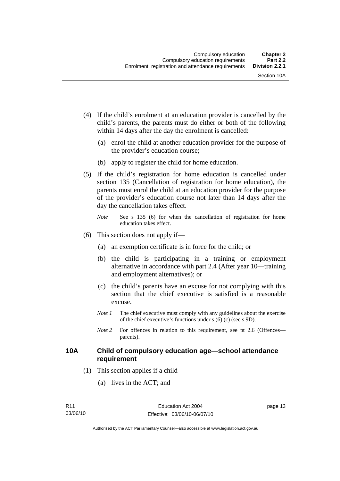- <span id="page-24-0"></span> (4) If the child's enrolment at an education provider is cancelled by the child's parents, the parents must do either or both of the following within 14 days after the day the enrolment is cancelled:
	- (a) enrol the child at another education provider for the purpose of the provider's education course;
	- (b) apply to register the child for home education.
- (5) If the child's registration for home education is cancelled under section 135 (Cancellation of registration for home education), the parents must enrol the child at an education provider for the purpose of the provider's education course not later than 14 days after the day the cancellation takes effect.
	- *Note* See s 135 (6) for when the cancellation of registration for home education takes effect.
- (6) This section does not apply if—
	- (a) an exemption certificate is in force for the child; or
	- (b) the child is participating in a training or employment alternative in accordance with part 2.4 (After year 10—training and employment alternatives); or
	- (c) the child's parents have an excuse for not complying with this section that the chief executive is satisfied is a reasonable excuse.
	- *Note 1* The chief executive must comply with any guidelines about the exercise of the chief executive's functions under s (6) (c) (see s 9D).
	- *Note* 2 For offences in relation to this requirement, see pt 2.6 (Offences parents).

#### **10A Child of compulsory education age—school attendance requirement**

- (1) This section applies if a child—
	- (a) lives in the ACT; and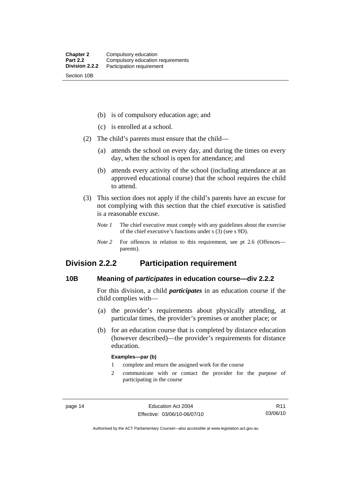<span id="page-25-0"></span>(b) is of compulsory education age; and

- (c) is enrolled at a school.
- (2) The child's parents must ensure that the child—
	- (a) attends the school on every day, and during the times on every day, when the school is open for attendance; and
	- (b) attends every activity of the school (including attendance at an approved educational course) that the school requires the child to attend.
- (3) This section does not apply if the child's parents have an excuse for not complying with this section that the chief executive is satisfied is a reasonable excuse.
	- *Note 1* The chief executive must comply with any guidelines about the exercise of the chief executive's functions under s (3) (see s 9D).
	- *Note* 2 For offences in relation to this requirement, see pt 2.6 (Offences parents).

### **Division 2.2.2 Participation requirement**

#### **10B Meaning of** *participates* **in education course—div 2.2.2**

For this division, a child *participates* in an education course if the child complies with—

- (a) the provider's requirements about physically attending, at particular times, the provider's premises or another place; or
- (b) for an education course that is completed by distance education (however described)—the provider's requirements for distance education.

#### **Examples—par (b)**

- 1 complete and return the assigned work for the course
- 2 communicate with or contact the provider for the purpose of participating in the course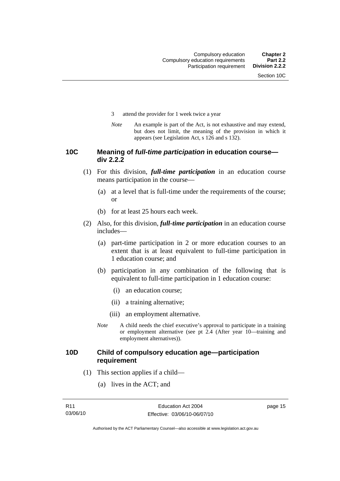- <span id="page-26-0"></span>3 attend the provider for 1 week twice a year
- *Note* An example is part of the Act, is not exhaustive and may extend, but does not limit, the meaning of the provision in which it appears (see Legislation Act, s 126 and s 132).

#### **10C Meaning of** *full-time participation* **in education course div 2.2.2**

- (1) For this division, *full-time participation* in an education course means participation in the course—
	- (a) at a level that is full-time under the requirements of the course; or
	- (b) for at least 25 hours each week.
- (2) Also, for this division, *full-time participation* in an education course includes—
	- (a) part-time participation in 2 or more education courses to an extent that is at least equivalent to full-time participation in 1 education course; and
	- (b) participation in any combination of the following that is equivalent to full-time participation in 1 education course:
		- (i) an education course;
		- (ii) a training alternative;
		- (iii) an employment alternative.
	- *Note* A child needs the chief executive's approval to participate in a training or employment alternative (see pt 2.4 (After year 10—training and employment alternatives)).

#### **10D Child of compulsory education age—participation requirement**

- (1) This section applies if a child—
	- (a) lives in the ACT; and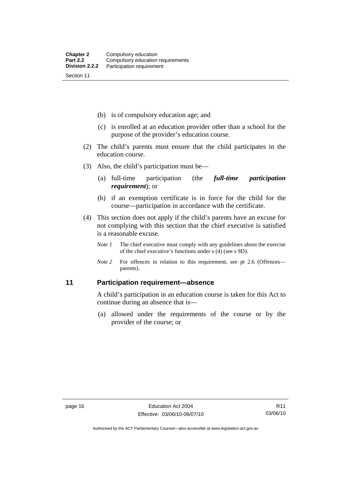<span id="page-27-0"></span>(b) is of compulsory education age; and

- (c) is enrolled at an education provider other than a school for the purpose of the provider's education course.
- (2) The child's parents must ensure that the child participates in the education course.
- (3) Also, the child's participation must be—
	- (a) full-time participation (the *full-time participation requirement*); or
	- (b) if an exemption certificate is in force for the child for the course—participation in accordance with the certificate.
- (4) This section does not apply if the child's parents have an excuse for not complying with this section that the chief executive is satisfied is a reasonable excuse.
	- *Note 1* The chief executive must comply with any guidelines about the exercise of the chief executive's functions under s (4) (see s 9D).
	- *Note 2* For offences in relation to this requirement, see pt 2.6 (Offences parents).

#### **11 Participation requirement—absence**

A child's participation in an education course is taken for this Act to continue during an absence that is—

 (a) allowed under the requirements of the course or by the provider of the course; or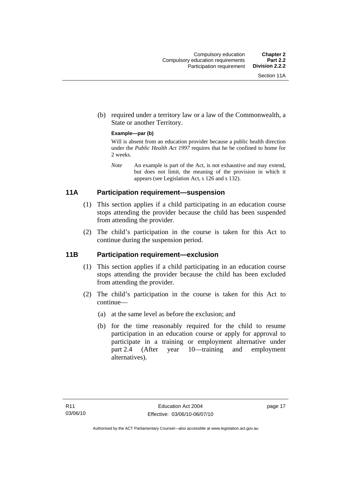<span id="page-28-0"></span> (b) required under a territory law or a law of the Commonwealth, a State or another Territory.

#### **Example—par (b)**

Will is absent from an education provider because a public health direction under the *Public Health Act 1997* requires that he be confined to home for 2 weeks.

*Note* An example is part of the Act, is not exhaustive and may extend, but does not limit, the meaning of the provision in which it appears (see Legislation Act, s 126 and s 132).

### **11A Participation requirement—suspension**

- (1) This section applies if a child participating in an education course stops attending the provider because the child has been suspended from attending the provider.
- (2) The child's participation in the course is taken for this Act to continue during the suspension period.

#### **11B Participation requirement—exclusion**

- (1) This section applies if a child participating in an education course stops attending the provider because the child has been excluded from attending the provider.
- (2) The child's participation in the course is taken for this Act to continue—
	- (a) at the same level as before the exclusion; and
	- (b) for the time reasonably required for the child to resume participation in an education course or apply for approval to participate in a training or employment alternative under part 2.4 (After year 10—training and employment alternatives).

page 17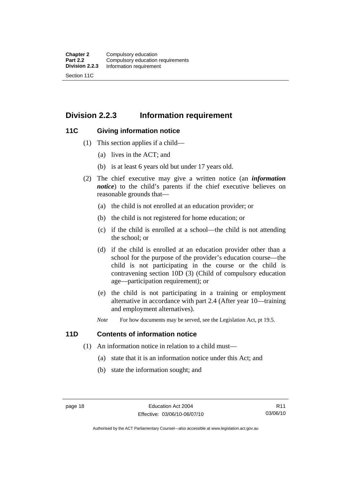### <span id="page-29-0"></span>**Division 2.2.3 Information requirement**

#### **11C Giving information notice**

- (1) This section applies if a child—
	- (a) lives in the ACT; and
	- (b) is at least 6 years old but under 17 years old.
- (2) The chief executive may give a written notice (an *information notice*) to the child's parents if the chief executive believes on reasonable grounds that—
	- (a) the child is not enrolled at an education provider; or
	- (b) the child is not registered for home education; or
	- (c) if the child is enrolled at a school—the child is not attending the school; or
	- (d) if the child is enrolled at an education provider other than a school for the purpose of the provider's education course—the child is not participating in the course or the child is contravening section 10D (3) (Child of compulsory education age—participation requirement); or
	- (e) the child is not participating in a training or employment alternative in accordance with part 2.4 (After year 10—training and employment alternatives).
	- *Note* For how documents may be served, see the Legislation Act, pt 19.5.

#### **11D Contents of information notice**

- (1) An information notice in relation to a child must—
	- (a) state that it is an information notice under this Act; and
	- (b) state the information sought; and

Authorised by the ACT Parliamentary Counsel—also accessible at www.legislation.act.gov.au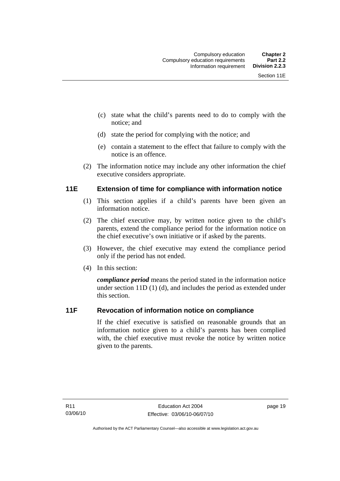- <span id="page-30-0"></span> (c) state what the child's parents need to do to comply with the notice; and
- (d) state the period for complying with the notice; and
- (e) contain a statement to the effect that failure to comply with the notice is an offence.
- (2) The information notice may include any other information the chief executive considers appropriate.

#### **11E Extension of time for compliance with information notice**

- (1) This section applies if a child's parents have been given an information notice.
- (2) The chief executive may, by written notice given to the child's parents, extend the compliance period for the information notice on the chief executive's own initiative or if asked by the parents.
- (3) However, the chief executive may extend the compliance period only if the period has not ended.
- (4) In this section:

*compliance period* means the period stated in the information notice under section 11D (1) (d), and includes the period as extended under this section.

### **11F Revocation of information notice on compliance**

If the chief executive is satisfied on reasonable grounds that an information notice given to a child's parents has been complied with, the chief executive must revoke the notice by written notice given to the parents.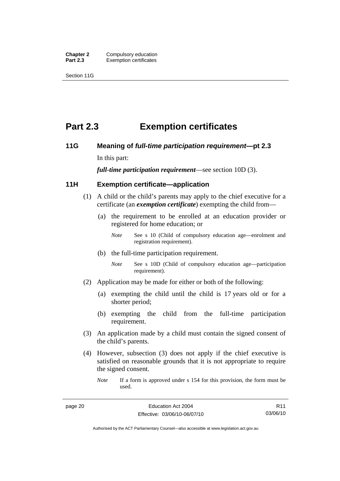<span id="page-31-0"></span>**Chapter 2 Compulsory education**<br>**Part 2.3 Exemption certificates Exemption certificates** 

Section 11G

### **Part 2.3 Exemption certificates**

### **11G Meaning of** *full-time participation requirement***—pt 2.3**

In this part:

*full-time participation requirement*—see section 10D (3).

#### **11H Exemption certificate—application**

- (1) A child or the child's parents may apply to the chief executive for a certificate (an *exemption certificate*) exempting the child from—
	- (a) the requirement to be enrolled at an education provider or registered for home education; or
		- *Note* See s 10 (Child of compulsory education age—enrolment and registration requirement).
	- (b) the full-time participation requirement.
		- *Note* See s 10D (Child of compulsory education age—participation requirement).
- (2) Application may be made for either or both of the following:
	- (a) exempting the child until the child is 17 years old or for a shorter period;
	- (b) exempting the child from the full-time participation requirement.
- (3) An application made by a child must contain the signed consent of the child's parents.
- (4) However, subsection (3) does not apply if the chief executive is satisfied on reasonable grounds that it is not appropriate to require the signed consent.

*Note* If a form is approved under s 154 for this provision, the form must be used.

Authorised by the ACT Parliamentary Counsel—also accessible at www.legislation.act.gov.au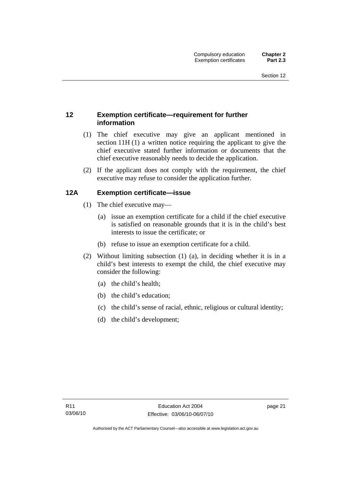#### <span id="page-32-0"></span>**12 Exemption certificate—requirement for further information**

- (1) The chief executive may give an applicant mentioned in section 11H (1) a written notice requiring the applicant to give the chief executive stated further information or documents that the chief executive reasonably needs to decide the application.
- (2) If the applicant does not comply with the requirement, the chief executive may refuse to consider the application further.

### **12A Exemption certificate—issue**

- (1) The chief executive may—
	- (a) issue an exemption certificate for a child if the chief executive is satisfied on reasonable grounds that it is in the child's best interests to issue the certificate; or
	- (b) refuse to issue an exemption certificate for a child.
- (2) Without limiting subsection (1) (a), in deciding whether it is in a child's best interests to exempt the child, the chief executive may consider the following:
	- (a) the child's health;
	- (b) the child's education;
	- (c) the child's sense of racial, ethnic, religious or cultural identity;
	- (d) the child's development;

page 21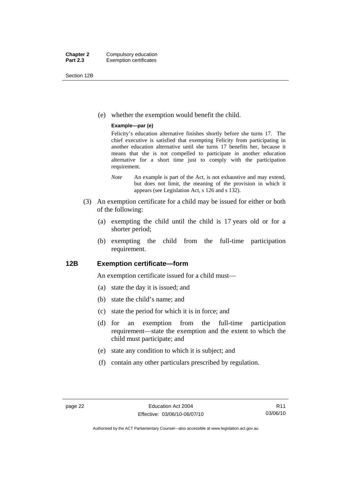<span id="page-33-0"></span>Section 12B

(e) whether the exemption would benefit the child.

#### **Example—par (e)**

Felicity's education alternative finishes shortly before she turns 17. The chief executive is satisfied that exempting Felicity from participating in another education alternative until she turns 17 benefits her, because it means that she is not compelled to participate in another education alternative for a short time just to comply with the participation requirement.

- *Note* An example is part of the Act, is not exhaustive and may extend, but does not limit, the meaning of the provision in which it appears (see Legislation Act, s 126 and s 132).
- (3) An exemption certificate for a child may be issued for either or both of the following:
	- (a) exempting the child until the child is 17 years old or for a shorter period;
	- (b) exempting the child from the full-time participation requirement.

#### **12B Exemption certificate—form**

An exemption certificate issued for a child must—

- (a) state the day it is issued; and
- (b) state the child's name; and
- (c) state the period for which it is in force; and
- (d) for an exemption from the full-time participation requirement—state the exemption and the extent to which the child must participate; and
- (e) state any condition to which it is subject; and
- (f) contain any other particulars prescribed by regulation.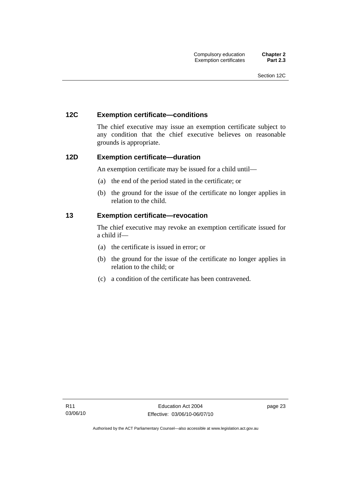#### <span id="page-34-0"></span>**12C Exemption certificate—conditions**

The chief executive may issue an exemption certificate subject to any condition that the chief executive believes on reasonable grounds is appropriate.

#### **12D Exemption certificate—duration**

An exemption certificate may be issued for a child until—

- (a) the end of the period stated in the certificate; or
- (b) the ground for the issue of the certificate no longer applies in relation to the child.

#### **13 Exemption certificate—revocation**

The chief executive may revoke an exemption certificate issued for a child if—

- (a) the certificate is issued in error; or
- (b) the ground for the issue of the certificate no longer applies in relation to the child; or
- (c) a condition of the certificate has been contravened.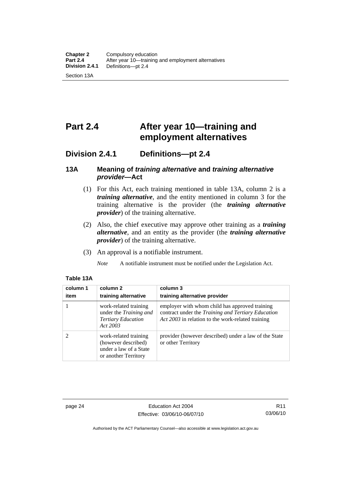## <span id="page-35-0"></span>**Part 2.4 After year 10—training and employment alternatives**

### **Division 2.4.1 Definitions—pt 2.4**

#### **13A Meaning of** *training alternative* **and** *training alternative provider***—Act**

- (1) For this Act, each training mentioned in table 13A, column 2 is a *training alternative*, and the entity mentioned in column 3 for the training alternative is the provider (the *training alternative provider*) of the training alternative.
- (2) Also, the chief executive may approve other training as a *training alternative*, and an entity as the provider (the *training alternative provider*) of the training alternative.
- (3) An approval is a notifiable instrument.
	- *Note* A notifiable instrument must be notified under the Legislation Act.

| column 1<br>item | column 2<br>training alternative                                                               | column 3<br>training alternative provider                                                                                                                 |
|------------------|------------------------------------------------------------------------------------------------|-----------------------------------------------------------------------------------------------------------------------------------------------------------|
|                  | work-related training<br>under the Training and<br><b>Tertiary Education</b><br>Act 2003       | employer with whom child has approved training<br>contract under the Training and Tertiary Education<br>Act 2003 in relation to the work-related training |
|                  | work-related training<br>(however described)<br>under a law of a State<br>or another Territory | provider (however described) under a law of the State<br>or other Territory                                                                               |

#### **Table 13A**

page 24 Education Act 2004 Effective: 03/06/10-06/07/10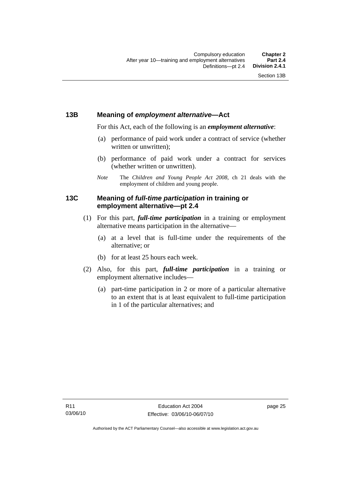### **13B Meaning of** *employment alternative***—Act**

For this Act, each of the following is an *employment alternative*:

- (a) performance of paid work under a contract of service (whether written or unwritten);
- (b) performance of paid work under a contract for services (whether written or unwritten).
- *Note* The *Children and Young People Act 2008*, ch 21 deals with the employment of children and young people.

### **13C Meaning of** *full-time participation* **in training or employment alternative—pt 2.4**

- (1) For this part, *full-time participation* in a training or employment alternative means participation in the alternative—
	- (a) at a level that is full-time under the requirements of the alternative; or
	- (b) for at least 25 hours each week.
- (2) Also, for this part, *full-time participation* in a training or employment alternative includes—
	- (a) part-time participation in 2 or more of a particular alternative to an extent that is at least equivalent to full-time participation in 1 of the particular alternatives; and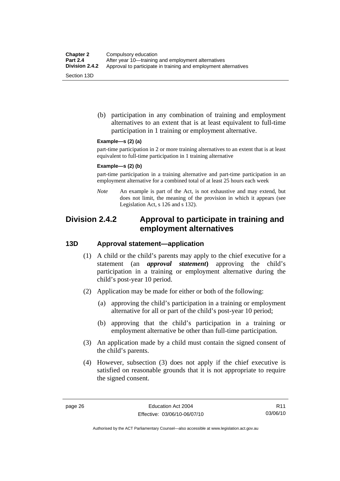(b) participation in any combination of training and employment alternatives to an extent that is at least equivalent to full-time participation in 1 training or employment alternative.

#### **Example—s (2) (a)**

part-time participation in 2 or more training alternatives to an extent that is at least equivalent to full-time participation in 1 training alternative

#### **Example—s (2) (b)**

part-time participation in a training alternative and part-time participation in an employment alternative for a combined total of at least 25 hours each week

*Note* An example is part of the Act, is not exhaustive and may extend, but does not limit, the meaning of the provision in which it appears (see Legislation Act, s 126 and s 132).

# **Division 2.4.2 Approval to participate in training and employment alternatives**

#### **13D Approval statement—application**

- (1) A child or the child's parents may apply to the chief executive for a statement (an *approval statement***)** approving the child's participation in a training or employment alternative during the child's post-year 10 period.
- (2) Application may be made for either or both of the following:
	- (a) approving the child's participation in a training or employment alternative for all or part of the child's post-year 10 period;
	- (b) approving that the child's participation in a training or employment alternative be other than full-time participation.
- (3) An application made by a child must contain the signed consent of the child's parents.
- (4) However, subsection (3) does not apply if the chief executive is satisfied on reasonable grounds that it is not appropriate to require the signed consent.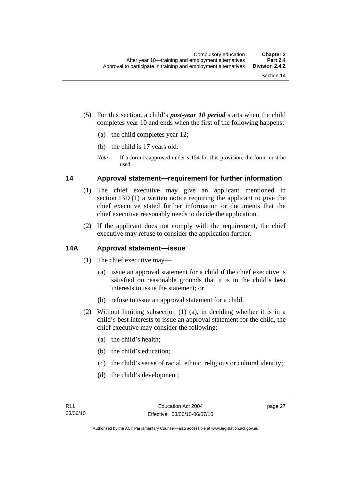- (5) For this section, a child's *post-year 10 period* starts when the child completes year 10 and ends when the first of the following happens:
	- (a) the child completes year 12;
	- (b) the child is 17 years old.
	- *Note* If a form is approved under s 154 for this provision, the form must be used.

#### **14 Approval statement—requirement for further information**

- (1) The chief executive may give an applicant mentioned in section 13D (1) a written notice requiring the applicant to give the chief executive stated further information or documents that the chief executive reasonably needs to decide the application.
- (2) If the applicant does not comply with the requirement, the chief executive may refuse to consider the application further.

### **14A Approval statement—issue**

- (1) The chief executive may—
	- (a) issue an approval statement for a child if the chief executive is satisfied on reasonable grounds that it is in the child's best interests to issue the statement; or
	- (b) refuse to issue an approval statement for a child.
- (2) Without limiting subsection (1) (a), in deciding whether it is in a child's best interests to issue an approval statement for the child, the chief executive may consider the following:
	- (a) the child's health;
	- (b) the child's education;
	- (c) the child's sense of racial, ethnic, religious or cultural identity;
	- (d) the child's development;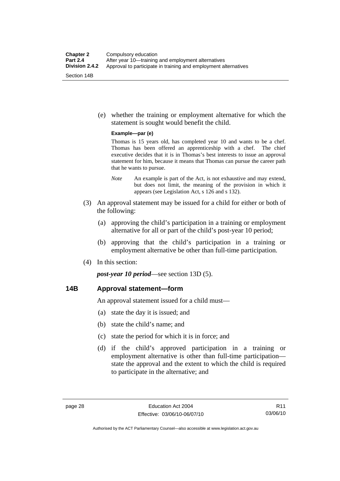(e) whether the training or employment alternative for which the statement is sought would benefit the child.

#### **Example—par (e)**

Thomas is 15 years old, has completed year 10 and wants to be a chef. Thomas has been offered an apprenticeship with a chef. The chief executive decides that it is in Thomas's best interests to issue an approval statement for him, because it means that Thomas can pursue the career path that he wants to pursue.

- *Note* An example is part of the Act, is not exhaustive and may extend, but does not limit, the meaning of the provision in which it appears (see Legislation Act, s 126 and s 132).
- (3) An approval statement may be issued for a child for either or both of the following:
	- (a) approving the child's participation in a training or employment alternative for all or part of the child's post-year 10 period;
	- (b) approving that the child's participation in a training or employment alternative be other than full-time participation.
- (4) In this section:

*post-year 10 period*—see section 13D (5).

#### **14B Approval statement—form**

An approval statement issued for a child must—

- (a) state the day it is issued; and
- (b) state the child's name; and
- (c) state the period for which it is in force; and
- (d) if the child's approved participation in a training or employment alternative is other than full-time participation state the approval and the extent to which the child is required to participate in the alternative; and

R11 03/06/10

Authorised by the ACT Parliamentary Counsel—also accessible at www.legislation.act.gov.au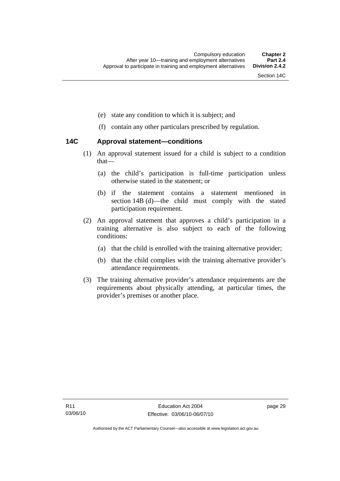- (e) state any condition to which it is subject; and
- (f) contain any other particulars prescribed by regulation.

#### **14C Approval statement—conditions**

- (1) An approval statement issued for a child is subject to a condition that—
	- (a) the child's participation is full-time participation unless otherwise stated in the statement; or
	- (b) if the statement contains a statement mentioned in section 14B (d)—the child must comply with the stated participation requirement.
- (2) An approval statement that approves a child's participation in a training alternative is also subject to each of the following conditions:
	- (a) that the child is enrolled with the training alternative provider;
	- (b) that the child complies with the training alternative provider's attendance requirements.
- (3) The training alternative provider's attendance requirements are the requirements about physically attending, at particular times, the provider's premises or another place.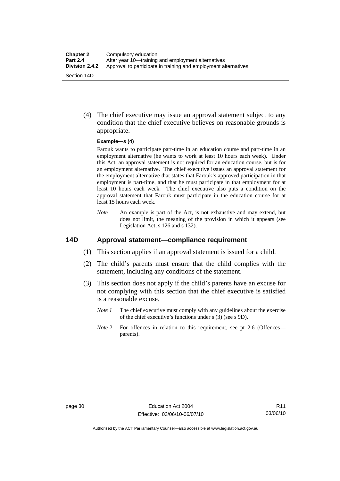(4) The chief executive may issue an approval statement subject to any condition that the chief executive believes on reasonable grounds is appropriate.

#### **Example—s (4)**

Farouk wants to participate part-time in an education course and part-time in an employment alternative (he wants to work at least 10 hours each week). Under this Act, an approval statement is not required for an education course, but is for an employment alternative. The chief executive issues an approval statement for the employment alternative that states that Farouk's approved participation in that employment is part-time, and that he must participate in that employment for at least 10 hours each week. The chief executive also puts a condition on the approval statement that Farouk must participate in the education course for at least 15 hours each week.

*Note* An example is part of the Act, is not exhaustive and may extend, but does not limit, the meaning of the provision in which it appears (see Legislation Act, s 126 and s 132).

### **14D Approval statement—compliance requirement**

- (1) This section applies if an approval statement is issued for a child.
- (2) The child's parents must ensure that the child complies with the statement, including any conditions of the statement.
- (3) This section does not apply if the child's parents have an excuse for not complying with this section that the chief executive is satisfied is a reasonable excuse.
	- *Note 1* The chief executive must comply with any guidelines about the exercise of the chief executive's functions under s (3) (see s 9D).
	- *Note 2* For offences in relation to this requirement, see pt 2.6 (Offences parents).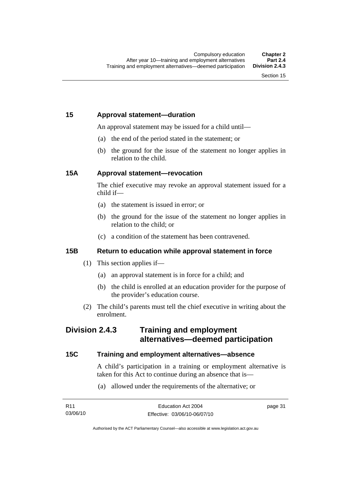# **15 Approval statement—duration**

An approval statement may be issued for a child until—

- (a) the end of the period stated in the statement; or
- (b) the ground for the issue of the statement no longer applies in relation to the child.

# **15A Approval statement—revocation**

The chief executive may revoke an approval statement issued for a child if—

- (a) the statement is issued in error; or
- (b) the ground for the issue of the statement no longer applies in relation to the child; or
- (c) a condition of the statement has been contravened.

# **15B Return to education while approval statement in force**

- (1) This section applies if—
	- (a) an approval statement is in force for a child; and
	- (b) the child is enrolled at an education provider for the purpose of the provider's education course.
- (2) The child's parents must tell the chief executive in writing about the enrolment.

# **Division 2.4.3 Training and employment alternatives—deemed participation**

# **15C Training and employment alternatives—absence**

A child's participation in a training or employment alternative is taken for this Act to continue during an absence that is—

(a) allowed under the requirements of the alternative; or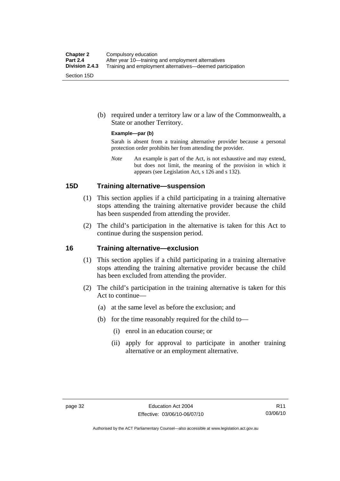(b) required under a territory law or a law of the Commonwealth, a State or another Territory.

#### **Example—par (b)**

Sarah is absent from a training alternative provider because a personal protection order prohibits her from attending the provider.

*Note* An example is part of the Act, is not exhaustive and may extend, but does not limit, the meaning of the provision in which it appears (see Legislation Act, s 126 and s 132).

#### **15D Training alternative—suspension**

- (1) This section applies if a child participating in a training alternative stops attending the training alternative provider because the child has been suspended from attending the provider.
- (2) The child's participation in the alternative is taken for this Act to continue during the suspension period.

#### **16 Training alternative—exclusion**

- (1) This section applies if a child participating in a training alternative stops attending the training alternative provider because the child has been excluded from attending the provider.
- (2) The child's participation in the training alternative is taken for this Act to continue—
	- (a) at the same level as before the exclusion; and
	- (b) for the time reasonably required for the child to—
		- (i) enrol in an education course; or
		- (ii) apply for approval to participate in another training alternative or an employment alternative.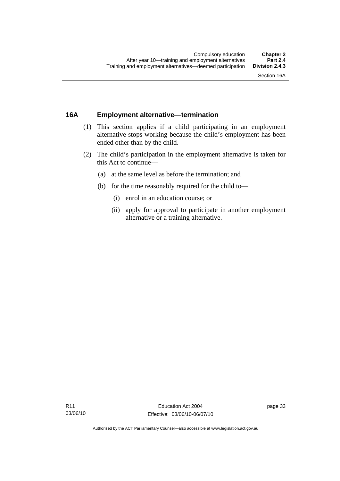# **16A Employment alternative—termination**

- (1) This section applies if a child participating in an employment alternative stops working because the child's employment has been ended other than by the child.
- (2) The child's participation in the employment alternative is taken for this Act to continue—
	- (a) at the same level as before the termination; and
	- (b) for the time reasonably required for the child to—
		- (i) enrol in an education course; or
		- (ii) apply for approval to participate in another employment alternative or a training alternative.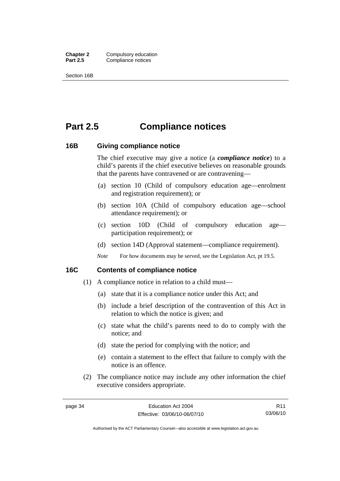**Chapter 2** Compulsory education<br>**Part 2.5** Compliance notices **Compliance notices** 

Section 16B

# **Part 2.5 Compliance notices**

#### **16B Giving compliance notice**

The chief executive may give a notice (a *compliance notice*) to a child's parents if the chief executive believes on reasonable grounds that the parents have contravened or are contravening—

- (a) section 10 (Child of compulsory education age—enrolment and registration requirement); or
- (b) section 10A (Child of compulsory education age—school attendance requirement); or
- (c) section 10D (Child of compulsory education age participation requirement); or
- (d) section 14D (Approval statement—compliance requirement).
- *Note* For how documents may be served, see the Legislation Act, pt 19.5.

#### **16C Contents of compliance notice**

- (1) A compliance notice in relation to a child must—
	- (a) state that it is a compliance notice under this Act; and
	- (b) include a brief description of the contravention of this Act in relation to which the notice is given; and
	- (c) state what the child's parents need to do to comply with the notice; and
	- (d) state the period for complying with the notice; and
	- (e) contain a statement to the effect that failure to comply with the notice is an offence.
- (2) The compliance notice may include any other information the chief executive considers appropriate.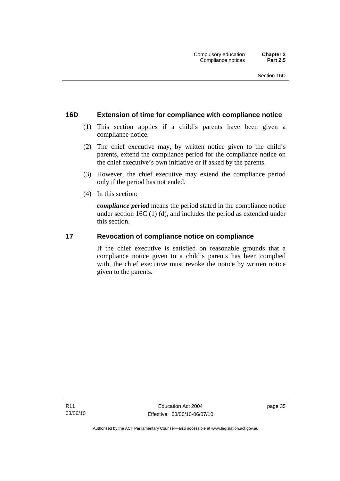### **16D Extension of time for compliance with compliance notice**

- (1) This section applies if a child's parents have been given a compliance notice.
- (2) The chief executive may, by written notice given to the child's parents, extend the compliance period for the compliance notice on the chief executive's own initiative or if asked by the parents.
- (3) However, the chief executive may extend the compliance period only if the period has not ended.
- (4) In this section:

*compliance period* means the period stated in the compliance notice under section 16C (1) (d), and includes the period as extended under this section.

#### **17 Revocation of compliance notice on compliance**

If the chief executive is satisfied on reasonable grounds that a compliance notice given to a child's parents has been complied with, the chief executive must revoke the notice by written notice given to the parents.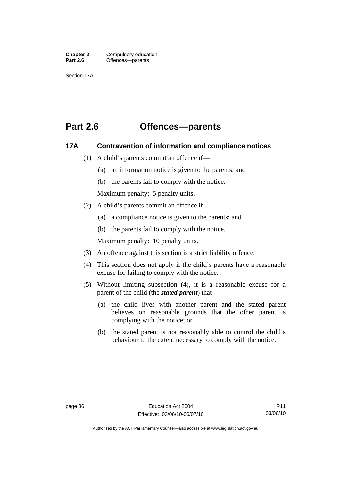**Chapter 2** Compulsory education<br> **Part 2.6 C** Offences—parents **Offences—parents** 

Section 17A

# **Part 2.6 Offences—parents**

#### **17A Contravention of information and compliance notices**

- (1) A child's parents commit an offence if—
	- (a) an information notice is given to the parents; and
	- (b) the parents fail to comply with the notice.

Maximum penalty: 5 penalty units.

- (2) A child's parents commit an offence if—
	- (a) a compliance notice is given to the parents; and
	- (b) the parents fail to comply with the notice.

Maximum penalty: 10 penalty units.

- (3) An offence against this section is a strict liability offence.
- (4) This section does not apply if the child's parents have a reasonable excuse for failing to comply with the notice.
- (5) Without limiting subsection (4), it is a reasonable excuse for a parent of the child (the *stated parent*) that—
	- (a) the child lives with another parent and the stated parent believes on reasonable grounds that the other parent is complying with the notice; or
	- (b) the stated parent is not reasonably able to control the child's behaviour to the extent necessary to comply with the notice.

Authorised by the ACT Parliamentary Counsel—also accessible at www.legislation.act.gov.au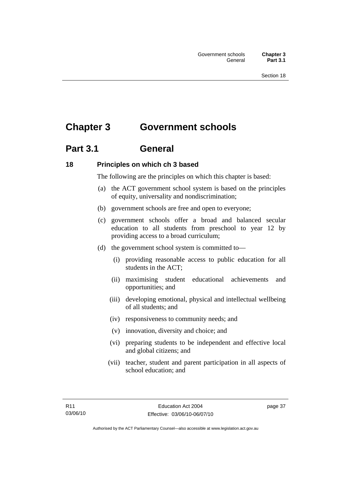# **Chapter 3 Government schools**

# **Part 3.1 General**

# **18 Principles on which ch 3 based**

The following are the principles on which this chapter is based:

- (a) the ACT government school system is based on the principles of equity, universality and nondiscrimination;
- (b) government schools are free and open to everyone;
- (c) government schools offer a broad and balanced secular education to all students from preschool to year 12 by providing access to a broad curriculum;
- (d) the government school system is committed to—
	- (i) providing reasonable access to public education for all students in the ACT;
	- (ii) maximising student educational achievements and opportunities; and
	- (iii) developing emotional, physical and intellectual wellbeing of all students; and
	- (iv) responsiveness to community needs; and
	- (v) innovation, diversity and choice; and
	- (vi) preparing students to be independent and effective local and global citizens; and
	- (vii) teacher, student and parent participation in all aspects of school education; and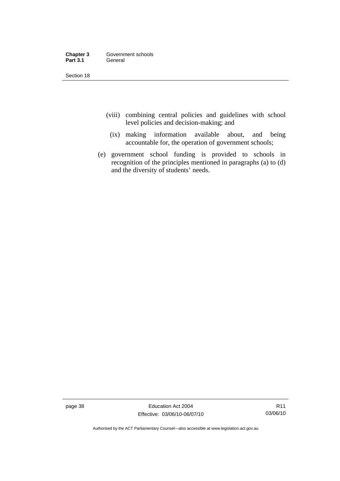| Chapter 3       | Government schools |
|-----------------|--------------------|
| <b>Part 3.1</b> | General            |

Section 18

- (viii) combining central policies and guidelines with school level policies and decision-making; and
	- (ix) making information available about, and being accountable for, the operation of government schools;
- (e) government school funding is provided to schools in recognition of the principles mentioned in paragraphs (a) to (d) and the diversity of students' needs.

page 38 Education Act 2004 Effective: 03/06/10-06/07/10

R11 03/06/10

Authorised by the ACT Parliamentary Counsel—also accessible at www.legislation.act.gov.au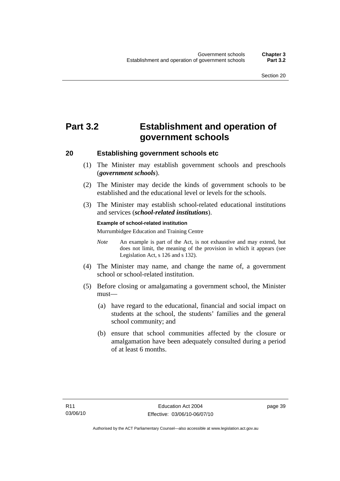# **Part 3.2 Establishment and operation of government schools**

#### **20 Establishing government schools etc**

- (1) The Minister may establish government schools and preschools (*government schools*).
- (2) The Minister may decide the kinds of government schools to be established and the educational level or levels for the schools.
- (3) The Minister may establish school-related educational institutions and services (*school-related institutions*).

#### **Example of school-related institution**

Murrumbidgee Education and Training Centre

- *Note* An example is part of the Act, is not exhaustive and may extend, but does not limit, the meaning of the provision in which it appears (see Legislation Act, s 126 and s 132).
- (4) The Minister may name, and change the name of, a government school or school-related institution.
- (5) Before closing or amalgamating a government school, the Minister must—
	- (a) have regard to the educational, financial and social impact on students at the school, the students' families and the general school community; and
	- (b) ensure that school communities affected by the closure or amalgamation have been adequately consulted during a period of at least 6 months.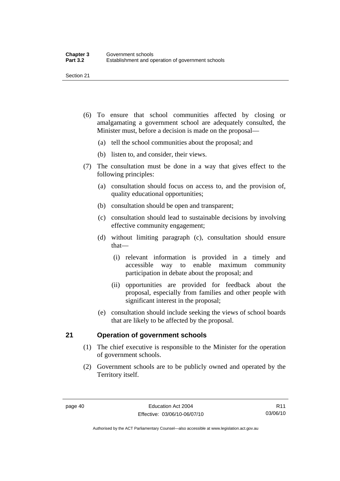- (6) To ensure that school communities affected by closing or amalgamating a government school are adequately consulted, the Minister must, before a decision is made on the proposal—
	- (a) tell the school communities about the proposal; and
	- (b) listen to, and consider, their views.
- (7) The consultation must be done in a way that gives effect to the following principles:
	- (a) consultation should focus on access to, and the provision of, quality educational opportunities;
	- (b) consultation should be open and transparent;
	- (c) consultation should lead to sustainable decisions by involving effective community engagement;
	- (d) without limiting paragraph (c), consultation should ensure that—
		- (i) relevant information is provided in a timely and accessible way to enable maximum community participation in debate about the proposal; and
		- (ii) opportunities are provided for feedback about the proposal, especially from families and other people with significant interest in the proposal;
	- (e) consultation should include seeking the views of school boards that are likely to be affected by the proposal.

### **21 Operation of government schools**

- (1) The chief executive is responsible to the Minister for the operation of government schools.
- (2) Government schools are to be publicly owned and operated by the Territory itself.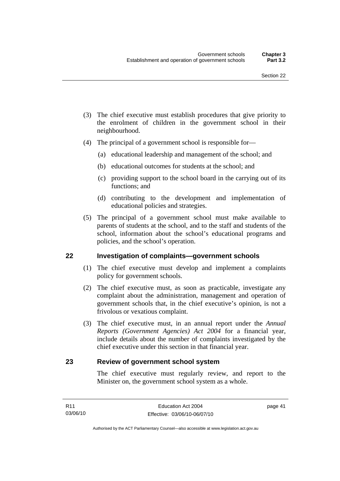- (3) The chief executive must establish procedures that give priority to the enrolment of children in the government school in their neighbourhood.
- (4) The principal of a government school is responsible for—
	- (a) educational leadership and management of the school; and
	- (b) educational outcomes for students at the school; and
	- (c) providing support to the school board in the carrying out of its functions; and
	- (d) contributing to the development and implementation of educational policies and strategies.
- (5) The principal of a government school must make available to parents of students at the school, and to the staff and students of the school, information about the school's educational programs and policies, and the school's operation.

#### **22 Investigation of complaints—government schools**

- (1) The chief executive must develop and implement a complaints policy for government schools.
- (2) The chief executive must, as soon as practicable, investigate any complaint about the administration, management and operation of government schools that, in the chief executive's opinion, is not a frivolous or vexatious complaint.
- (3) The chief executive must, in an annual report under the *Annual Reports (Government Agencies) Act 2004* for a financial year, include details about the number of complaints investigated by the chief executive under this section in that financial year.

#### **23 Review of government school system**

The chief executive must regularly review, and report to the Minister on, the government school system as a whole.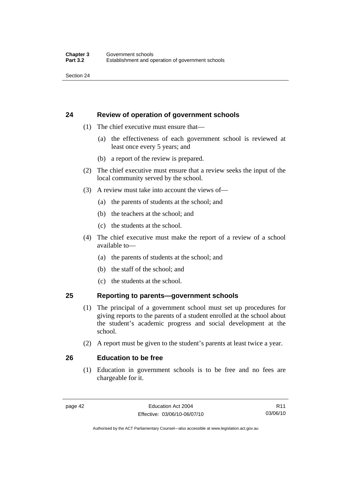Section 24

# **24 Review of operation of government schools**

- (1) The chief executive must ensure that—
	- (a) the effectiveness of each government school is reviewed at least once every 5 years; and
	- (b) a report of the review is prepared.
- (2) The chief executive must ensure that a review seeks the input of the local community served by the school.
- (3) A review must take into account the views of—
	- (a) the parents of students at the school; and
	- (b) the teachers at the school; and
	- (c) the students at the school.
- (4) The chief executive must make the report of a review of a school available to—
	- (a) the parents of students at the school; and
	- (b) the staff of the school; and
	- (c) the students at the school.

### **25 Reporting to parents—government schools**

- (1) The principal of a government school must set up procedures for giving reports to the parents of a student enrolled at the school about the student's academic progress and social development at the school.
- (2) A report must be given to the student's parents at least twice a year.

#### **26 Education to be free**

 (1) Education in government schools is to be free and no fees are chargeable for it.

R11 03/06/10

Authorised by the ACT Parliamentary Counsel—also accessible at www.legislation.act.gov.au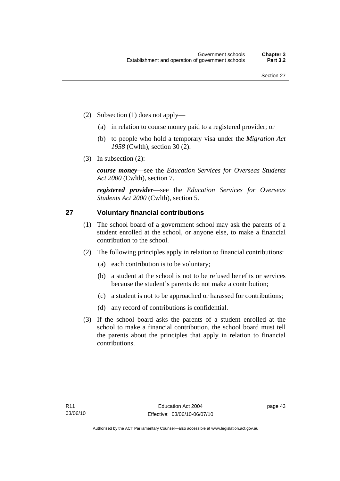- (2) Subsection (1) does not apply—
	- (a) in relation to course money paid to a registered provider; or
	- (b) to people who hold a temporary visa under the *Migration Act 1958* (Cwlth), section 30 (2).
- (3) In subsection (2):

*course money*—see the *Education Services for Overseas Students Act 2000* (Cwlth), section 7.

*registered provider*—see the *Education Services for Overseas Students Act 2000* (Cwlth), section 5.

### **27 Voluntary financial contributions**

- (1) The school board of a government school may ask the parents of a student enrolled at the school, or anyone else, to make a financial contribution to the school.
- (2) The following principles apply in relation to financial contributions:
	- (a) each contribution is to be voluntary;
	- (b) a student at the school is not to be refused benefits or services because the student's parents do not make a contribution;
	- (c) a student is not to be approached or harassed for contributions;
	- (d) any record of contributions is confidential.
- (3) If the school board asks the parents of a student enrolled at the school to make a financial contribution, the school board must tell the parents about the principles that apply in relation to financial contributions.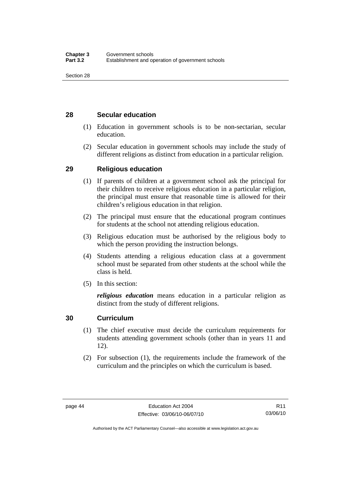# **28 Secular education**

- (1) Education in government schools is to be non-sectarian, secular education.
- (2) Secular education in government schools may include the study of different religions as distinct from education in a particular religion.

# **29 Religious education**

- (1) If parents of children at a government school ask the principal for their children to receive religious education in a particular religion, the principal must ensure that reasonable time is allowed for their children's religious education in that religion.
- (2) The principal must ensure that the educational program continues for students at the school not attending religious education.
- (3) Religious education must be authorised by the religious body to which the person providing the instruction belongs.
- (4) Students attending a religious education class at a government school must be separated from other students at the school while the class is held.
- (5) In this section:

*religious education* means education in a particular religion as distinct from the study of different religions.

# **30 Curriculum**

- (1) The chief executive must decide the curriculum requirements for students attending government schools (other than in years 11 and 12).
- (2) For subsection (1), the requirements include the framework of the curriculum and the principles on which the curriculum is based.

R11 03/06/10

Authorised by the ACT Parliamentary Counsel—also accessible at www.legislation.act.gov.au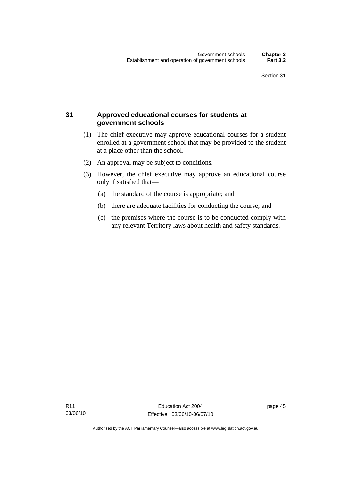# **31 Approved educational courses for students at government schools**

- (1) The chief executive may approve educational courses for a student enrolled at a government school that may be provided to the student at a place other than the school.
- (2) An approval may be subject to conditions.
- (3) However, the chief executive may approve an educational course only if satisfied that—
	- (a) the standard of the course is appropriate; and
	- (b) there are adequate facilities for conducting the course; and
	- (c) the premises where the course is to be conducted comply with any relevant Territory laws about health and safety standards.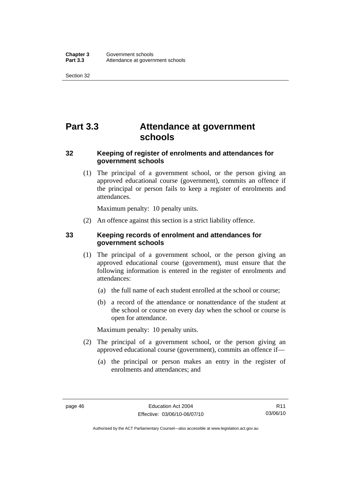Section 32

# **Part 3.3 Attendance at government schools**

# **32 Keeping of register of enrolments and attendances for government schools**

 (1) The principal of a government school, or the person giving an approved educational course (government), commits an offence if the principal or person fails to keep a register of enrolments and attendances.

Maximum penalty: 10 penalty units.

(2) An offence against this section is a strict liability offence.

# **33 Keeping records of enrolment and attendances for government schools**

- (1) The principal of a government school, or the person giving an approved educational course (government), must ensure that the following information is entered in the register of enrolments and attendances:
	- (a) the full name of each student enrolled at the school or course;
	- (b) a record of the attendance or nonattendance of the student at the school or course on every day when the school or course is open for attendance.

Maximum penalty: 10 penalty units.

- (2) The principal of a government school, or the person giving an approved educational course (government), commits an offence if—
	- (a) the principal or person makes an entry in the register of enrolments and attendances; and

R11 03/06/10

Authorised by the ACT Parliamentary Counsel—also accessible at www.legislation.act.gov.au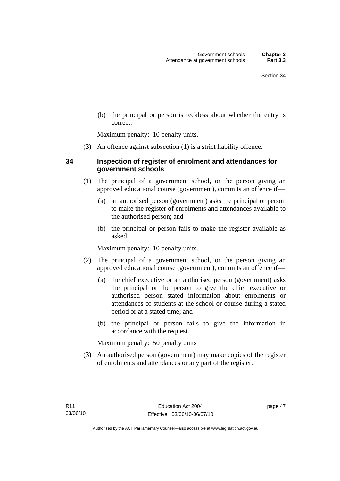(b) the principal or person is reckless about whether the entry is correct.

Maximum penalty: 10 penalty units.

(3) An offence against subsection (1) is a strict liability offence.

### **34 Inspection of register of enrolment and attendances for government schools**

- (1) The principal of a government school, or the person giving an approved educational course (government), commits an offence if—
	- (a) an authorised person (government) asks the principal or person to make the register of enrolments and attendances available to the authorised person; and
	- (b) the principal or person fails to make the register available as asked.

Maximum penalty: 10 penalty units.

- (2) The principal of a government school, or the person giving an approved educational course (government), commits an offence if—
	- (a) the chief executive or an authorised person (government) asks the principal or the person to give the chief executive or authorised person stated information about enrolments or attendances of students at the school or course during a stated period or at a stated time; and
	- (b) the principal or person fails to give the information in accordance with the request.

Maximum penalty: 50 penalty units

 (3) An authorised person (government) may make copies of the register of enrolments and attendances or any part of the register.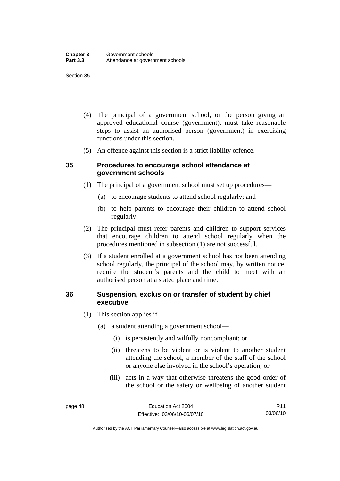#### Section 35

- (4) The principal of a government school, or the person giving an approved educational course (government), must take reasonable steps to assist an authorised person (government) in exercising functions under this section.
- (5) An offence against this section is a strict liability offence.

#### **35 Procedures to encourage school attendance at government schools**

- (1) The principal of a government school must set up procedures—
	- (a) to encourage students to attend school regularly; and
	- (b) to help parents to encourage their children to attend school regularly.
- (2) The principal must refer parents and children to support services that encourage children to attend school regularly when the procedures mentioned in subsection (1) are not successful.
- (3) If a student enrolled at a government school has not been attending school regularly, the principal of the school may, by written notice, require the student's parents and the child to meet with an authorised person at a stated place and time.

### **36 Suspension, exclusion or transfer of student by chief executive**

- (1) This section applies if—
	- (a) a student attending a government school—
		- (i) is persistently and wilfully noncompliant; or
		- (ii) threatens to be violent or is violent to another student attending the school, a member of the staff of the school or anyone else involved in the school's operation; or
		- (iii) acts in a way that otherwise threatens the good order of the school or the safety or wellbeing of another student

Authorised by the ACT Parliamentary Counsel—also accessible at www.legislation.act.gov.au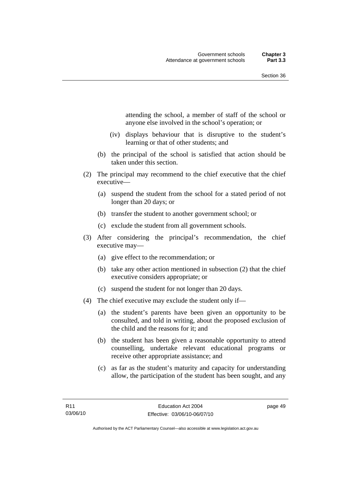attending the school, a member of staff of the school or anyone else involved in the school's operation; or

- (iv) displays behaviour that is disruptive to the student's learning or that of other students; and
- (b) the principal of the school is satisfied that action should be taken under this section.
- (2) The principal may recommend to the chief executive that the chief executive—
	- (a) suspend the student from the school for a stated period of not longer than 20 days; or
	- (b) transfer the student to another government school; or
	- (c) exclude the student from all government schools.
- (3) After considering the principal's recommendation, the chief executive may—
	- (a) give effect to the recommendation; or
	- (b) take any other action mentioned in subsection (2) that the chief executive considers appropriate; or
	- (c) suspend the student for not longer than 20 days.
- (4) The chief executive may exclude the student only if—
	- (a) the student's parents have been given an opportunity to be consulted, and told in writing, about the proposed exclusion of the child and the reasons for it; and
	- (b) the student has been given a reasonable opportunity to attend counselling, undertake relevant educational programs or receive other appropriate assistance; and
	- (c) as far as the student's maturity and capacity for understanding allow, the participation of the student has been sought, and any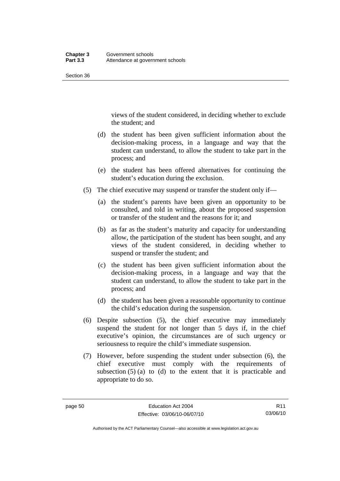Section 36

views of the student considered, in deciding whether to exclude the student; and

- (d) the student has been given sufficient information about the decision-making process, in a language and way that the student can understand, to allow the student to take part in the process; and
- (e) the student has been offered alternatives for continuing the student's education during the exclusion.
- (5) The chief executive may suspend or transfer the student only if—
	- (a) the student's parents have been given an opportunity to be consulted, and told in writing, about the proposed suspension or transfer of the student and the reasons for it; and
	- (b) as far as the student's maturity and capacity for understanding allow, the participation of the student has been sought, and any views of the student considered, in deciding whether to suspend or transfer the student; and
	- (c) the student has been given sufficient information about the decision-making process, in a language and way that the student can understand, to allow the student to take part in the process; and
	- (d) the student has been given a reasonable opportunity to continue the child's education during the suspension.
- (6) Despite subsection (5), the chief executive may immediately suspend the student for not longer than 5 days if, in the chief executive's opinion, the circumstances are of such urgency or seriousness to require the child's immediate suspension.
- (7) However, before suspending the student under subsection (6), the chief executive must comply with the requirements of subsection  $(5)$  (a) to (d) to the extent that it is practicable and appropriate to do so.

Authorised by the ACT Parliamentary Counsel—also accessible at www.legislation.act.gov.au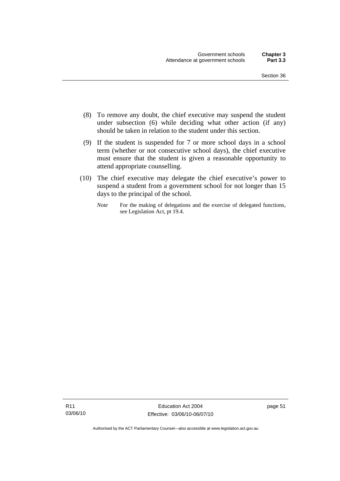- (8) To remove any doubt, the chief executive may suspend the student under subsection (6) while deciding what other action (if any) should be taken in relation to the student under this section.
- (9) If the student is suspended for 7 or more school days in a school term (whether or not consecutive school days), the chief executive must ensure that the student is given a reasonable opportunity to attend appropriate counselling.
- (10) The chief executive may delegate the chief executive's power to suspend a student from a government school for not longer than 15 days to the principal of the school.
	- *Note* For the making of delegations and the exercise of delegated functions, see Legislation Act, pt 19.4.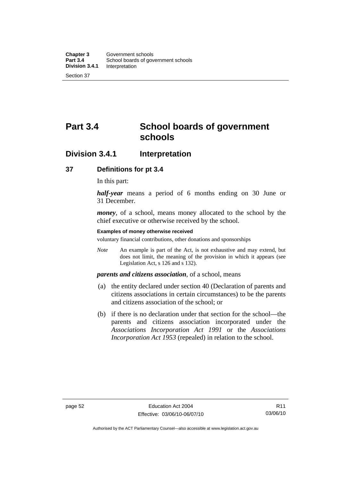# **Part 3.4 School boards of government schools**

# **Division 3.4.1 Interpretation**

#### **37 Definitions for pt 3.4**

In this part:

*half-year* means a period of 6 months ending on 30 June or 31 December.

*money*, of a school, means money allocated to the school by the chief executive or otherwise received by the school.

#### **Examples of money otherwise received**

voluntary financial contributions, other donations and sponsorships

*Note* An example is part of the Act, is not exhaustive and may extend, but does not limit, the meaning of the provision in which it appears (see Legislation Act, s 126 and s 132).

#### *parents and citizens association*, of a school, means

- (a) the entity declared under section 40 (Declaration of parents and citizens associations in certain circumstances) to be the parents and citizens association of the school; or
- (b) if there is no declaration under that section for the school—the parents and citizens association incorporated under the *Associations Incorporation Act 1991* or the *Associations Incorporation Act 1953* (repealed) in relation to the school.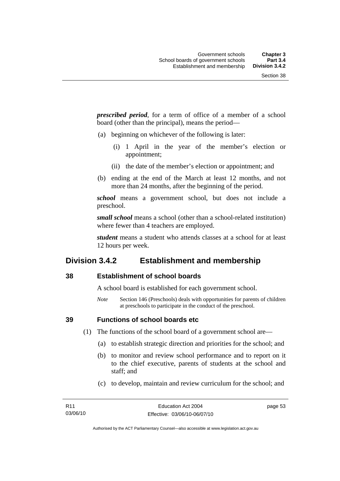*prescribed period*, for a term of office of a member of a school board (other than the principal), means the period—

- (a) beginning on whichever of the following is later:
	- (i) 1 April in the year of the member's election or appointment;
	- (ii) the date of the member's election or appointment; and
- (b) ending at the end of the March at least 12 months, and not more than 24 months, after the beginning of the period.

*school* means a government school, but does not include a preschool.

*small school* means a school (other than a school-related institution) where fewer than 4 teachers are employed.

*student* means a student who attends classes at a school for at least 12 hours per week.

# **Division 3.4.2 Establishment and membership**

#### **38 Establishment of school boards**

A school board is established for each government school.

*Note* Section 146 (Preschools) deals with opportunities for parents of children at preschools to participate in the conduct of the preschool.

**39 Functions of school boards etc** 

(1) The functions of the school board of a government school are—

- (a) to establish strategic direction and priorities for the school; and
- (b) to monitor and review school performance and to report on it to the chief executive, parents of students at the school and staff; and
- (c) to develop, maintain and review curriculum for the school; and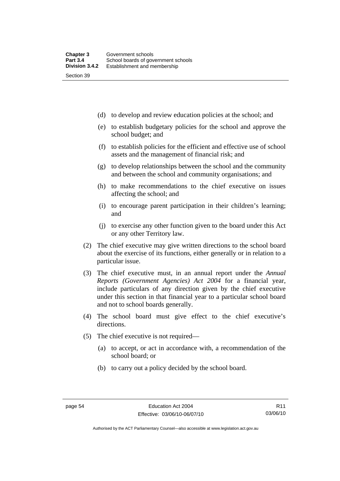(d) to develop and review education policies at the school; and

- (e) to establish budgetary policies for the school and approve the school budget; and
- (f) to establish policies for the efficient and effective use of school assets and the management of financial risk; and
- (g) to develop relationships between the school and the community and between the school and community organisations; and
- (h) to make recommendations to the chief executive on issues affecting the school; and
- (i) to encourage parent participation in their children's learning; and
- (j) to exercise any other function given to the board under this Act or any other Territory law.
- (2) The chief executive may give written directions to the school board about the exercise of its functions, either generally or in relation to a particular issue.
- (3) The chief executive must, in an annual report under the *Annual Reports (Government Agencies) Act 2004* for a financial year, include particulars of any direction given by the chief executive under this section in that financial year to a particular school board and not to school boards generally.
- (4) The school board must give effect to the chief executive's directions.
- (5) The chief executive is not required—
	- (a) to accept, or act in accordance with, a recommendation of the school board; or
	- (b) to carry out a policy decided by the school board.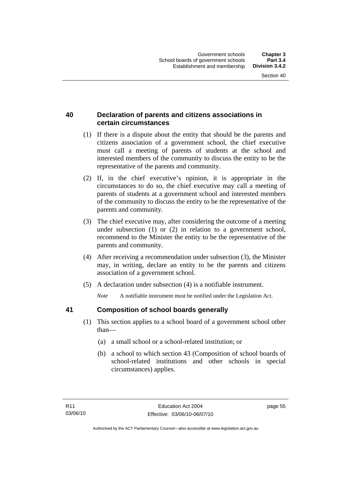# **40 Declaration of parents and citizens associations in certain circumstances**

- (1) If there is a dispute about the entity that should be the parents and citizens association of a government school, the chief executive must call a meeting of parents of students at the school and interested members of the community to discuss the entity to be the representative of the parents and community.
- (2) If, in the chief executive's opinion, it is appropriate in the circumstances to do so, the chief executive may call a meeting of parents of students at a government school and interested members of the community to discuss the entity to be the representative of the parents and community.
- (3) The chief executive may, after considering the outcome of a meeting under subsection (1) or (2) in relation to a government school, recommend to the Minister the entity to be the representative of the parents and community.
- (4) After receiving a recommendation under subsection (3), the Minister may, in writing, declare an entity to be the parents and citizens association of a government school.
- (5) A declaration under subsection (4) is a notifiable instrument.

*Note* A notifiable instrument must be notified under the Legislation Act.

# **41 Composition of school boards generally**

- (1) This section applies to a school board of a government school other than—
	- (a) a small school or a school-related institution; or
	- (b) a school to which section 43 (Composition of school boards of school-related institutions and other schools in special circumstances) applies.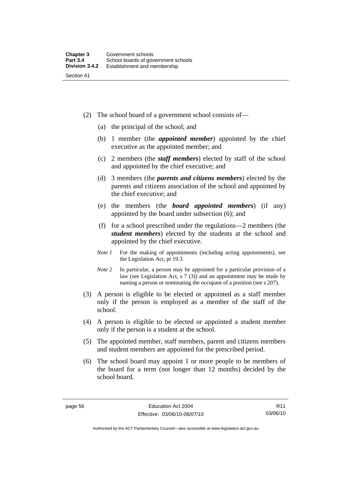- (2) The school board of a government school consists of—
	- (a) the principal of the school; and
	- (b) 1 member (the *appointed member*) appointed by the chief executive as the appointed member; and
	- (c) 2 members (the *staff members*) elected by staff of the school and appointed by the chief executive; and
	- (d) 3 members (the *parents and citizens members*) elected by the parents and citizens association of the school and appointed by the chief executive; and
	- (e) the members (the *board appointed members*) (if any) appointed by the board under subsection (6); and
	- (f) for a school prescribed under the regulations—2 members (the *student members*) elected by the students at the school and appointed by the chief executive.
	- *Note 1* For the making of appointments (including acting appointments), see the Legislation Act, pt 19.3.
	- *Note* 2 In particular, a person may be appointed for a particular provision of a law (see Legislation Act, s 7 (3)) and an appointment may be made by naming a person or nominating the occupant of a position (see s 207).
- (3) A person is eligible to be elected or appointed as a staff member only if the person is employed as a member of the staff of the school.
- (4) A person is eligible to be elected or appointed a student member only if the person is a student at the school.
- (5) The appointed member, staff members, parent and citizens members and student members are appointed for the prescribed period.
- (6) The school board may appoint 1 or more people to be members of the board for a term (not longer than 12 months) decided by the school board.

Authorised by the ACT Parliamentary Counsel—also accessible at www.legislation.act.gov.au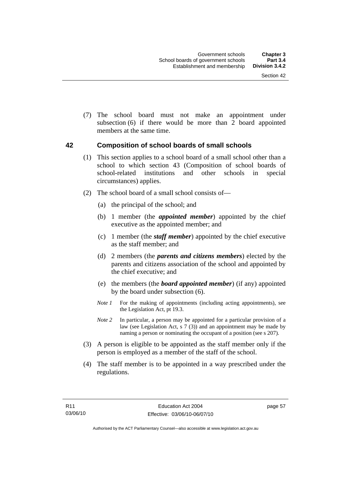(7) The school board must not make an appointment under subsection (6) if there would be more than 2 board appointed members at the same time.

#### **42 Composition of school boards of small schools**

- (1) This section applies to a school board of a small school other than a school to which section 43 (Composition of school boards of school-related institutions and other schools in special circumstances) applies.
- (2) The school board of a small school consists of—
	- (a) the principal of the school; and
	- (b) 1 member (the *appointed member*) appointed by the chief executive as the appointed member; and
	- (c) 1 member (the *staff member*) appointed by the chief executive as the staff member; and
	- (d) 2 members (the *parents and citizens members*) elected by the parents and citizens association of the school and appointed by the chief executive; and
	- (e) the members (the *board appointed member*) (if any) appointed by the board under subsection (6).
	- *Note 1* For the making of appointments (including acting appointments), see the Legislation Act, pt 19.3.
	- *Note* 2 In particular, a person may be appointed for a particular provision of a law (see Legislation Act, s 7 (3)) and an appointment may be made by naming a person or nominating the occupant of a position (see s 207).
- (3) A person is eligible to be appointed as the staff member only if the person is employed as a member of the staff of the school.
- (4) The staff member is to be appointed in a way prescribed under the regulations.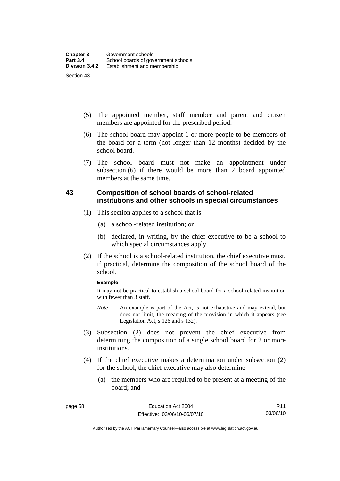- (5) The appointed member, staff member and parent and citizen members are appointed for the prescribed period.
- (6) The school board may appoint 1 or more people to be members of the board for a term (not longer than 12 months) decided by the school board.
- (7) The school board must not make an appointment under subsection (6) if there would be more than 2 board appointed members at the same time.

# **43 Composition of school boards of school-related institutions and other schools in special circumstances**

- (1) This section applies to a school that is—
	- (a) a school-related institution; or
	- (b) declared, in writing, by the chief executive to be a school to which special circumstances apply.
- (2) If the school is a school-related institution, the chief executive must, if practical, determine the composition of the school board of the school.

#### **Example**

It may not be practical to establish a school board for a school-related institution with fewer than 3 staff.

- *Note* An example is part of the Act, is not exhaustive and may extend, but does not limit, the meaning of the provision in which it appears (see Legislation Act, s 126 and s 132).
- (3) Subsection (2) does not prevent the chief executive from determining the composition of a single school board for 2 or more institutions.
- (4) If the chief executive makes a determination under subsection (2) for the school, the chief executive may also determine—
	- (a) the members who are required to be present at a meeting of the board; and

Authorised by the ACT Parliamentary Counsel—also accessible at www.legislation.act.gov.au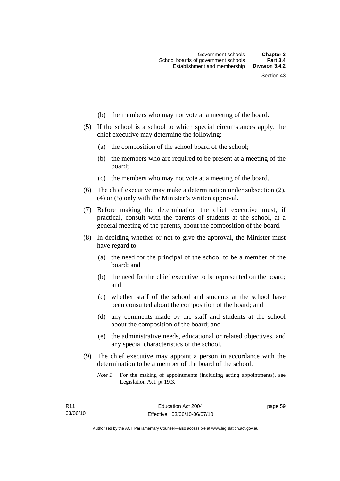- (b) the members who may not vote at a meeting of the board.
- (5) If the school is a school to which special circumstances apply, the chief executive may determine the following:
	- (a) the composition of the school board of the school;
	- (b) the members who are required to be present at a meeting of the board;
	- (c) the members who may not vote at a meeting of the board.
- (6) The chief executive may make a determination under subsection (2), (4) or (5) only with the Minister's written approval.
- (7) Before making the determination the chief executive must, if practical, consult with the parents of students at the school, at a general meeting of the parents, about the composition of the board.
- (8) In deciding whether or not to give the approval, the Minister must have regard to—
	- (a) the need for the principal of the school to be a member of the board; and
	- (b) the need for the chief executive to be represented on the board; and
	- (c) whether staff of the school and students at the school have been consulted about the composition of the board; and
	- (d) any comments made by the staff and students at the school about the composition of the board; and
	- (e) the administrative needs, educational or related objectives, and any special characteristics of the school.
- (9) The chief executive may appoint a person in accordance with the determination to be a member of the board of the school.
	- *Note 1* For the making of appointments (including acting appointments), see Legislation Act, pt 19.3.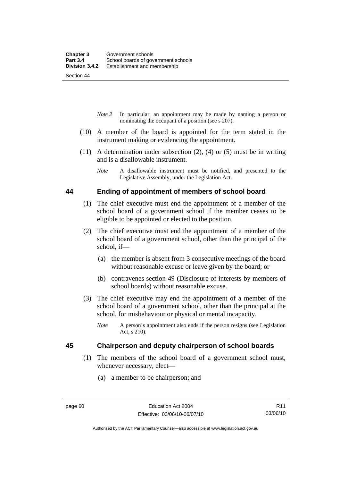Section 44

- *Note 2* In particular, an appointment may be made by naming a person or nominating the occupant of a position (see s 207).
- (10) A member of the board is appointed for the term stated in the instrument making or evidencing the appointment.
- (11) A determination under subsection (2), (4) or (5) must be in writing and is a disallowable instrument.
	- *Note* A disallowable instrument must be notified, and presented to the Legislative Assembly, under the Legislation Act.

#### **44 Ending of appointment of members of school board**

- (1) The chief executive must end the appointment of a member of the school board of a government school if the member ceases to be eligible to be appointed or elected to the position.
- (2) The chief executive must end the appointment of a member of the school board of a government school, other than the principal of the school, if—
	- (a) the member is absent from 3 consecutive meetings of the board without reasonable excuse or leave given by the board; or
	- (b) contravenes section 49 (Disclosure of interests by members of school boards) without reasonable excuse.
- (3) The chief executive may end the appointment of a member of the school board of a government school, other than the principal at the school, for misbehaviour or physical or mental incapacity.
	- *Note* A person's appointment also ends if the person resigns (see Legislation Act, s 210).

# **45 Chairperson and deputy chairperson of school boards**

- (1) The members of the school board of a government school must, whenever necessary, elect—
	- (a) a member to be chairperson; and

Authorised by the ACT Parliamentary Counsel—also accessible at www.legislation.act.gov.au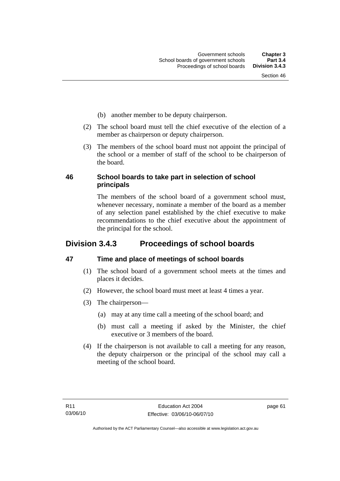- (b) another member to be deputy chairperson.
- (2) The school board must tell the chief executive of the election of a member as chairperson or deputy chairperson.
- (3) The members of the school board must not appoint the principal of the school or a member of staff of the school to be chairperson of the board.

# **46 School boards to take part in selection of school principals**

The members of the school board of a government school must, whenever necessary, nominate a member of the board as a member of any selection panel established by the chief executive to make recommendations to the chief executive about the appointment of the principal for the school.

# **Division 3.4.3 Proceedings of school boards**

# **47 Time and place of meetings of school boards**

- (1) The school board of a government school meets at the times and places it decides.
- (2) However, the school board must meet at least 4 times a year.
- (3) The chairperson—
	- (a) may at any time call a meeting of the school board; and
	- (b) must call a meeting if asked by the Minister, the chief executive or 3 members of the board.
- (4) If the chairperson is not available to call a meeting for any reason, the deputy chairperson or the principal of the school may call a meeting of the school board.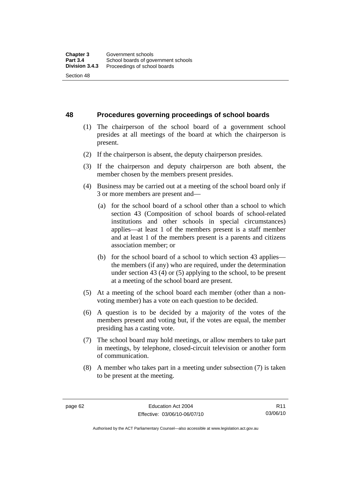**48 Procedures governing proceedings of school boards** 

- (1) The chairperson of the school board of a government school presides at all meetings of the board at which the chairperson is present.
- (2) If the chairperson is absent, the deputy chairperson presides.
- (3) If the chairperson and deputy chairperson are both absent, the member chosen by the members present presides.
- (4) Business may be carried out at a meeting of the school board only if 3 or more members are present and—
	- (a) for the school board of a school other than a school to which section 43 (Composition of school boards of school-related institutions and other schools in special circumstances) applies—at least 1 of the members present is a staff member and at least 1 of the members present is a parents and citizens association member; or
	- (b) for the school board of a school to which section 43 applies the members (if any) who are required, under the determination under section 43 (4) or (5) applying to the school, to be present at a meeting of the school board are present.
- (5) At a meeting of the school board each member (other than a nonvoting member) has a vote on each question to be decided.
- (6) A question is to be decided by a majority of the votes of the members present and voting but, if the votes are equal, the member presiding has a casting vote.
- (7) The school board may hold meetings, or allow members to take part in meetings, by telephone, closed-circuit television or another form of communication.
- (8) A member who takes part in a meeting under subsection (7) is taken to be present at the meeting.

R11 03/06/10

Authorised by the ACT Parliamentary Counsel—also accessible at www.legislation.act.gov.au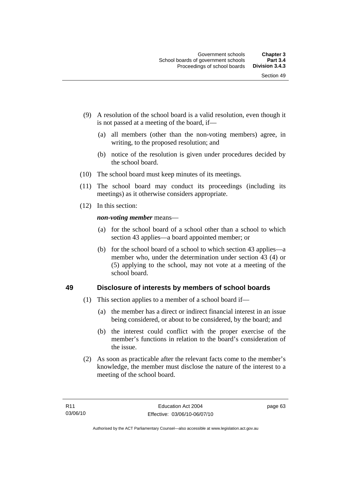- (9) A resolution of the school board is a valid resolution, even though it is not passed at a meeting of the board, if—
	- (a) all members (other than the non-voting members) agree, in writing, to the proposed resolution; and
	- (b) notice of the resolution is given under procedures decided by the school board.
- (10) The school board must keep minutes of its meetings.
- (11) The school board may conduct its proceedings (including its meetings) as it otherwise considers appropriate.
- (12) In this section:

*non-voting member* means—

- (a) for the school board of a school other than a school to which section 43 applies—a board appointed member; or
- (b) for the school board of a school to which section 43 applies—a member who, under the determination under section 43 (4) or (5) applying to the school, may not vote at a meeting of the school board.

# **49 Disclosure of interests by members of school boards**

- (1) This section applies to a member of a school board if—
	- (a) the member has a direct or indirect financial interest in an issue being considered, or about to be considered, by the board; and
	- (b) the interest could conflict with the proper exercise of the member's functions in relation to the board's consideration of the issue.
- (2) As soon as practicable after the relevant facts come to the member's knowledge, the member must disclose the nature of the interest to a meeting of the school board.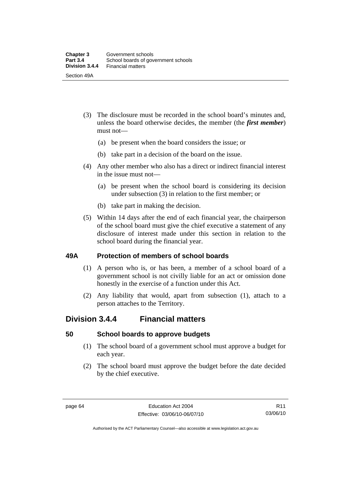- (3) The disclosure must be recorded in the school board's minutes and, unless the board otherwise decides, the member (the *first member*) must not—
	- (a) be present when the board considers the issue; or
	- (b) take part in a decision of the board on the issue.
- (4) Any other member who also has a direct or indirect financial interest in the issue must not—
	- (a) be present when the school board is considering its decision under subsection (3) in relation to the first member; or
	- (b) take part in making the decision.
- (5) Within 14 days after the end of each financial year, the chairperson of the school board must give the chief executive a statement of any disclosure of interest made under this section in relation to the school board during the financial year.

#### **49A Protection of members of school boards**

- (1) A person who is, or has been, a member of a school board of a government school is not civilly liable for an act or omission done honestly in the exercise of a function under this Act.
- (2) Any liability that would, apart from subsection (1), attach to a person attaches to the Territory.

# **Division 3.4.4 Financial matters**

#### **50 School boards to approve budgets**

- (1) The school board of a government school must approve a budget for each year.
- (2) The school board must approve the budget before the date decided by the chief executive.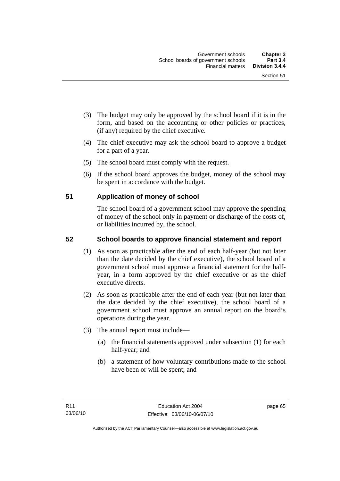- (3) The budget may only be approved by the school board if it is in the form, and based on the accounting or other policies or practices, (if any) required by the chief executive.
- (4) The chief executive may ask the school board to approve a budget for a part of a year.
- (5) The school board must comply with the request.
- (6) If the school board approves the budget, money of the school may be spent in accordance with the budget.

# **51 Application of money of school**

The school board of a government school may approve the spending of money of the school only in payment or discharge of the costs of, or liabilities incurred by, the school.

# **52 School boards to approve financial statement and report**

- (1) As soon as practicable after the end of each half-year (but not later than the date decided by the chief executive), the school board of a government school must approve a financial statement for the halfyear, in a form approved by the chief executive or as the chief executive directs.
- (2) As soon as practicable after the end of each year (but not later than the date decided by the chief executive), the school board of a government school must approve an annual report on the board's operations during the year.
- (3) The annual report must include—
	- (a) the financial statements approved under subsection (1) for each half-year; and
	- (b) a statement of how voluntary contributions made to the school have been or will be spent; and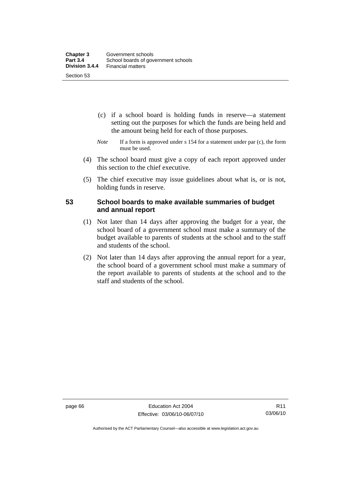- (c) if a school board is holding funds in reserve—a statement setting out the purposes for which the funds are being held and the amount being held for each of those purposes.
- *Note* If a form is approved under s 154 for a statement under par (c), the form must be used.
- (4) The school board must give a copy of each report approved under this section to the chief executive.
- (5) The chief executive may issue guidelines about what is, or is not, holding funds in reserve.

### **53 School boards to make available summaries of budget and annual report**

- (1) Not later than 14 days after approving the budget for a year, the school board of a government school must make a summary of the budget available to parents of students at the school and to the staff and students of the school.
- (2) Not later than 14 days after approving the annual report for a year, the school board of a government school must make a summary of the report available to parents of students at the school and to the staff and students of the school.

page 66 Education Act 2004 Effective: 03/06/10-06/07/10

Authorised by the ACT Parliamentary Counsel—also accessible at www.legislation.act.gov.au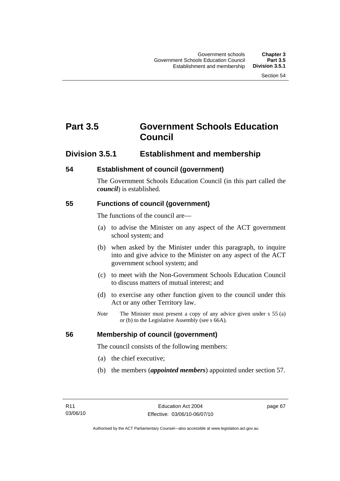# **Part 3.5 Government Schools Education Council**

# **Division 3.5.1 Establishment and membership**

# **54 Establishment of council (government)**

The Government Schools Education Council (in this part called the *council*) is established.

# **55 Functions of council (government)**

The functions of the council are—

- (a) to advise the Minister on any aspect of the ACT government school system; and
- (b) when asked by the Minister under this paragraph, to inquire into and give advice to the Minister on any aspect of the ACT government school system; and
- (c) to meet with the Non-Government Schools Education Council to discuss matters of mutual interest; and
- (d) to exercise any other function given to the council under this Act or any other Territory law.
- *Note* The Minister must present a copy of any advice given under s 55 (a) or (b) to the Legislative Assembly (see s 66A).

# **56 Membership of council (government)**

The council consists of the following members:

- (a) the chief executive;
- (b) the members (*appointed members*) appointed under section 57.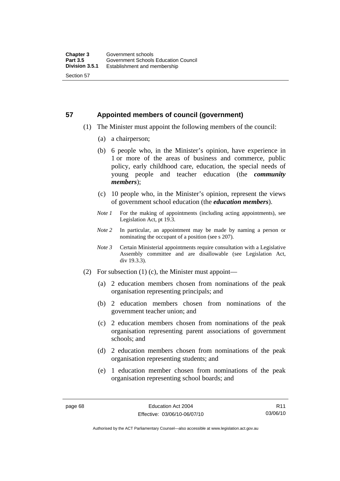# **57 Appointed members of council (government)**

- (1) The Minister must appoint the following members of the council:
	- (a) a chairperson;
	- (b) 6 people who, in the Minister's opinion, have experience in 1 or more of the areas of business and commerce, public policy, early childhood care, education, the special needs of young people and teacher education (the *community members*);
	- (c) 10 people who, in the Minister's opinion, represent the views of government school education (the *education members*).
	- *Note 1* For the making of appointments (including acting appointments), see Legislation Act, pt 19.3.
	- *Note 2* In particular, an appointment may be made by naming a person or nominating the occupant of a position (see s 207).
	- *Note 3* Certain Ministerial appointments require consultation with a Legislative Assembly committee and are disallowable (see Legislation Act, div 19.3.3).
- (2) For subsection (1) (c), the Minister must appoint—
	- (a) 2 education members chosen from nominations of the peak organisation representing principals; and
	- (b) 2 education members chosen from nominations of the government teacher union; and
	- (c) 2 education members chosen from nominations of the peak organisation representing parent associations of government schools; and
	- (d) 2 education members chosen from nominations of the peak organisation representing students; and
	- (e) 1 education member chosen from nominations of the peak organisation representing school boards; and

R11 03/06/10

Authorised by the ACT Parliamentary Counsel—also accessible at www.legislation.act.gov.au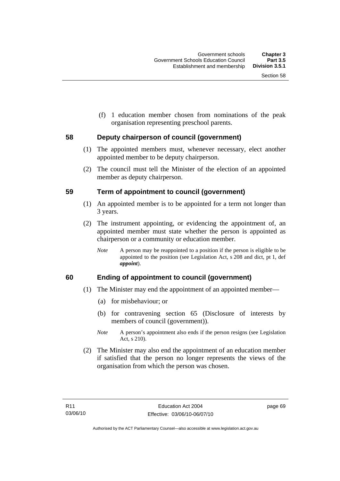(f) 1 education member chosen from nominations of the peak organisation representing preschool parents.

# **58 Deputy chairperson of council (government)**

- (1) The appointed members must, whenever necessary, elect another appointed member to be deputy chairperson.
- (2) The council must tell the Minister of the election of an appointed member as deputy chairperson.

#### **59 Term of appointment to council (government)**

- (1) An appointed member is to be appointed for a term not longer than 3 years.
- (2) The instrument appointing, or evidencing the appointment of, an appointed member must state whether the person is appointed as chairperson or a community or education member.
	- *Note* A person may be reappointed to a position if the person is eligible to be appointed to the position (see Legislation Act, s 208 and dict, pt 1, def *appoint*).

# **60 Ending of appointment to council (government)**

- (1) The Minister may end the appointment of an appointed member—
	- (a) for misbehaviour; or
	- (b) for contravening section 65 (Disclosure of interests by members of council (government)).
	- *Note* A person's appointment also ends if the person resigns (see Legislation Act, s 210).
- (2) The Minister may also end the appointment of an education member if satisfied that the person no longer represents the views of the organisation from which the person was chosen.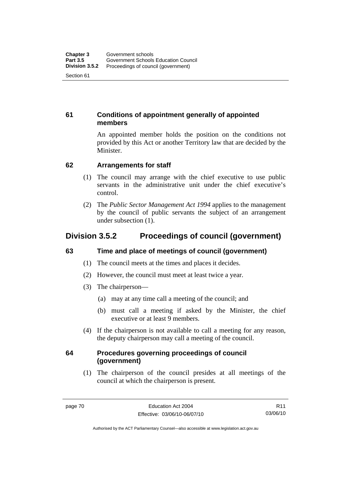# **61 Conditions of appointment generally of appointed members**

An appointed member holds the position on the conditions not provided by this Act or another Territory law that are decided by the Minister.

# **62 Arrangements for staff**

- (1) The council may arrange with the chief executive to use public servants in the administrative unit under the chief executive's control.
- (2) The *Public Sector Management Act 1994* applies to the management by the council of public servants the subject of an arrangement under subsection (1).

# **Division 3.5.2 Proceedings of council (government)**

# **63 Time and place of meetings of council (government)**

- (1) The council meets at the times and places it decides.
- (2) However, the council must meet at least twice a year.
- (3) The chairperson—
	- (a) may at any time call a meeting of the council; and
	- (b) must call a meeting if asked by the Minister, the chief executive or at least 9 members.
- (4) If the chairperson is not available to call a meeting for any reason, the deputy chairperson may call a meeting of the council.

# **64 Procedures governing proceedings of council (government)**

 (1) The chairperson of the council presides at all meetings of the council at which the chairperson is present.

R11 03/06/10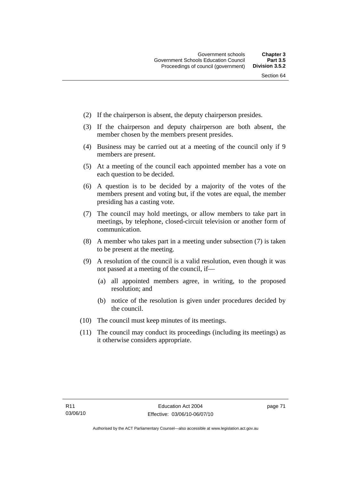- (2) If the chairperson is absent, the deputy chairperson presides.
- (3) If the chairperson and deputy chairperson are both absent, the member chosen by the members present presides.
- (4) Business may be carried out at a meeting of the council only if 9 members are present.
- (5) At a meeting of the council each appointed member has a vote on each question to be decided.
- (6) A question is to be decided by a majority of the votes of the members present and voting but, if the votes are equal, the member presiding has a casting vote.
- (7) The council may hold meetings, or allow members to take part in meetings, by telephone, closed-circuit television or another form of communication.
- (8) A member who takes part in a meeting under subsection (7) is taken to be present at the meeting.
- (9) A resolution of the council is a valid resolution, even though it was not passed at a meeting of the council, if—
	- (a) all appointed members agree, in writing, to the proposed resolution; and
	- (b) notice of the resolution is given under procedures decided by the council.
- (10) The council must keep minutes of its meetings.
- (11) The council may conduct its proceedings (including its meetings) as it otherwise considers appropriate.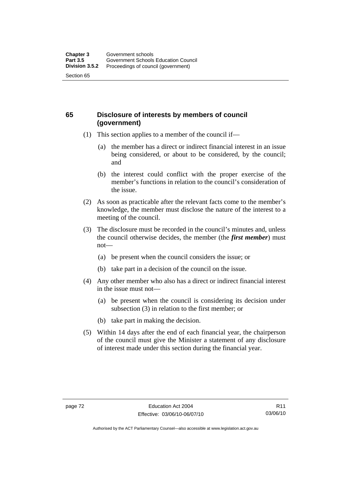# **65 Disclosure of interests by members of council (government)**

- (1) This section applies to a member of the council if—
	- (a) the member has a direct or indirect financial interest in an issue being considered, or about to be considered, by the council; and
	- (b) the interest could conflict with the proper exercise of the member's functions in relation to the council's consideration of the issue.
- (2) As soon as practicable after the relevant facts come to the member's knowledge, the member must disclose the nature of the interest to a meeting of the council.
- (3) The disclosure must be recorded in the council's minutes and, unless the council otherwise decides, the member (the *first member*) must not—
	- (a) be present when the council considers the issue; or
	- (b) take part in a decision of the council on the issue.
- (4) Any other member who also has a direct or indirect financial interest in the issue must not—
	- (a) be present when the council is considering its decision under subsection (3) in relation to the first member; or
	- (b) take part in making the decision.
- (5) Within 14 days after the end of each financial year, the chairperson of the council must give the Minister a statement of any disclosure of interest made under this section during the financial year.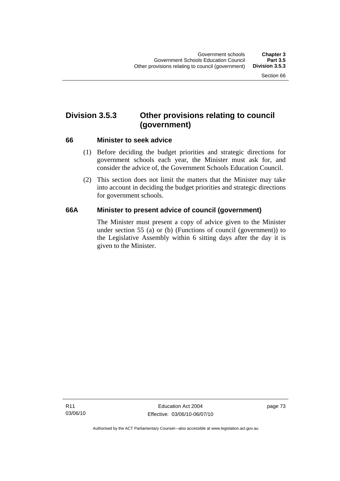# **Division 3.5.3 Other provisions relating to council (government)**

#### **66 Minister to seek advice**

- (1) Before deciding the budget priorities and strategic directions for government schools each year, the Minister must ask for, and consider the advice of, the Government Schools Education Council.
- (2) This section does not limit the matters that the Minister may take into account in deciding the budget priorities and strategic directions for government schools.

# **66A Minister to present advice of council (government)**

The Minister must present a copy of advice given to the Minister under section 55 (a) or (b) (Functions of council (government)) to the Legislative Assembly within 6 sitting days after the day it is given to the Minister.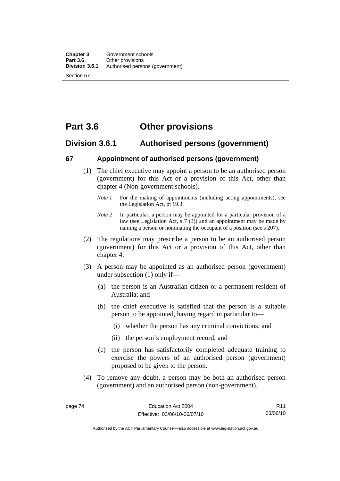# **Part 3.6 Other provisions**

# **Division 3.6.1 Authorised persons (government)**

#### **67 Appointment of authorised persons (government)**

- (1) The chief executive may appoint a person to be an authorised person (government) for this Act or a provision of this Act, other than chapter 4 (Non-government schools).
	- *Note 1* For the making of appointments (including acting appointments), see the Legislation Act, pt 19.3.
	- *Note 2* In particular, a person may be appointed for a particular provision of a law (see Legislation Act, s 7 (3)) and an appointment may be made by naming a person or nominating the occupant of a position (see s 207).
- (2) The regulations may prescribe a person to be an authorised person (government) for this Act or a provision of this Act, other than chapter 4.
- (3) A person may be appointed as an authorised person (government) under subsection (1) only if—
	- (a) the person is an Australian citizen or a permanent resident of Australia; and
	- (b) the chief executive is satisfied that the person is a suitable person to be appointed, having regard in particular to—
		- (i) whether the person has any criminal convictions; and
		- (ii) the person's employment record; and
	- (c) the person has satisfactorily completed adequate training to exercise the powers of an authorised person (government) proposed to be given to the person.
- (4) To remove any doubt, a person may be both an authorised person (government) and an authorised person (non-government).

R11 03/06/10

Authorised by the ACT Parliamentary Counsel—also accessible at www.legislation.act.gov.au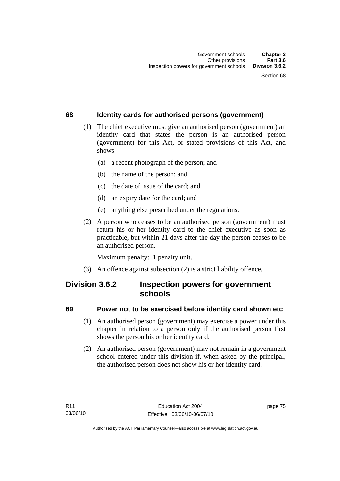# **68 Identity cards for authorised persons (government)**

- (1) The chief executive must give an authorised person (government) an identity card that states the person is an authorised person (government) for this Act, or stated provisions of this Act, and shows—
	- (a) a recent photograph of the person; and
	- (b) the name of the person; and
	- (c) the date of issue of the card; and
	- (d) an expiry date for the card; and
	- (e) anything else prescribed under the regulations.
- (2) A person who ceases to be an authorised person (government) must return his or her identity card to the chief executive as soon as practicable, but within 21 days after the day the person ceases to be an authorised person.

Maximum penalty: 1 penalty unit.

(3) An offence against subsection (2) is a strict liability offence.

# **Division 3.6.2 Inspection powers for government schools**

# **69 Power not to be exercised before identity card shown etc**

- (1) An authorised person (government) may exercise a power under this chapter in relation to a person only if the authorised person first shows the person his or her identity card.
- (2) An authorised person (government) may not remain in a government school entered under this division if, when asked by the principal, the authorised person does not show his or her identity card.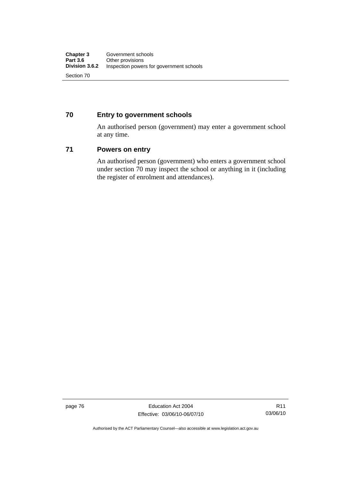# **70 Entry to government schools**

An authorised person (government) may enter a government school at any time.

#### **71 Powers on entry**

An authorised person (government) who enters a government school under section 70 may inspect the school or anything in it (including the register of enrolment and attendances).

page 76 **Education Act 2004** Effective: 03/06/10-06/07/10

Authorised by the ACT Parliamentary Counsel—also accessible at www.legislation.act.gov.au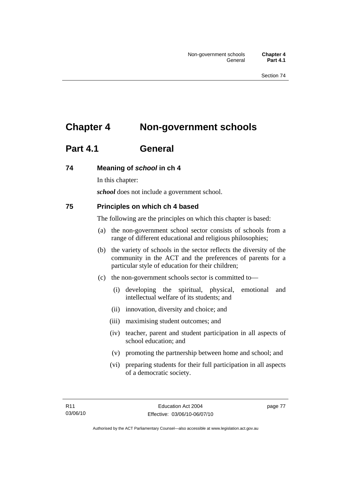# **Chapter 4 Non-government schools**

# **Part 4.1 General**

# **74 Meaning of** *school* **in ch 4**

In this chapter:

*school* does not include a government school.

# **75 Principles on which ch 4 based**

The following are the principles on which this chapter is based:

- (a) the non-government school sector consists of schools from a range of different educational and religious philosophies;
- (b) the variety of schools in the sector reflects the diversity of the community in the ACT and the preferences of parents for a particular style of education for their children;
- (c) the non-government schools sector is committed to—
	- (i) developing the spiritual, physical, emotional and intellectual welfare of its students; and
	- (ii) innovation, diversity and choice; and
	- (iii) maximising student outcomes; and
	- (iv) teacher, parent and student participation in all aspects of school education; and
	- (v) promoting the partnership between home and school; and
	- (vi) preparing students for their full participation in all aspects of a democratic society.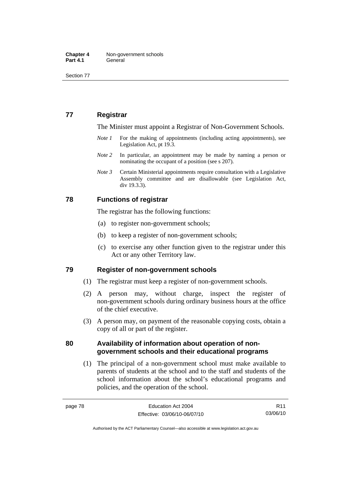# **77 Registrar**

The Minister must appoint a Registrar of Non-Government Schools.

- *Note 1* For the making of appointments (including acting appointments), see Legislation Act, pt 19.3.
- *Note* 2 In particular, an appointment may be made by naming a person or nominating the occupant of a position (see s 207).
- *Note 3* Certain Ministerial appointments require consultation with a Legislative Assembly committee and are disallowable (see Legislation Act, div 19.3.3).

#### **78 Functions of registrar**

The registrar has the following functions:

- (a) to register non-government schools;
- (b) to keep a register of non-government schools;
- (c) to exercise any other function given to the registrar under this Act or any other Territory law.

#### **79 Register of non-government schools**

- (1) The registrar must keep a register of non-government schools.
- (2) A person may, without charge, inspect the register of non-government schools during ordinary business hours at the office of the chief executive.
- (3) A person may, on payment of the reasonable copying costs, obtain a copy of all or part of the register.

#### **80 Availability of information about operation of nongovernment schools and their educational programs**

 (1) The principal of a non-government school must make available to parents of students at the school and to the staff and students of the school information about the school's educational programs and policies, and the operation of the school.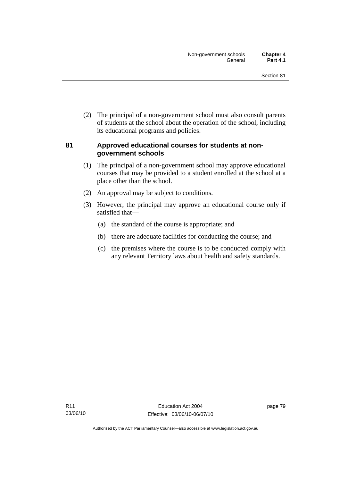(2) The principal of a non-government school must also consult parents of students at the school about the operation of the school, including its educational programs and policies.

### **81 Approved educational courses for students at nongovernment schools**

- (1) The principal of a non-government school may approve educational courses that may be provided to a student enrolled at the school at a place other than the school.
- (2) An approval may be subject to conditions.
- (3) However, the principal may approve an educational course only if satisfied that—
	- (a) the standard of the course is appropriate; and
	- (b) there are adequate facilities for conducting the course; and
	- (c) the premises where the course is to be conducted comply with any relevant Territory laws about health and safety standards.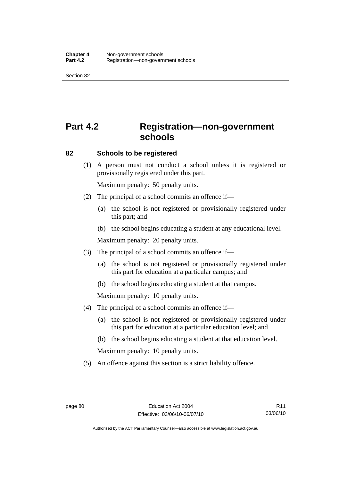# **Part 4.2 Registration—non-government schools**

#### **82 Schools to be registered**

 (1) A person must not conduct a school unless it is registered or provisionally registered under this part.

Maximum penalty: 50 penalty units.

- (2) The principal of a school commits an offence if—
	- (a) the school is not registered or provisionally registered under this part; and
	- (b) the school begins educating a student at any educational level.

Maximum penalty: 20 penalty units.

- (3) The principal of a school commits an offence if—
	- (a) the school is not registered or provisionally registered under this part for education at a particular campus; and
	- (b) the school begins educating a student at that campus.

Maximum penalty: 10 penalty units.

- (4) The principal of a school commits an offence if—
	- (a) the school is not registered or provisionally registered under this part for education at a particular education level; and
	- (b) the school begins educating a student at that education level.

Maximum penalty: 10 penalty units.

(5) An offence against this section is a strict liability offence.

R11 03/06/10

Authorised by the ACT Parliamentary Counsel—also accessible at www.legislation.act.gov.au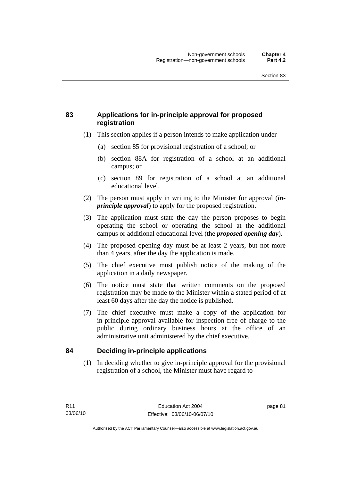# **83 Applications for in-principle approval for proposed registration**

- (1) This section applies if a person intends to make application under—
	- (a) section 85 for provisional registration of a school; or
	- (b) section 88A for registration of a school at an additional campus; or
	- (c) section 89 for registration of a school at an additional educational level.
- (2) The person must apply in writing to the Minister for approval (*inprinciple approval*) to apply for the proposed registration.
- (3) The application must state the day the person proposes to begin operating the school or operating the school at the additional campus or additional educational level (the *proposed opening day*).
- (4) The proposed opening day must be at least 2 years, but not more than 4 years, after the day the application is made.
- (5) The chief executive must publish notice of the making of the application in a daily newspaper.
- (6) The notice must state that written comments on the proposed registration may be made to the Minister within a stated period of at least 60 days after the day the notice is published.
- (7) The chief executive must make a copy of the application for in-principle approval available for inspection free of charge to the public during ordinary business hours at the office of an administrative unit administered by the chief executive.

# **84 Deciding in-principle applications**

 (1) In deciding whether to give in-principle approval for the provisional registration of a school, the Minister must have regard to—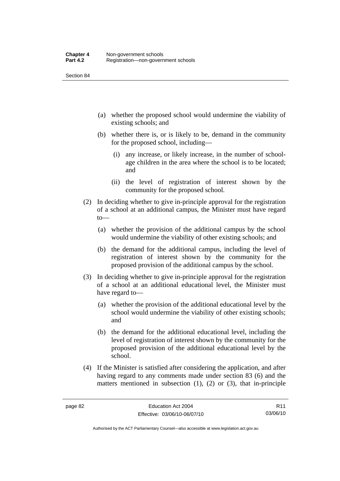- (a) whether the proposed school would undermine the viability of existing schools; and
- (b) whether there is, or is likely to be, demand in the community for the proposed school, including—
	- (i) any increase, or likely increase, in the number of schoolage children in the area where the school is to be located; and
	- (ii) the level of registration of interest shown by the community for the proposed school.
- (2) In deciding whether to give in-principle approval for the registration of a school at an additional campus, the Minister must have regard to—
	- (a) whether the provision of the additional campus by the school would undermine the viability of other existing schools; and
	- (b) the demand for the additional campus, including the level of registration of interest shown by the community for the proposed provision of the additional campus by the school.
- (3) In deciding whether to give in-principle approval for the registration of a school at an additional educational level, the Minister must have regard to—
	- (a) whether the provision of the additional educational level by the school would undermine the viability of other existing schools; and
	- (b) the demand for the additional educational level, including the level of registration of interest shown by the community for the proposed provision of the additional educational level by the school.
- (4) If the Minister is satisfied after considering the application, and after having regard to any comments made under section 83 (6) and the matters mentioned in subsection (1), (2) or (3), that in-principle

R11 03/06/10

Authorised by the ACT Parliamentary Counsel—also accessible at www.legislation.act.gov.au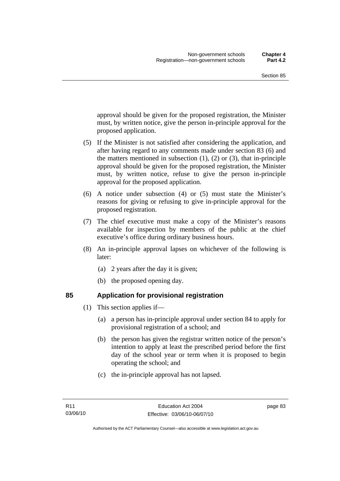approval should be given for the proposed registration, the Minister must, by written notice, give the person in-principle approval for the proposed application.

- (5) If the Minister is not satisfied after considering the application, and after having regard to any comments made under section 83 (6) and the matters mentioned in subsection  $(1)$ ,  $(2)$  or  $(3)$ , that in-principle approval should be given for the proposed registration, the Minister must, by written notice, refuse to give the person in-principle approval for the proposed application.
- (6) A notice under subsection (4) or (5) must state the Minister's reasons for giving or refusing to give in-principle approval for the proposed registration.
- (7) The chief executive must make a copy of the Minister's reasons available for inspection by members of the public at the chief executive's office during ordinary business hours.
- (8) An in-principle approval lapses on whichever of the following is later:
	- (a) 2 years after the day it is given;
	- (b) the proposed opening day.

- **85 Application for provisional registration** 
	- (1) This section applies if—
		- (a) a person has in-principle approval under section 84 to apply for provisional registration of a school; and
		- (b) the person has given the registrar written notice of the person's intention to apply at least the prescribed period before the first day of the school year or term when it is proposed to begin operating the school; and
		- (c) the in-principle approval has not lapsed.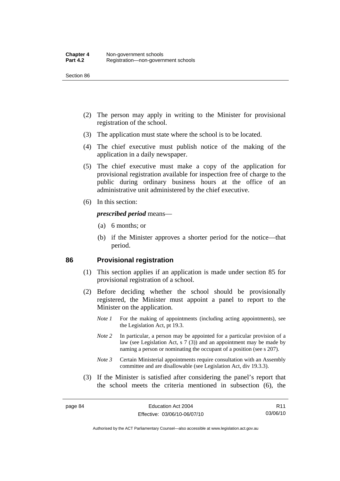- (2) The person may apply in writing to the Minister for provisional registration of the school.
- (3) The application must state where the school is to be located.
- (4) The chief executive must publish notice of the making of the application in a daily newspaper.
- (5) The chief executive must make a copy of the application for provisional registration available for inspection free of charge to the public during ordinary business hours at the office of an administrative unit administered by the chief executive.
- (6) In this section:

#### *prescribed period* means—

- (a) 6 months; or
- (b) if the Minister approves a shorter period for the notice—that period.

#### **86 Provisional registration**

- (1) This section applies if an application is made under section 85 for provisional registration of a school.
- (2) Before deciding whether the school should be provisionally registered, the Minister must appoint a panel to report to the Minister on the application.
	- *Note 1* For the making of appointments (including acting appointments), see the Legislation Act, pt 19.3.
	- *Note 2* In particular, a person may be appointed for a particular provision of a law (see Legislation Act, s 7 (3)) and an appointment may be made by naming a person or nominating the occupant of a position (see s 207).
	- *Note 3* Certain Ministerial appointments require consultation with an Assembly committee and are disallowable (see Legislation Act, div 19.3.3).
- (3) If the Minister is satisfied after considering the panel's report that the school meets the criteria mentioned in subsection (6), the

Authorised by the ACT Parliamentary Counsel—also accessible at www.legislation.act.gov.au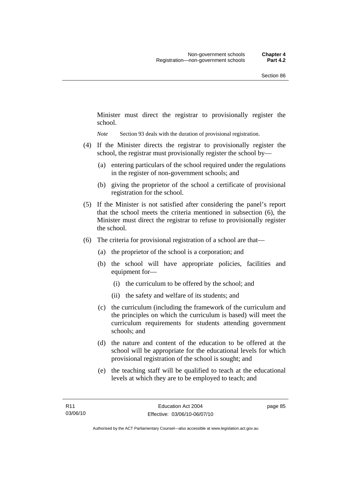Minister must direct the registrar to provisionally register the school.

*Note* Section 93 deals with the duration of provisional registration.

- (4) If the Minister directs the registrar to provisionally register the school, the registrar must provisionally register the school by—
	- (a) entering particulars of the school required under the regulations in the register of non-government schools; and
	- (b) giving the proprietor of the school a certificate of provisional registration for the school.
- (5) If the Minister is not satisfied after considering the panel's report that the school meets the criteria mentioned in subsection (6), the Minister must direct the registrar to refuse to provisionally register the school.
- (6) The criteria for provisional registration of a school are that—
	- (a) the proprietor of the school is a corporation; and
	- (b) the school will have appropriate policies, facilities and equipment for—
		- (i) the curriculum to be offered by the school; and
		- (ii) the safety and welfare of its students; and
	- (c) the curriculum (including the framework of the curriculum and the principles on which the curriculum is based) will meet the curriculum requirements for students attending government schools; and
	- (d) the nature and content of the education to be offered at the school will be appropriate for the educational levels for which provisional registration of the school is sought; and
	- (e) the teaching staff will be qualified to teach at the educational levels at which they are to be employed to teach; and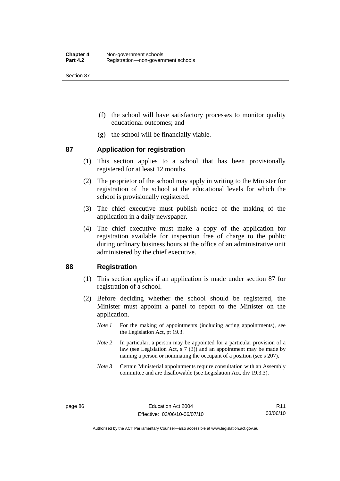- (f) the school will have satisfactory processes to monitor quality educational outcomes; and
- (g) the school will be financially viable.

#### **87 Application for registration**

- (1) This section applies to a school that has been provisionally registered for at least 12 months.
- (2) The proprietor of the school may apply in writing to the Minister for registration of the school at the educational levels for which the school is provisionally registered.
- (3) The chief executive must publish notice of the making of the application in a daily newspaper.
- (4) The chief executive must make a copy of the application for registration available for inspection free of charge to the public during ordinary business hours at the office of an administrative unit administered by the chief executive.

#### **88 Registration**

- (1) This section applies if an application is made under section 87 for registration of a school.
- (2) Before deciding whether the school should be registered, the Minister must appoint a panel to report to the Minister on the application.
	- *Note 1* For the making of appointments (including acting appointments), see the Legislation Act, pt 19.3.
	- *Note 2* In particular, a person may be appointed for a particular provision of a law (see Legislation Act, s 7 (3)) and an appointment may be made by naming a person or nominating the occupant of a position (see s 207).
	- *Note 3* Certain Ministerial appointments require consultation with an Assembly committee and are disallowable (see Legislation Act, div 19.3.3).

Authorised by the ACT Parliamentary Counsel—also accessible at www.legislation.act.gov.au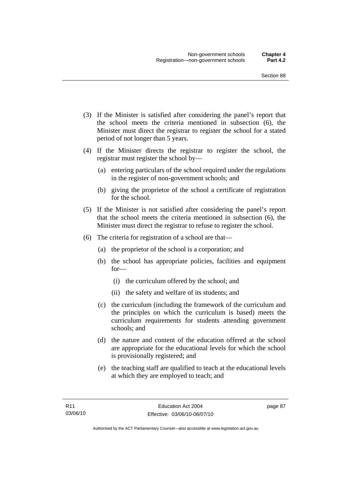- (3) If the Minister is satisfied after considering the panel's report that the school meets the criteria mentioned in subsection (6), the Minister must direct the registrar to register the school for a stated period of not longer than 5 years.
- (4) If the Minister directs the registrar to register the school, the registrar must register the school by—
	- (a) entering particulars of the school required under the regulations in the register of non-government schools; and
	- (b) giving the proprietor of the school a certificate of registration for the school.
- (5) If the Minister is not satisfied after considering the panel's report that the school meets the criteria mentioned in subsection (6), the Minister must direct the registrar to refuse to register the school.
- (6) The criteria for registration of a school are that—
	- (a) the proprietor of the school is a corporation; and
	- (b) the school has appropriate policies, facilities and equipment for—
		- (i) the curriculum offered by the school; and
		- (ii) the safety and welfare of its students; and
	- (c) the curriculum (including the framework of the curriculum and the principles on which the curriculum is based) meets the curriculum requirements for students attending government schools; and
	- (d) the nature and content of the education offered at the school are appropriate for the educational levels for which the school is provisionally registered; and
	- (e) the teaching staff are qualified to teach at the educational levels at which they are employed to teach; and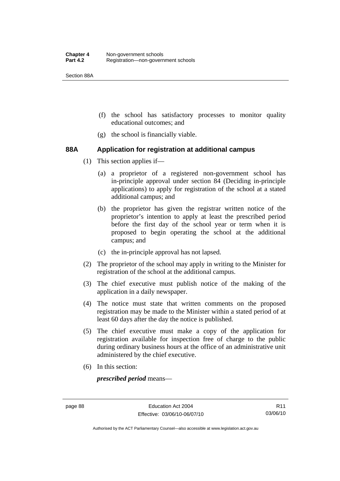Section 88A

- (f) the school has satisfactory processes to monitor quality educational outcomes; and
- (g) the school is financially viable.

#### **88A Application for registration at additional campus**

- (1) This section applies if—
	- (a) a proprietor of a registered non-government school has in-principle approval under section 84 (Deciding in-principle applications) to apply for registration of the school at a stated additional campus; and
	- (b) the proprietor has given the registrar written notice of the proprietor's intention to apply at least the prescribed period before the first day of the school year or term when it is proposed to begin operating the school at the additional campus; and
	- (c) the in-principle approval has not lapsed.
- (2) The proprietor of the school may apply in writing to the Minister for registration of the school at the additional campus.
- (3) The chief executive must publish notice of the making of the application in a daily newspaper.
- (4) The notice must state that written comments on the proposed registration may be made to the Minister within a stated period of at least 60 days after the day the notice is published.
- (5) The chief executive must make a copy of the application for registration available for inspection free of charge to the public during ordinary business hours at the office of an administrative unit administered by the chief executive.
- (6) In this section:

*prescribed period* means—

Authorised by the ACT Parliamentary Counsel—also accessible at www.legislation.act.gov.au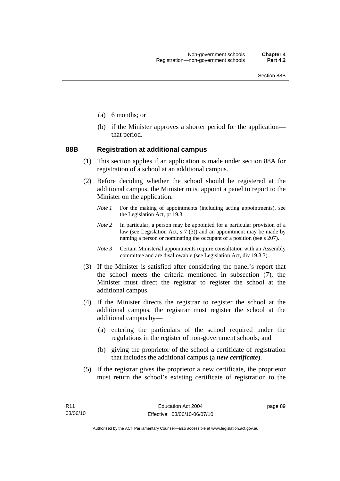- (a) 6 months; or
- (b) if the Minister approves a shorter period for the application that period.

#### **88B Registration at additional campus**

- (1) This section applies if an application is made under section 88A for registration of a school at an additional campus.
- (2) Before deciding whether the school should be registered at the additional campus, the Minister must appoint a panel to report to the Minister on the application.
	- *Note 1* For the making of appointments (including acting appointments), see the Legislation Act, pt 19.3.
	- *Note 2* In particular, a person may be appointed for a particular provision of a law (see Legislation Act, s  $7(3)$ ) and an appointment may be made by naming a person or nominating the occupant of a position (see s 207).
	- *Note 3* Certain Ministerial appointments require consultation with an Assembly committee and are disallowable (see Legislation Act, div 19.3.3).
- (3) If the Minister is satisfied after considering the panel's report that the school meets the criteria mentioned in subsection (7), the Minister must direct the registrar to register the school at the additional campus.
- (4) If the Minister directs the registrar to register the school at the additional campus, the registrar must register the school at the additional campus by—
	- (a) entering the particulars of the school required under the regulations in the register of non-government schools; and
	- (b) giving the proprietor of the school a certificate of registration that includes the additional campus (a *new certificate*).
- (5) If the registrar gives the proprietor a new certificate, the proprietor must return the school's existing certificate of registration to the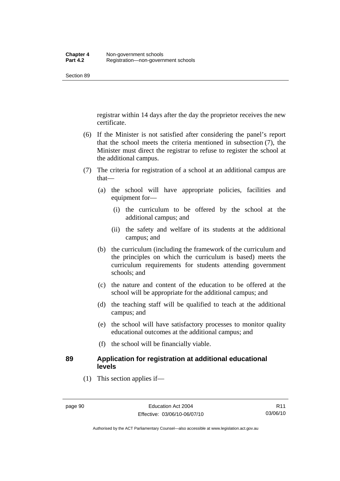registrar within 14 days after the day the proprietor receives the new certificate.

- (6) If the Minister is not satisfied after considering the panel's report that the school meets the criteria mentioned in subsection (7), the Minister must direct the registrar to refuse to register the school at the additional campus.
- (7) The criteria for registration of a school at an additional campus are that—
	- (a) the school will have appropriate policies, facilities and equipment for—
		- (i) the curriculum to be offered by the school at the additional campus; and
		- (ii) the safety and welfare of its students at the additional campus; and
	- (b) the curriculum (including the framework of the curriculum and the principles on which the curriculum is based) meets the curriculum requirements for students attending government schools; and
	- (c) the nature and content of the education to be offered at the school will be appropriate for the additional campus; and
	- (d) the teaching staff will be qualified to teach at the additional campus; and
	- (e) the school will have satisfactory processes to monitor quality educational outcomes at the additional campus; and
	- (f) the school will be financially viable.

# **89 Application for registration at additional educational levels**

(1) This section applies if—

Authorised by the ACT Parliamentary Counsel—also accessible at www.legislation.act.gov.au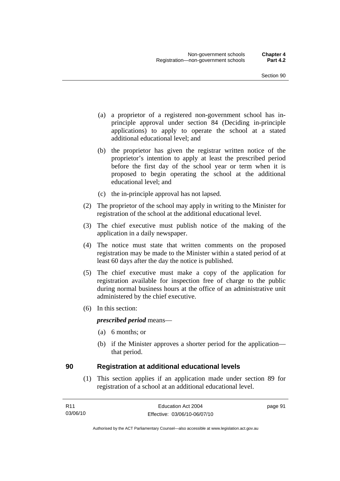- (a) a proprietor of a registered non-government school has inprinciple approval under section 84 (Deciding in-principle applications) to apply to operate the school at a stated additional educational level; and
- (b) the proprietor has given the registrar written notice of the proprietor's intention to apply at least the prescribed period before the first day of the school year or term when it is proposed to begin operating the school at the additional educational level; and
- (c) the in-principle approval has not lapsed.
- (2) The proprietor of the school may apply in writing to the Minister for registration of the school at the additional educational level.
- (3) The chief executive must publish notice of the making of the application in a daily newspaper.
- (4) The notice must state that written comments on the proposed registration may be made to the Minister within a stated period of at least 60 days after the day the notice is published.
- (5) The chief executive must make a copy of the application for registration available for inspection free of charge to the public during normal business hours at the office of an administrative unit administered by the chief executive.
- (6) In this section:

#### *prescribed period* means—

- (a) 6 months; or
- (b) if the Minister approves a shorter period for the application that period.

#### **90 Registration at additional educational levels**

 (1) This section applies if an application made under section 89 for registration of a school at an additional educational level.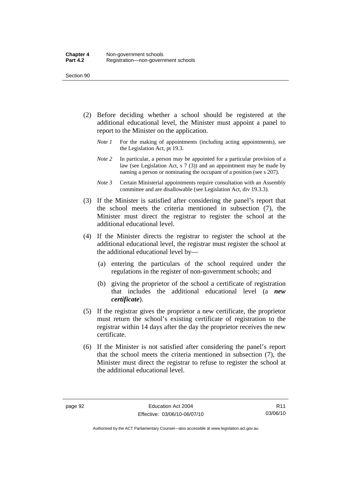- (2) Before deciding whether a school should be registered at the additional educational level, the Minister must appoint a panel to report to the Minister on the application.
	- *Note 1* For the making of appointments (including acting appointments), see the Legislation Act, pt 19.3.
	- *Note 2* In particular, a person may be appointed for a particular provision of a law (see Legislation Act, s 7 (3)) and an appointment may be made by naming a person or nominating the occupant of a position (see s 207).
	- *Note 3* Certain Ministerial appointments require consultation with an Assembly committee and are disallowable (see Legislation Act, div 19.3.3).
- (3) If the Minister is satisfied after considering the panel's report that the school meets the criteria mentioned in subsection (7), the Minister must direct the registrar to register the school at the additional educational level.
- (4) If the Minister directs the registrar to register the school at the additional educational level, the registrar must register the school at the additional educational level by—
	- (a) entering the particulars of the school required under the regulations in the register of non-government schools; and
	- (b) giving the proprietor of the school a certificate of registration that includes the additional educational level (a *new certificate*).
- (5) If the registrar gives the proprietor a new certificate, the proprietor must return the school's existing certificate of registration to the registrar within 14 days after the day the proprietor receives the new certificate.
- (6) If the Minister is not satisfied after considering the panel's report that the school meets the criteria mentioned in subsection (7), the Minister must direct the registrar to refuse to register the school at the additional educational level.

R11 03/06/10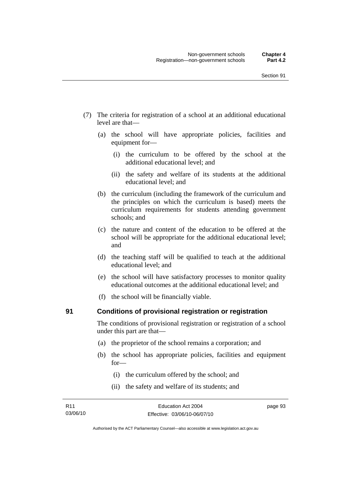- (7) The criteria for registration of a school at an additional educational level are that—
	- (a) the school will have appropriate policies, facilities and equipment for—
		- (i) the curriculum to be offered by the school at the additional educational level; and
		- (ii) the safety and welfare of its students at the additional educational level; and
	- (b) the curriculum (including the framework of the curriculum and the principles on which the curriculum is based) meets the curriculum requirements for students attending government schools; and
	- (c) the nature and content of the education to be offered at the school will be appropriate for the additional educational level; and
	- (d) the teaching staff will be qualified to teach at the additional educational level; and
	- (e) the school will have satisfactory processes to monitor quality educational outcomes at the additional educational level; and
	- (f) the school will be financially viable.

#### **91 Conditions of provisional registration or registration**

The conditions of provisional registration or registration of a school under this part are that—

- (a) the proprietor of the school remains a corporation; and
- (b) the school has appropriate policies, facilities and equipment for—
	- (i) the curriculum offered by the school; and
	- (ii) the safety and welfare of its students; and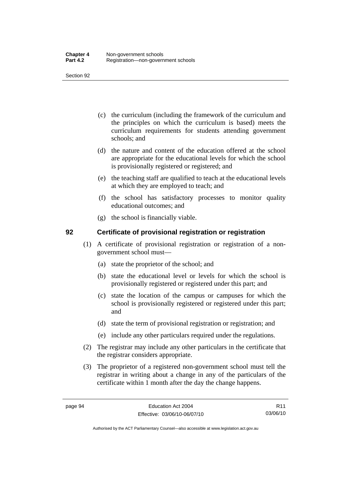- (c) the curriculum (including the framework of the curriculum and the principles on which the curriculum is based) meets the curriculum requirements for students attending government schools; and
- (d) the nature and content of the education offered at the school are appropriate for the educational levels for which the school is provisionally registered or registered; and
- (e) the teaching staff are qualified to teach at the educational levels at which they are employed to teach; and
- (f) the school has satisfactory processes to monitor quality educational outcomes; and
- (g) the school is financially viable.

# **92 Certificate of provisional registration or registration**

- (1) A certificate of provisional registration or registration of a nongovernment school must—
	- (a) state the proprietor of the school; and
	- (b) state the educational level or levels for which the school is provisionally registered or registered under this part; and
	- (c) state the location of the campus or campuses for which the school is provisionally registered or registered under this part; and
	- (d) state the term of provisional registration or registration; and
	- (e) include any other particulars required under the regulations.
- (2) The registrar may include any other particulars in the certificate that the registrar considers appropriate.
- (3) The proprietor of a registered non-government school must tell the registrar in writing about a change in any of the particulars of the certificate within 1 month after the day the change happens.

R11 03/06/10

Authorised by the ACT Parliamentary Counsel—also accessible at www.legislation.act.gov.au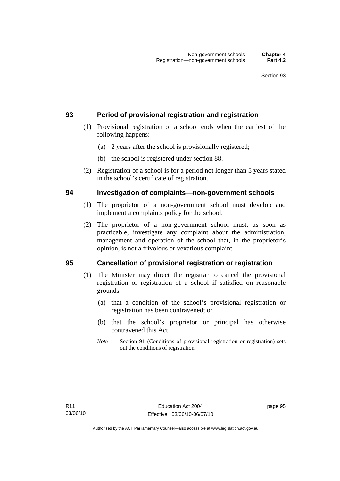# **93 Period of provisional registration and registration**

- (1) Provisional registration of a school ends when the earliest of the following happens:
	- (a) 2 years after the school is provisionally registered;
	- (b) the school is registered under section 88.
- (2) Registration of a school is for a period not longer than 5 years stated in the school's certificate of registration.

# **94 Investigation of complaints—non-government schools**

- (1) The proprietor of a non-government school must develop and implement a complaints policy for the school.
- (2) The proprietor of a non-government school must, as soon as practicable, investigate any complaint about the administration, management and operation of the school that, in the proprietor's opinion, is not a frivolous or vexatious complaint.

# **95 Cancellation of provisional registration or registration**

- (1) The Minister may direct the registrar to cancel the provisional registration or registration of a school if satisfied on reasonable grounds—
	- (a) that a condition of the school's provisional registration or registration has been contravened; or
	- (b) that the school's proprietor or principal has otherwise contravened this Act.
	- *Note* Section 91 (Conditions of provisional registration or registration) sets out the conditions of registration.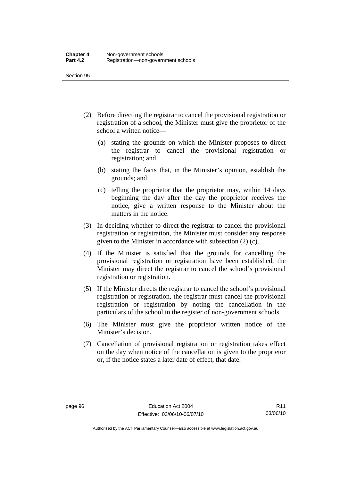- (2) Before directing the registrar to cancel the provisional registration or registration of a school, the Minister must give the proprietor of the school a written notice—
	- (a) stating the grounds on which the Minister proposes to direct the registrar to cancel the provisional registration or registration; and
	- (b) stating the facts that, in the Minister's opinion, establish the grounds; and
	- (c) telling the proprietor that the proprietor may, within 14 days beginning the day after the day the proprietor receives the notice, give a written response to the Minister about the matters in the notice.
- (3) In deciding whether to direct the registrar to cancel the provisional registration or registration, the Minister must consider any response given to the Minister in accordance with subsection (2) (c).
- (4) If the Minister is satisfied that the grounds for cancelling the provisional registration or registration have been established, the Minister may direct the registrar to cancel the school's provisional registration or registration.
- (5) If the Minister directs the registrar to cancel the school's provisional registration or registration, the registrar must cancel the provisional registration or registration by noting the cancellation in the particulars of the school in the register of non-government schools.
- (6) The Minister must give the proprietor written notice of the Minister's decision.
- (7) Cancellation of provisional registration or registration takes effect on the day when notice of the cancellation is given to the proprietor or, if the notice states a later date of effect, that date.

R11 03/06/10

Authorised by the ACT Parliamentary Counsel—also accessible at www.legislation.act.gov.au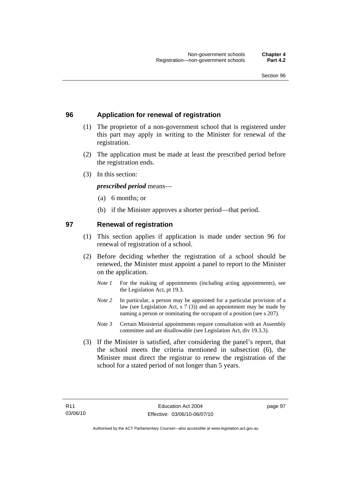## **96 Application for renewal of registration**

- (1) The proprietor of a non-government school that is registered under this part may apply in writing to the Minister for renewal of the registration.
- (2) The application must be made at least the prescribed period before the registration ends.
- (3) In this section:

*prescribed period* means—

- (a) 6 months; or
- (b) if the Minister approves a shorter period—that period.

### **97 Renewal of registration**

- (1) This section applies if application is made under section 96 for renewal of registration of a school.
- (2) Before deciding whether the registration of a school should be renewed, the Minister must appoint a panel to report to the Minister on the application.
	- *Note 1* For the making of appointments (including acting appointments), see the Legislation Act, pt 19.3.
	- *Note 2* In particular, a person may be appointed for a particular provision of a law (see Legislation Act, s 7 (3)) and an appointment may be made by naming a person or nominating the occupant of a position (see s 207).
	- *Note 3* Certain Ministerial appointments require consultation with an Assembly committee and are disallowable (see Legislation Act, div 19.3.3).
- (3) If the Minister is satisfied, after considering the panel's report, that the school meets the criteria mentioned in subsection (6), the Minister must direct the registrar to renew the registration of the school for a stated period of not longer than 5 years.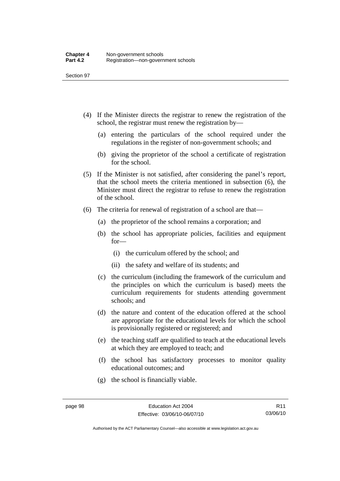- (4) If the Minister directs the registrar to renew the registration of the school, the registrar must renew the registration by—
	- (a) entering the particulars of the school required under the regulations in the register of non-government schools; and
	- (b) giving the proprietor of the school a certificate of registration for the school.
- (5) If the Minister is not satisfied, after considering the panel's report, that the school meets the criteria mentioned in subsection (6), the Minister must direct the registrar to refuse to renew the registration of the school.
- (6) The criteria for renewal of registration of a school are that—
	- (a) the proprietor of the school remains a corporation; and
	- (b) the school has appropriate policies, facilities and equipment for—
		- (i) the curriculum offered by the school; and
		- (ii) the safety and welfare of its students; and
	- (c) the curriculum (including the framework of the curriculum and the principles on which the curriculum is based) meets the curriculum requirements for students attending government schools; and
	- (d) the nature and content of the education offered at the school are appropriate for the educational levels for which the school is provisionally registered or registered; and
	- (e) the teaching staff are qualified to teach at the educational levels at which they are employed to teach; and
	- (f) the school has satisfactory processes to monitor quality educational outcomes; and
	- (g) the school is financially viable.

Authorised by the ACT Parliamentary Counsel—also accessible at www.legislation.act.gov.au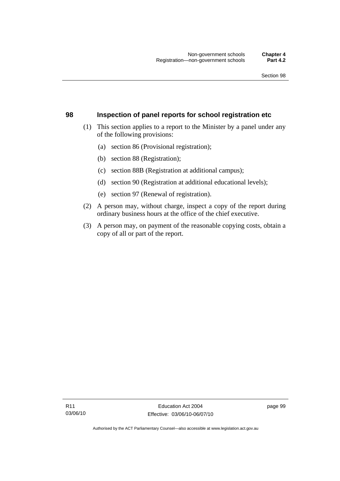### **98 Inspection of panel reports for school registration etc**

- (1) This section applies to a report to the Minister by a panel under any of the following provisions:
	- (a) section 86 (Provisional registration);
	- (b) section 88 (Registration);
	- (c) section 88B (Registration at additional campus);
	- (d) section 90 (Registration at additional educational levels);
	- (e) section 97 (Renewal of registration).
- (2) A person may, without charge, inspect a copy of the report during ordinary business hours at the office of the chief executive.
- (3) A person may, on payment of the reasonable copying costs, obtain a copy of all or part of the report.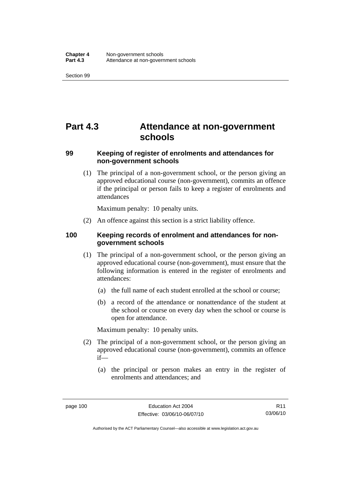# **Part 4.3 Attendance at non-government schools**

## **99 Keeping of register of enrolments and attendances for non-government schools**

 (1) The principal of a non-government school, or the person giving an approved educational course (non-government), commits an offence if the principal or person fails to keep a register of enrolments and attendances

Maximum penalty: 10 penalty units.

(2) An offence against this section is a strict liability offence.

## **100 Keeping records of enrolment and attendances for nongovernment schools**

- (1) The principal of a non-government school, or the person giving an approved educational course (non-government), must ensure that the following information is entered in the register of enrolments and attendances:
	- (a) the full name of each student enrolled at the school or course;
	- (b) a record of the attendance or nonattendance of the student at the school or course on every day when the school or course is open for attendance.

Maximum penalty: 10 penalty units.

- (2) The principal of a non-government school, or the person giving an approved educational course (non-government), commits an offence if—
	- (a) the principal or person makes an entry in the register of enrolments and attendances; and

R11 03/06/10

Authorised by the ACT Parliamentary Counsel—also accessible at www.legislation.act.gov.au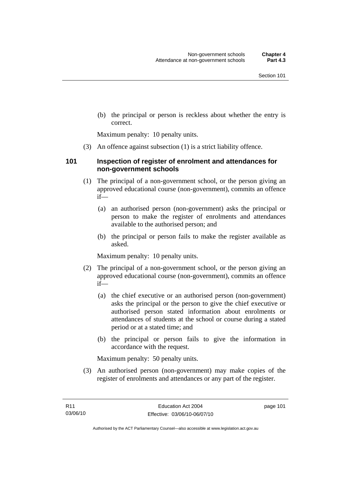(b) the principal or person is reckless about whether the entry is correct.

Maximum penalty: 10 penalty units.

(3) An offence against subsection (1) is a strict liability offence.

### **101 Inspection of register of enrolment and attendances for non-government schools**

- (1) The principal of a non-government school, or the person giving an approved educational course (non-government), commits an offence if—
	- (a) an authorised person (non-government) asks the principal or person to make the register of enrolments and attendances available to the authorised person; and
	- (b) the principal or person fails to make the register available as asked.

Maximum penalty: 10 penalty units.

- (2) The principal of a non-government school, or the person giving an approved educational course (non-government), commits an offence if—
	- (a) the chief executive or an authorised person (non-government) asks the principal or the person to give the chief executive or authorised person stated information about enrolments or attendances of students at the school or course during a stated period or at a stated time; and
	- (b) the principal or person fails to give the information in accordance with the request.

Maximum penalty: 50 penalty units.

 (3) An authorised person (non-government) may make copies of the register of enrolments and attendances or any part of the register.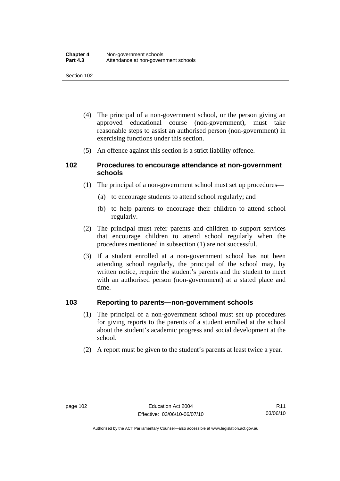- (4) The principal of a non-government school, or the person giving an approved educational course (non-government), must take reasonable steps to assist an authorised person (non-government) in exercising functions under this section.
- (5) An offence against this section is a strict liability offence.

### **102 Procedures to encourage attendance at non-government schools**

- (1) The principal of a non-government school must set up procedures—
	- (a) to encourage students to attend school regularly; and
	- (b) to help parents to encourage their children to attend school regularly.
- (2) The principal must refer parents and children to support services that encourage children to attend school regularly when the procedures mentioned in subsection (1) are not successful.
- (3) If a student enrolled at a non-government school has not been attending school regularly, the principal of the school may, by written notice, require the student's parents and the student to meet with an authorised person (non-government) at a stated place and time.

### **103 Reporting to parents—non-government schools**

- (1) The principal of a non-government school must set up procedures for giving reports to the parents of a student enrolled at the school about the student's academic progress and social development at the school.
- (2) A report must be given to the student's parents at least twice a year.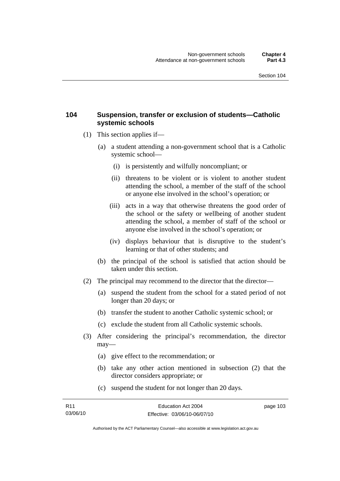### **104 Suspension, transfer or exclusion of students—Catholic systemic schools**

- (1) This section applies if—
	- (a) a student attending a non-government school that is a Catholic systemic school—
		- (i) is persistently and wilfully noncompliant; or
		- (ii) threatens to be violent or is violent to another student attending the school, a member of the staff of the school or anyone else involved in the school's operation; or
		- (iii) acts in a way that otherwise threatens the good order of the school or the safety or wellbeing of another student attending the school, a member of staff of the school or anyone else involved in the school's operation; or
		- (iv) displays behaviour that is disruptive to the student's learning or that of other students; and
	- (b) the principal of the school is satisfied that action should be taken under this section.
- (2) The principal may recommend to the director that the director—
	- (a) suspend the student from the school for a stated period of not longer than 20 days; or
	- (b) transfer the student to another Catholic systemic school; or
	- (c) exclude the student from all Catholic systemic schools.
- (3) After considering the principal's recommendation, the director may—
	- (a) give effect to the recommendation; or
	- (b) take any other action mentioned in subsection (2) that the director considers appropriate; or
	- (c) suspend the student for not longer than 20 days.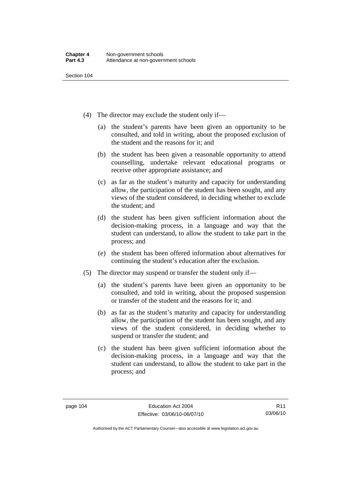- (4) The director may exclude the student only if—
	- (a) the student's parents have been given an opportunity to be consulted, and told in writing, about the proposed exclusion of the student and the reasons for it; and
	- (b) the student has been given a reasonable opportunity to attend counselling, undertake relevant educational programs or receive other appropriate assistance; and
	- (c) as far as the student's maturity and capacity for understanding allow, the participation of the student has been sought, and any views of the student considered, in deciding whether to exclude the student; and
	- (d) the student has been given sufficient information about the decision-making process, in a language and way that the student can understand, to allow the student to take part in the process; and
	- (e) the student has been offered information about alternatives for continuing the student's education after the exclusion.
- (5) The director may suspend or transfer the student only if—
	- (a) the student's parents have been given an opportunity to be consulted, and told in writing, about the proposed suspension or transfer of the student and the reasons for it; and
	- (b) as far as the student's maturity and capacity for understanding allow, the participation of the student has been sought, and any views of the student considered, in deciding whether to suspend or transfer the student; and
	- (c) the student has been given sufficient information about the decision-making process, in a language and way that the student can understand, to allow the student to take part in the process; and

Authorised by the ACT Parliamentary Counsel—also accessible at www.legislation.act.gov.au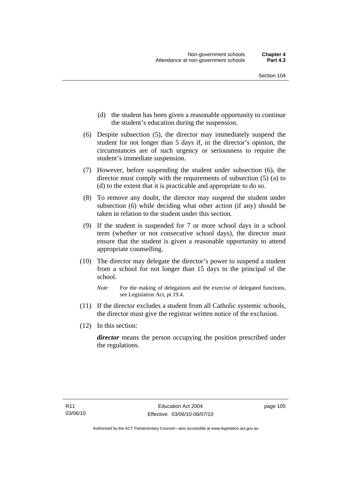- (d) the student has been given a reasonable opportunity to continue the student's education during the suspension.
- (6) Despite subsection (5), the director may immediately suspend the student for not longer than 5 days if, in the director's opinion, the circumstances are of such urgency or seriousness to require the student's immediate suspension.
- (7) However, before suspending the student under subsection (6), the director must comply with the requirements of subsection (5) (a) to (d) to the extent that it is practicable and appropriate to do so.
- (8) To remove any doubt, the director may suspend the student under subsection (6) while deciding what other action (if any) should be taken in relation to the student under this section.
- (9) If the student is suspended for 7 or more school days in a school term (whether or not consecutive school days), the director must ensure that the student is given a reasonable opportunity to attend appropriate counselling.
- (10) The director may delegate the director's power to suspend a student from a school for not longer than 15 days to the principal of the school.

- (11) If the director excludes a student from all Catholic systemic schools, the director must give the registrar written notice of the exclusion.
- (12) In this section:

*director* means the person occupying the position prescribed under the regulations.

*Note* For the making of delegations and the exercise of delegated functions, see Legislation Act, pt 19.4.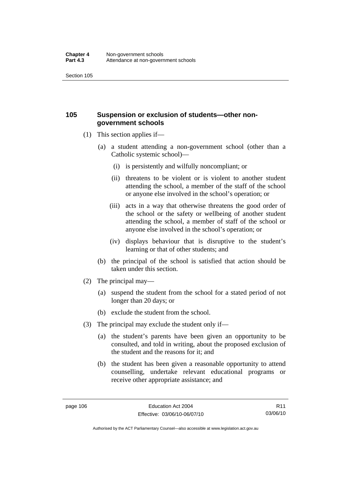## **105 Suspension or exclusion of students—other nongovernment schools**

- (1) This section applies if—
	- (a) a student attending a non-government school (other than a Catholic systemic school)—
		- (i) is persistently and wilfully noncompliant; or
		- (ii) threatens to be violent or is violent to another student attending the school, a member of the staff of the school or anyone else involved in the school's operation; or
		- (iii) acts in a way that otherwise threatens the good order of the school or the safety or wellbeing of another student attending the school, a member of staff of the school or anyone else involved in the school's operation; or
		- (iv) displays behaviour that is disruptive to the student's learning or that of other students; and
	- (b) the principal of the school is satisfied that action should be taken under this section.
- (2) The principal may—
	- (a) suspend the student from the school for a stated period of not longer than 20 days; or
	- (b) exclude the student from the school.
- (3) The principal may exclude the student only if—
	- (a) the student's parents have been given an opportunity to be consulted, and told in writing, about the proposed exclusion of the student and the reasons for it; and
	- (b) the student has been given a reasonable opportunity to attend counselling, undertake relevant educational programs or receive other appropriate assistance; and

R11 03/06/10

Authorised by the ACT Parliamentary Counsel—also accessible at www.legislation.act.gov.au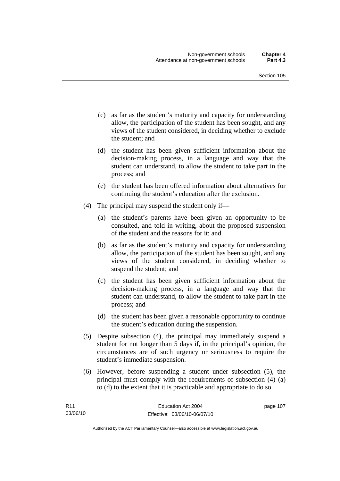- (c) as far as the student's maturity and capacity for understanding allow, the participation of the student has been sought, and any views of the student considered, in deciding whether to exclude the student; and
- (d) the student has been given sufficient information about the decision-making process, in a language and way that the student can understand, to allow the student to take part in the process; and
- (e) the student has been offered information about alternatives for continuing the student's education after the exclusion.
- (4) The principal may suspend the student only if—
	- (a) the student's parents have been given an opportunity to be consulted, and told in writing, about the proposed suspension of the student and the reasons for it; and
	- (b) as far as the student's maturity and capacity for understanding allow, the participation of the student has been sought, and any views of the student considered, in deciding whether to suspend the student; and
	- (c) the student has been given sufficient information about the decision-making process, in a language and way that the student can understand, to allow the student to take part in the process; and
	- (d) the student has been given a reasonable opportunity to continue the student's education during the suspension.
- (5) Despite subsection (4), the principal may immediately suspend a student for not longer than 5 days if, in the principal's opinion, the circumstances are of such urgency or seriousness to require the student's immediate suspension.
- (6) However, before suspending a student under subsection (5), the principal must comply with the requirements of subsection (4) (a) to (d) to the extent that it is practicable and appropriate to do so.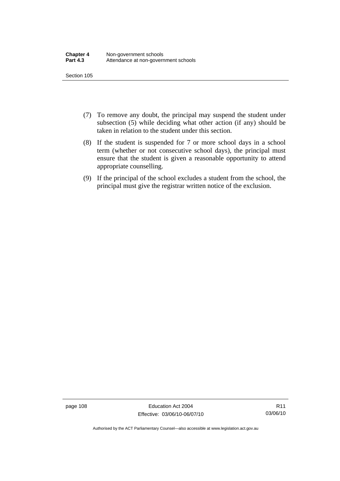- (7) To remove any doubt, the principal may suspend the student under subsection (5) while deciding what other action (if any) should be taken in relation to the student under this section.
- (8) If the student is suspended for 7 or more school days in a school term (whether or not consecutive school days), the principal must ensure that the student is given a reasonable opportunity to attend appropriate counselling.
- (9) If the principal of the school excludes a student from the school, the principal must give the registrar written notice of the exclusion.

page 108 Education Act 2004 Effective: 03/06/10-06/07/10

Authorised by the ACT Parliamentary Counsel—also accessible at www.legislation.act.gov.au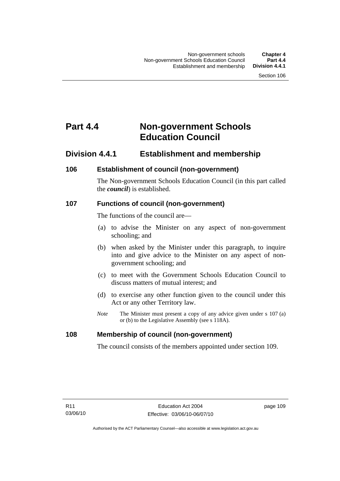# **Part 4.4 Non-government Schools Education Council**

## **Division 4.4.1 Establishment and membership**

## **106 Establishment of council (non-government)**

The Non-government Schools Education Council (in this part called the *council*) is established.

## **107 Functions of council (non-government)**

The functions of the council are—

- (a) to advise the Minister on any aspect of non-government schooling; and
- (b) when asked by the Minister under this paragraph, to inquire into and give advice to the Minister on any aspect of nongovernment schooling; and
- (c) to meet with the Government Schools Education Council to discuss matters of mutual interest; and
- (d) to exercise any other function given to the council under this Act or any other Territory law.
- *Note* The Minister must present a copy of any advice given under s 107 (a) or (b) to the Legislative Assembly (see s 118A).

## **108 Membership of council (non-government)**

The council consists of the members appointed under section 109.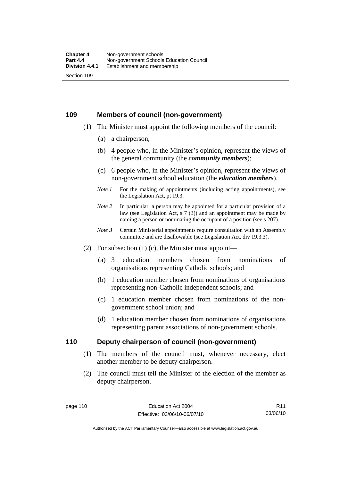### **109 Members of council (non-government)**

- (1) The Minister must appoint the following members of the council:
	- (a) a chairperson;
	- (b) 4 people who, in the Minister's opinion, represent the views of the general community (the *community members*);
	- (c) 6 people who, in the Minister's opinion, represent the views of non-government school education (the *education members*).
	- *Note 1* For the making of appointments (including acting appointments), see the Legislation Act, pt 19.3.
	- *Note* 2 In particular, a person may be appointed for a particular provision of a law (see Legislation Act, s 7 (3)) and an appointment may be made by naming a person or nominating the occupant of a position (see s 207).
	- *Note 3* Certain Ministerial appointments require consultation with an Assembly committee and are disallowable (see Legislation Act, div 19.3.3).
- (2) For subsection  $(1)$  (c), the Minister must appoint—
	- (a) 3 education members chosen from nominations of organisations representing Catholic schools; and
	- (b) 1 education member chosen from nominations of organisations representing non-Catholic independent schools; and
	- (c) 1 education member chosen from nominations of the nongovernment school union; and
	- (d) 1 education member chosen from nominations of organisations representing parent associations of non-government schools.

### **110 Deputy chairperson of council (non-government)**

- (1) The members of the council must, whenever necessary, elect another member to be deputy chairperson.
- (2) The council must tell the Minister of the election of the member as deputy chairperson.

R11 03/06/10

Authorised by the ACT Parliamentary Counsel—also accessible at www.legislation.act.gov.au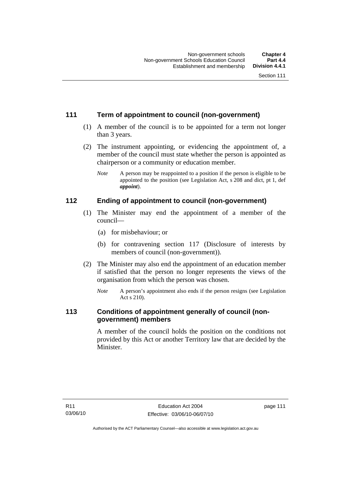## **111 Term of appointment to council (non-government)**

- (1) A member of the council is to be appointed for a term not longer than 3 years.
- (2) The instrument appointing, or evidencing the appointment of, a member of the council must state whether the person is appointed as chairperson or a community or education member.
	- *Note* A person may be reappointed to a position if the person is eligible to be appointed to the position (see Legislation Act, s 208 and dict, pt 1, def *appoint*).

## **112 Ending of appointment to council (non-government)**

- (1) The Minister may end the appointment of a member of the council—
	- (a) for misbehaviour; or
	- (b) for contravening section 117 (Disclosure of interests by members of council (non-government)).
- (2) The Minister may also end the appointment of an education member if satisfied that the person no longer represents the views of the organisation from which the person was chosen.
	- *Note* A person's appointment also ends if the person resigns (see Legislation Act s 210).

## **113 Conditions of appointment generally of council (nongovernment) members**

A member of the council holds the position on the conditions not provided by this Act or another Territory law that are decided by the Minister.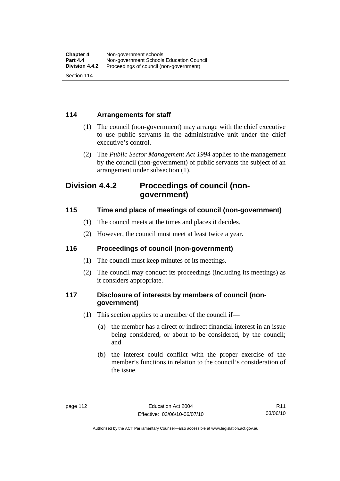## **114 Arrangements for staff**

- (1) The council (non-government) may arrange with the chief executive to use public servants in the administrative unit under the chief executive's control.
- (2) The *Public Sector Management Act 1994* applies to the management by the council (non-government) of public servants the subject of an arrangement under subsection (1).

## **Division 4.4.2 Proceedings of council (nongovernment)**

## **115 Time and place of meetings of council (non-government)**

- (1) The council meets at the times and places it decides.
- (2) However, the council must meet at least twice a year.

## **116 Proceedings of council (non-government)**

- (1) The council must keep minutes of its meetings.
- (2) The council may conduct its proceedings (including its meetings) as it considers appropriate.

## **117 Disclosure of interests by members of council (nongovernment)**

- (1) This section applies to a member of the council if—
	- (a) the member has a direct or indirect financial interest in an issue being considered, or about to be considered, by the council; and
	- (b) the interest could conflict with the proper exercise of the member's functions in relation to the council's consideration of the issue.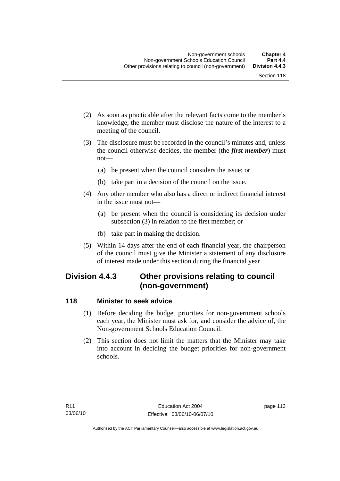- (2) As soon as practicable after the relevant facts come to the member's knowledge, the member must disclose the nature of the interest to a meeting of the council.
- (3) The disclosure must be recorded in the council's minutes and, unless the council otherwise decides, the member (the *first member*) must not—
	- (a) be present when the council considers the issue; or
	- (b) take part in a decision of the council on the issue.
- (4) Any other member who also has a direct or indirect financial interest in the issue must not—
	- (a) be present when the council is considering its decision under subsection (3) in relation to the first member; or
	- (b) take part in making the decision.
- (5) Within 14 days after the end of each financial year, the chairperson of the council must give the Minister a statement of any disclosure of interest made under this section during the financial year.

## **Division 4.4.3 Other provisions relating to council (non-government)**

### **118 Minister to seek advice**

- (1) Before deciding the budget priorities for non-government schools each year, the Minister must ask for, and consider the advice of, the Non-government Schools Education Council.
- (2) This section does not limit the matters that the Minister may take into account in deciding the budget priorities for non-government schools.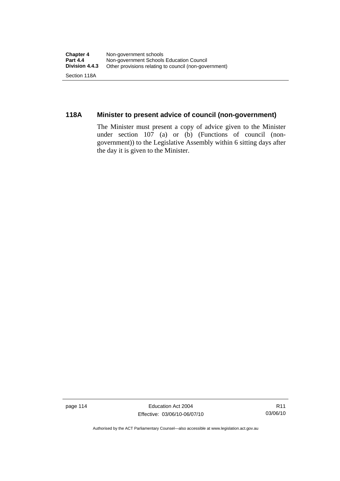## **118A Minister to present advice of council (non-government)**

The Minister must present a copy of advice given to the Minister under section 107 (a) or (b) (Functions of council (nongovernment)) to the Legislative Assembly within 6 sitting days after the day it is given to the Minister.

page 114 Education Act 2004 Effective: 03/06/10-06/07/10

Authorised by the ACT Parliamentary Counsel—also accessible at www.legislation.act.gov.au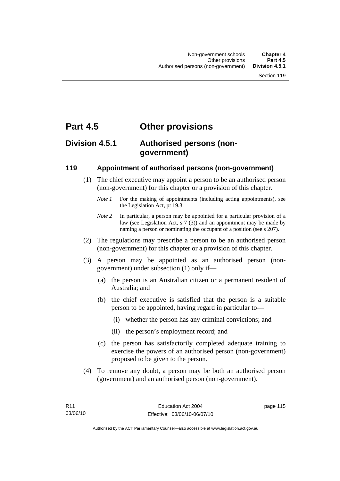## **Part 4.5 Other provisions**

## **Division 4.5.1 Authorised persons (nongovernment)**

### **119 Appointment of authorised persons (non-government)**

- (1) The chief executive may appoint a person to be an authorised person (non-government) for this chapter or a provision of this chapter.
	- *Note 1* For the making of appointments (including acting appointments), see the Legislation Act, pt 19.3.
	- *Note 2* In particular, a person may be appointed for a particular provision of a law (see Legislation Act, s 7 (3)) and an appointment may be made by naming a person or nominating the occupant of a position (see s 207).
- (2) The regulations may prescribe a person to be an authorised person (non-government) for this chapter or a provision of this chapter.
- (3) A person may be appointed as an authorised person (nongovernment) under subsection (1) only if—
	- (a) the person is an Australian citizen or a permanent resident of Australia; and
	- (b) the chief executive is satisfied that the person is a suitable person to be appointed, having regard in particular to—
		- (i) whether the person has any criminal convictions; and
		- (ii) the person's employment record; and
	- (c) the person has satisfactorily completed adequate training to exercise the powers of an authorised person (non-government) proposed to be given to the person.
- (4) To remove any doubt, a person may be both an authorised person (government) and an authorised person (non-government).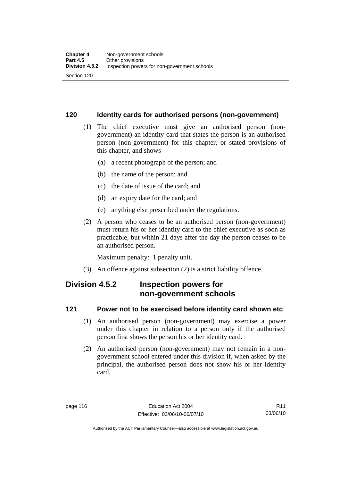### **120 Identity cards for authorised persons (non-government)**

- (1) The chief executive must give an authorised person (nongovernment) an identity card that states the person is an authorised person (non-government) for this chapter, or stated provisions of this chapter, and shows—
	- (a) a recent photograph of the person; and
	- (b) the name of the person; and
	- (c) the date of issue of the card; and
	- (d) an expiry date for the card; and
	- (e) anything else prescribed under the regulations.
- (2) A person who ceases to be an authorised person (non-government) must return his or her identity card to the chief executive as soon as practicable, but within 21 days after the day the person ceases to be an authorised person.

Maximum penalty: 1 penalty unit.

(3) An offence against subsection (2) is a strict liability offence.

## **Division 4.5.2 Inspection powers for non-government schools**

### **121 Power not to be exercised before identity card shown etc**

- (1) An authorised person (non-government) may exercise a power under this chapter in relation to a person only if the authorised person first shows the person his or her identity card.
- (2) An authorised person (non-government) may not remain in a nongovernment school entered under this division if, when asked by the principal, the authorised person does not show his or her identity card.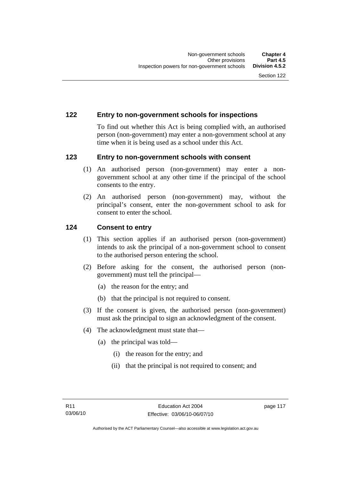### **122 Entry to non-government schools for inspections**

To find out whether this Act is being complied with, an authorised person (non-government) may enter a non-government school at any time when it is being used as a school under this Act.

### **123 Entry to non-government schools with consent**

- (1) An authorised person (non-government) may enter a nongovernment school at any other time if the principal of the school consents to the entry.
- (2) An authorised person (non-government) may, without the principal's consent, enter the non-government school to ask for consent to enter the school.

### **124 Consent to entry**

- (1) This section applies if an authorised person (non-government) intends to ask the principal of a non-government school to consent to the authorised person entering the school.
- (2) Before asking for the consent, the authorised person (nongovernment) must tell the principal—
	- (a) the reason for the entry; and
	- (b) that the principal is not required to consent.
- (3) If the consent is given, the authorised person (non-government) must ask the principal to sign an acknowledgment of the consent.
- (4) The acknowledgment must state that—
	- (a) the principal was told—
		- (i) the reason for the entry; and
		- (ii) that the principal is not required to consent; and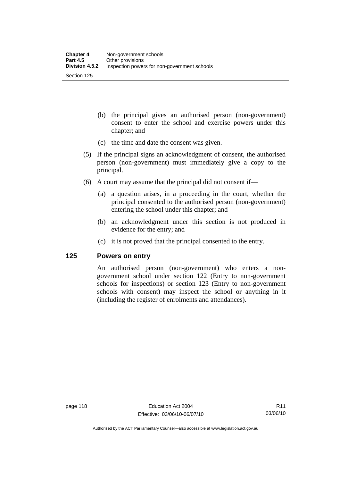- (b) the principal gives an authorised person (non-government) consent to enter the school and exercise powers under this chapter; and
- (c) the time and date the consent was given.
- (5) If the principal signs an acknowledgment of consent, the authorised person (non-government) must immediately give a copy to the principal.
- (6) A court may assume that the principal did not consent if—
	- (a) a question arises, in a proceeding in the court, whether the principal consented to the authorised person (non-government) entering the school under this chapter; and
	- (b) an acknowledgment under this section is not produced in evidence for the entry; and
	- (c) it is not proved that the principal consented to the entry.

#### **125 Powers on entry**

An authorised person (non-government) who enters a nongovernment school under section 122 (Entry to non-government schools for inspections) or section 123 (Entry to non-government schools with consent) may inspect the school or anything in it (including the register of enrolments and attendances).

Authorised by the ACT Parliamentary Counsel—also accessible at www.legislation.act.gov.au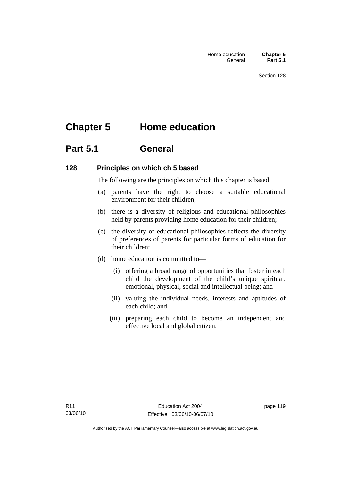# **Chapter 5 Home education**

## **Part 5.1 General**

### **128 Principles on which ch 5 based**

The following are the principles on which this chapter is based:

- (a) parents have the right to choose a suitable educational environment for their children;
- (b) there is a diversity of religious and educational philosophies held by parents providing home education for their children;
- (c) the diversity of educational philosophies reflects the diversity of preferences of parents for particular forms of education for their children;
- (d) home education is committed to—
	- (i) offering a broad range of opportunities that foster in each child the development of the child's unique spiritual, emotional, physical, social and intellectual being; and
	- (ii) valuing the individual needs, interests and aptitudes of each child; and
	- (iii) preparing each child to become an independent and effective local and global citizen.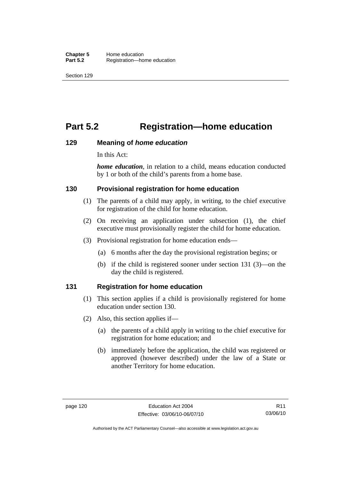# **Part 5.2 Registration—home education**

### **129 Meaning of** *home education*

In this Act:

*home education*, in relation to a child, means education conducted by 1 or both of the child's parents from a home base.

### **130 Provisional registration for home education**

- (1) The parents of a child may apply, in writing, to the chief executive for registration of the child for home education.
- (2) On receiving an application under subsection (1), the chief executive must provisionally register the child for home education.
- (3) Provisional registration for home education ends—
	- (a) 6 months after the day the provisional registration begins; or
	- (b) if the child is registered sooner under section 131 (3)—on the day the child is registered.

### **131 Registration for home education**

- (1) This section applies if a child is provisionally registered for home education under section 130.
- (2) Also, this section applies if—
	- (a) the parents of a child apply in writing to the chief executive for registration for home education; and
	- (b) immediately before the application, the child was registered or approved (however described) under the law of a State or another Territory for home education.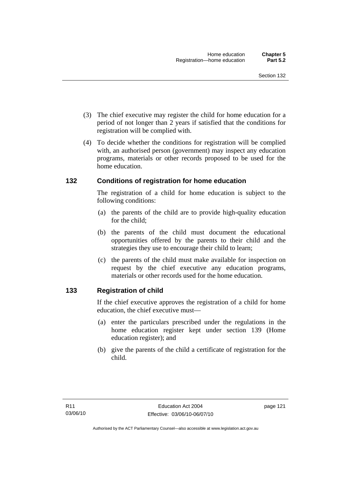- (3) The chief executive may register the child for home education for a period of not longer than 2 years if satisfied that the conditions for registration will be complied with.
- (4) To decide whether the conditions for registration will be complied with, an authorised person (government) may inspect any education programs, materials or other records proposed to be used for the home education.

### **132 Conditions of registration for home education**

The registration of a child for home education is subject to the following conditions:

- (a) the parents of the child are to provide high-quality education for the child;
- (b) the parents of the child must document the educational opportunities offered by the parents to their child and the strategies they use to encourage their child to learn;
- (c) the parents of the child must make available for inspection on request by the chief executive any education programs, materials or other records used for the home education.

## **133 Registration of child**

If the chief executive approves the registration of a child for home education, the chief executive must—

- (a) enter the particulars prescribed under the regulations in the home education register kept under section 139 (Home education register); and
- (b) give the parents of the child a certificate of registration for the child.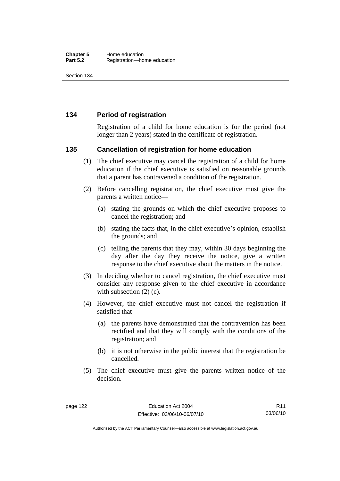### **134 Period of registration**

Registration of a child for home education is for the period (not longer than 2 years) stated in the certificate of registration.

### **135 Cancellation of registration for home education**

- (1) The chief executive may cancel the registration of a child for home education if the chief executive is satisfied on reasonable grounds that a parent has contravened a condition of the registration.
- (2) Before cancelling registration, the chief executive must give the parents a written notice—
	- (a) stating the grounds on which the chief executive proposes to cancel the registration; and
	- (b) stating the facts that, in the chief executive's opinion, establish the grounds; and
	- (c) telling the parents that they may, within 30 days beginning the day after the day they receive the notice, give a written response to the chief executive about the matters in the notice.
- (3) In deciding whether to cancel registration, the chief executive must consider any response given to the chief executive in accordance with subsection  $(2)$  (c).
- (4) However, the chief executive must not cancel the registration if satisfied that—
	- (a) the parents have demonstrated that the contravention has been rectified and that they will comply with the conditions of the registration; and
	- (b) it is not otherwise in the public interest that the registration be cancelled.
- (5) The chief executive must give the parents written notice of the decision.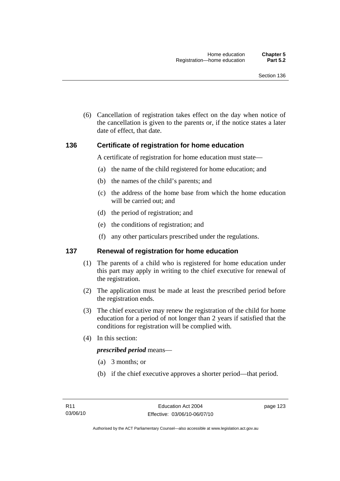(6) Cancellation of registration takes effect on the day when notice of the cancellation is given to the parents or, if the notice states a later date of effect, that date.

### **136 Certificate of registration for home education**

A certificate of registration for home education must state—

- (a) the name of the child registered for home education; and
- (b) the names of the child's parents; and
- (c) the address of the home base from which the home education will be carried out; and
- (d) the period of registration; and
- (e) the conditions of registration; and
- (f) any other particulars prescribed under the regulations.

### **137 Renewal of registration for home education**

- (1) The parents of a child who is registered for home education under this part may apply in writing to the chief executive for renewal of the registration.
- (2) The application must be made at least the prescribed period before the registration ends.
- (3) The chief executive may renew the registration of the child for home education for a period of not longer than 2 years if satisfied that the conditions for registration will be complied with.
- (4) In this section:

#### *prescribed period* means—

- (a) 3 months; or
- (b) if the chief executive approves a shorter period—that period.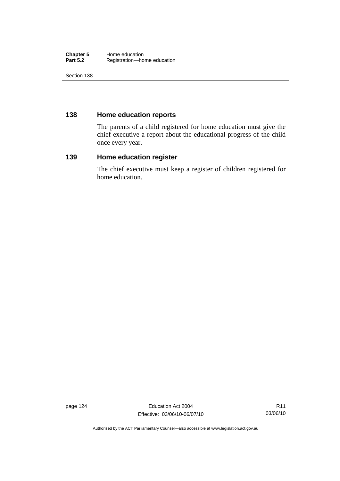#### **Chapter 5** Home education<br> **Part 5.2** Registration—ho Registration—home education

Section 138

## **138 Home education reports**

The parents of a child registered for home education must give the chief executive a report about the educational progress of the child once every year.

## **139 Home education register**

The chief executive must keep a register of children registered for home education.

page 124 **Education Act 2004** Effective: 03/06/10-06/07/10

Authorised by the ACT Parliamentary Counsel—also accessible at www.legislation.act.gov.au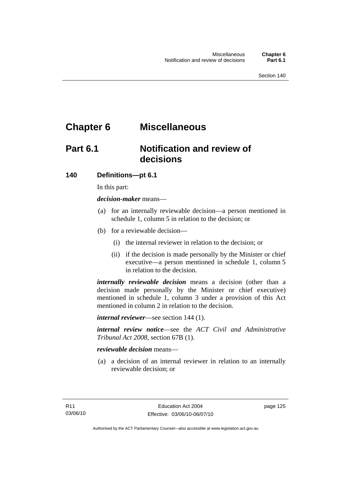# **Chapter 6 Miscellaneous**

## **Part 6.1 Notification and review of decisions**

## **140 Definitions***—***pt 6.1**

In this part:

*decision-maker* means—

- (a) for an internally reviewable decision—a person mentioned in schedule 1, column 5 in relation to the decision; or
- (b) for a reviewable decision—
	- (i) the internal reviewer in relation to the decision; or
	- (ii) if the decision is made personally by the Minister or chief executive—a person mentioned in schedule 1, column 5 in relation to the decision.

*internally reviewable decision* means a decision (other than a decision made personally by the Minister or chief executive) mentioned in schedule 1, column 3 under a provision of this Act mentioned in column 2 in relation to the decision.

*internal reviewer*—see section 144 (1).

*internal review notice*—see the *ACT Civil and Administrative Tribunal Act 2008*, section 67B (1).

### *reviewable decision* means—

 (a) a decision of an internal reviewer in relation to an internally reviewable decision; or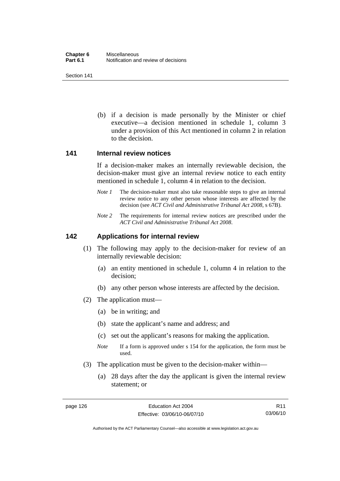(b) if a decision is made personally by the Minister or chief executive—a decision mentioned in schedule 1, column 3 under a provision of this Act mentioned in column 2 in relation to the decision.

#### **141 Internal review notices**

If a decision-maker makes an internally reviewable decision, the decision-maker must give an internal review notice to each entity mentioned in schedule 1, column 4 in relation to the decision.

- *Note 1* The decision-maker must also take reasonable steps to give an internal review notice to any other person whose interests are affected by the decision (see *ACT Civil and Administrative Tribunal Act 2008*, s 67B).
- *Note* 2 The requirements for internal review notices are prescribed under the *ACT Civil and Administrative Tribunal Act 2008*.

### **142 Applications for internal review**

- (1) The following may apply to the decision-maker for review of an internally reviewable decision:
	- (a) an entity mentioned in schedule 1, column 4 in relation to the decision;
	- (b) any other person whose interests are affected by the decision.
- (2) The application must—
	- (a) be in writing; and
	- (b) state the applicant's name and address; and
	- (c) set out the applicant's reasons for making the application.
	- *Note* If a form is approved under s 154 for the application, the form must be used.
- (3) The application must be given to the decision-maker within—
	- (a) 28 days after the day the applicant is given the internal review statement; or

R11 03/06/10

Authorised by the ACT Parliamentary Counsel—also accessible at www.legislation.act.gov.au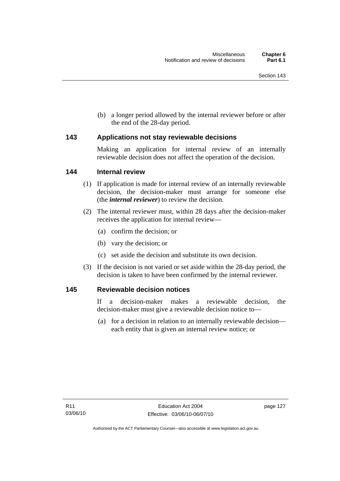(b) a longer period allowed by the internal reviewer before or after the end of the 28-day period.

### **143 Applications not stay reviewable decisions**

Making an application for internal review of an internally reviewable decision does not affect the operation of the decision.

### **144 Internal review**

- (1) If application is made for internal review of an internally reviewable decision, the decision-maker must arrange for someone else (the *internal reviewer*) to review the decision.
- (2) The internal reviewer must, within 28 days after the decision-maker receives the application for internal review—
	- (a) confirm the decision; or
	- (b) vary the decision; or
	- (c) set aside the decision and substitute its own decision.
- (3) If the decision is not varied or set aside within the 28-day period, the decision is taken to have been confirmed by the internal reviewer.

### **145 Reviewable decision notices**

If a decision-maker makes a reviewable decision, the decision-maker must give a reviewable decision notice to—

 (a) for a decision in relation to an internally reviewable decision each entity that is given an internal review notice; or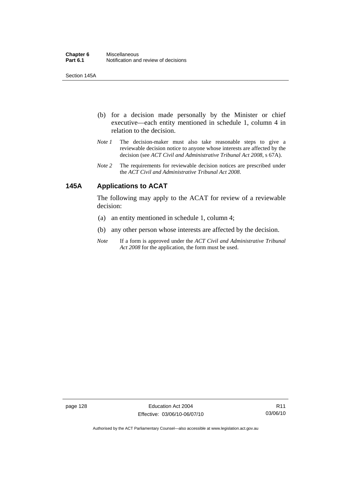Section 145A

- (b) for a decision made personally by the Minister or chief executive—each entity mentioned in schedule 1, column 4 in relation to the decision.
- *Note 1* The decision-maker must also take reasonable steps to give a reviewable decision notice to anyone whose interests are affected by the decision (see *ACT Civil and Administrative Tribunal Act 2008*, s 67A).
- *Note 2* The requirements for reviewable decision notices are prescribed under the *ACT Civil and Administrative Tribunal Act 2008*.

## **145A Applications to ACAT**

The following may apply to the ACAT for review of a reviewable decision:

- (a) an entity mentioned in schedule 1, column 4;
- (b) any other person whose interests are affected by the decision.
- *Note* If a form is approved under the *ACT Civil and Administrative Tribunal Act 2008* for the application, the form must be used.

page 128 Education Act 2004 Effective: 03/06/10-06/07/10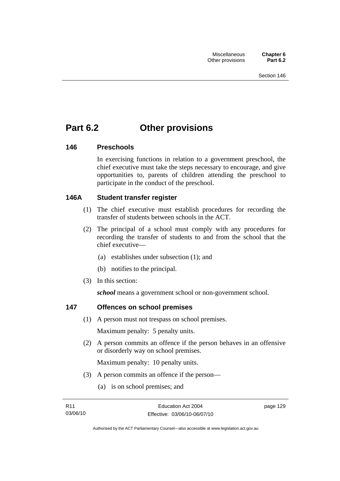# **Part 6.2 Other provisions**

### **146 Preschools**

In exercising functions in relation to a government preschool, the chief executive must take the steps necessary to encourage, and give opportunities to, parents of children attending the preschool to participate in the conduct of the preschool.

## **146A Student transfer register**

- (1) The chief executive must establish procedures for recording the transfer of students between schools in the ACT.
- (2) The principal of a school must comply with any procedures for recording the transfer of students to and from the school that the chief executive—
	- (a) establishes under subsection (1); and
	- (b) notifies to the principal.
- (3) In this section:

*school* means a government school or non-government school.

## **147 Offences on school premises**

(1) A person must not trespass on school premises.

Maximum penalty: 5 penalty units.

 (2) A person commits an offence if the person behaves in an offensive or disorderly way on school premises.

Maximum penalty: 10 penalty units.

- (3) A person commits an offence if the person—
	- (a) is on school premises; and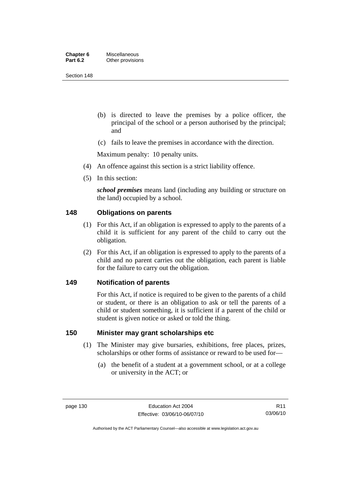| Chapter 6       | <b>Miscellaneous</b> |
|-----------------|----------------------|
| <b>Part 6.2</b> | Other provisions     |

- (b) is directed to leave the premises by a police officer, the principal of the school or a person authorised by the principal; and
- (c) fails to leave the premises in accordance with the direction.

Maximum penalty: 10 penalty units.

- (4) An offence against this section is a strict liability offence.
- (5) In this section:

*school premises* means land (including any building or structure on the land) occupied by a school.

### **148 Obligations on parents**

- (1) For this Act, if an obligation is expressed to apply to the parents of a child it is sufficient for any parent of the child to carry out the obligation.
- (2) For this Act, if an obligation is expressed to apply to the parents of a child and no parent carries out the obligation, each parent is liable for the failure to carry out the obligation.

#### **149 Notification of parents**

For this Act, if notice is required to be given to the parents of a child or student, or there is an obligation to ask or tell the parents of a child or student something, it is sufficient if a parent of the child or student is given notice or asked or told the thing.

### **150 Minister may grant scholarships etc**

- (1) The Minister may give bursaries, exhibitions, free places, prizes, scholarships or other forms of assistance or reward to be used for—
	- (a) the benefit of a student at a government school, or at a college or university in the ACT; or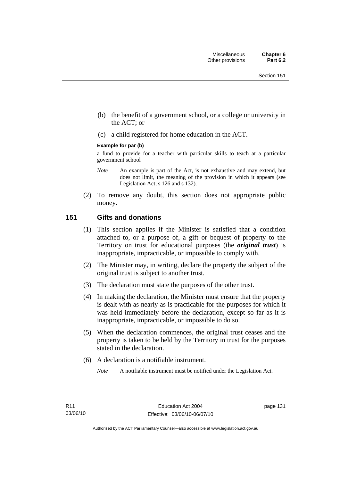- (b) the benefit of a government school, or a college or university in the ACT; or
- (c) a child registered for home education in the ACT.

#### **Example for par (b)**

a fund to provide for a teacher with particular skills to teach at a particular government school

- *Note* An example is part of the Act, is not exhaustive and may extend, but does not limit, the meaning of the provision in which it appears (see Legislation Act, s 126 and s 132).
- (2) To remove any doubt, this section does not appropriate public money.

### **151 Gifts and donations**

- (1) This section applies if the Minister is satisfied that a condition attached to, or a purpose of, a gift or bequest of property to the Territory on trust for educational purposes (the *original trust*) is inappropriate, impracticable, or impossible to comply with.
- (2) The Minister may, in writing, declare the property the subject of the original trust is subject to another trust.
- (3) The declaration must state the purposes of the other trust.
- (4) In making the declaration, the Minister must ensure that the property is dealt with as nearly as is practicable for the purposes for which it was held immediately before the declaration, except so far as it is inappropriate, impracticable, or impossible to do so.
- (5) When the declaration commences, the original trust ceases and the property is taken to be held by the Territory in trust for the purposes stated in the declaration.
- (6) A declaration is a notifiable instrument.

*Note* A notifiable instrument must be notified under the Legislation Act.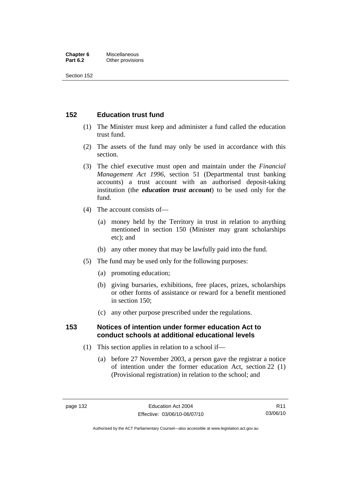#### **Chapter 6** Miscellaneous<br>**Part 6.2** Other provision **Other provisions**

Section 152

## **152 Education trust fund**

- (1) The Minister must keep and administer a fund called the education trust fund.
- (2) The assets of the fund may only be used in accordance with this section.
- (3) The chief executive must open and maintain under the *Financial Management Act 1996*, section 51 (Departmental trust banking accounts) a trust account with an authorised deposit-taking institution (the *education trust account*) to be used only for the fund.
- (4) The account consists of—
	- (a) money held by the Territory in trust in relation to anything mentioned in section 150 (Minister may grant scholarships etc); and
	- (b) any other money that may be lawfully paid into the fund.
- (5) The fund may be used only for the following purposes:
	- (a) promoting education;
	- (b) giving bursaries, exhibitions, free places, prizes, scholarships or other forms of assistance or reward for a benefit mentioned in section 150;
	- (c) any other purpose prescribed under the regulations.

## **153 Notices of intention under former education Act to conduct schools at additional educational levels**

- (1) This section applies in relation to a school if—
	- (a) before 27 November 2003, a person gave the registrar a notice of intention under the former education Act, section 22 (1) (Provisional registration) in relation to the school; and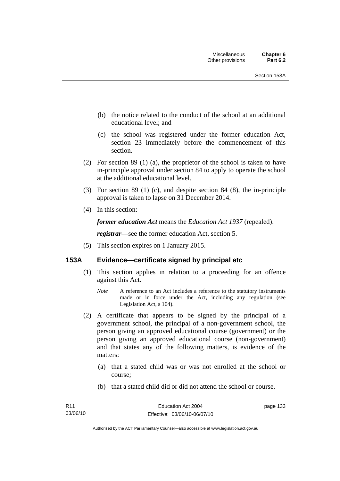- (b) the notice related to the conduct of the school at an additional educational level; and
- (c) the school was registered under the former education Act, section 23 immediately before the commencement of this section.
- (2) For section 89 (1) (a), the proprietor of the school is taken to have in-principle approval under section 84 to apply to operate the school at the additional educational level.
- (3) For section 89 (1) (c), and despite section 84 (8), the in-principle approval is taken to lapse on 31 December 2014.
- (4) In this section:

*former education Act* means the *Education Act 1937* (repealed).

*registrar*—see the former education Act, section 5.

(5) This section expires on 1 January 2015.

# **153A Evidence—certificate signed by principal etc**

- (1) This section applies in relation to a proceeding for an offence against this Act.
	- *Note* A reference to an Act includes a reference to the statutory instruments made or in force under the Act, including any regulation (see Legislation Act, s 104).
- (2) A certificate that appears to be signed by the principal of a government school, the principal of a non-government school, the person giving an approved educational course (government) or the person giving an approved educational course (non-government) and that states any of the following matters, is evidence of the matters:
	- (a) that a stated child was or was not enrolled at the school or course;
	- (b) that a stated child did or did not attend the school or course.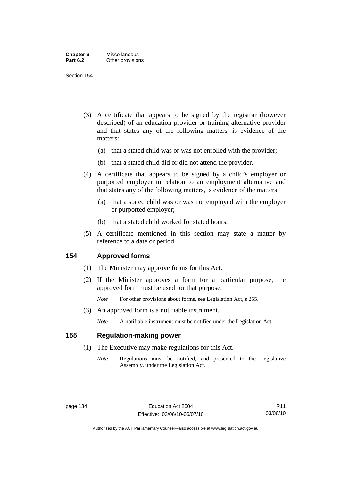| Chapter 6       | Miscellaneous    |
|-----------------|------------------|
| <b>Part 6.2</b> | Other provisions |

Section 154

- (3) A certificate that appears to be signed by the registrar (however described) of an education provider or training alternative provider and that states any of the following matters, is evidence of the matters:
	- (a) that a stated child was or was not enrolled with the provider;
	- (b) that a stated child did or did not attend the provider.
- (4) A certificate that appears to be signed by a child's employer or purported employer in relation to an employment alternative and that states any of the following matters, is evidence of the matters:
	- (a) that a stated child was or was not employed with the employer or purported employer;
	- (b) that a stated child worked for stated hours.
- (5) A certificate mentioned in this section may state a matter by reference to a date or period.

## **154 Approved forms**

- (1) The Minister may approve forms for this Act.
- (2) If the Minister approves a form for a particular purpose, the approved form must be used for that purpose.

*Note* For other provisions about forms, see Legislation Act, s 255.

(3) An approved form is a notifiable instrument.

*Note* A notifiable instrument must be notified under the Legislation Act.

## **155 Regulation-making power**

- (1) The Executive may make regulations for this Act.
	- *Note* Regulations must be notified, and presented to the Legislative Assembly, under the Legislation Act.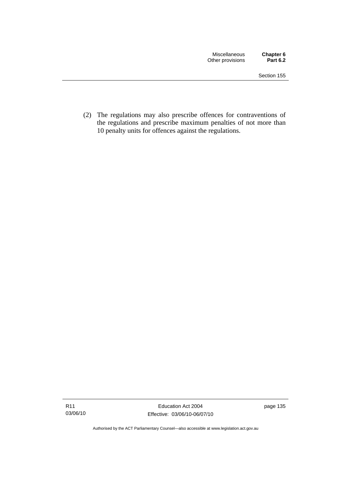(2) The regulations may also prescribe offences for contraventions of the regulations and prescribe maximum penalties of not more than 10 penalty units for offences against the regulations.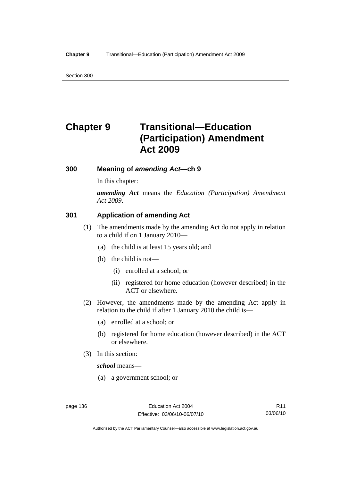Section 300

# **Chapter 9 Transitional—Education (Participation) Amendment Act 2009**

# **300 Meaning of** *amending Act***—ch 9**

In this chapter:

*amending Act* means the *Education (Participation) Amendment Act 2009*.

# **301 Application of amending Act**

- (1) The amendments made by the amending Act do not apply in relation to a child if on 1 January 2010—
	- (a) the child is at least 15 years old; and
	- (b) the child is not—
		- (i) enrolled at a school; or
		- (ii) registered for home education (however described) in the ACT or elsewhere.
- (2) However, the amendments made by the amending Act apply in relation to the child if after 1 January 2010 the child is—
	- (a) enrolled at a school; or
	- (b) registered for home education (however described) in the ACT or elsewhere.
- (3) In this section:

*school* means—

(a) a government school; or

Authorised by the ACT Parliamentary Counsel—also accessible at www.legislation.act.gov.au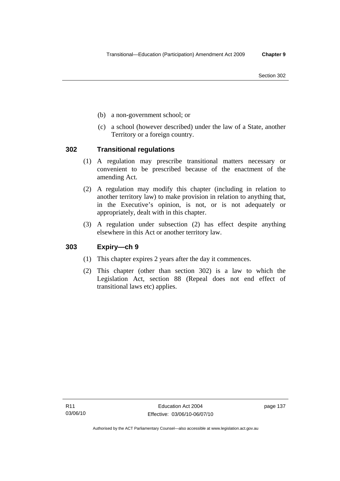- (b) a non-government school; or
- (c) a school (however described) under the law of a State, another Territory or a foreign country.

# **302 Transitional regulations**

- (1) A regulation may prescribe transitional matters necessary or convenient to be prescribed because of the enactment of the amending Act.
- (2) A regulation may modify this chapter (including in relation to another territory law) to make provision in relation to anything that, in the Executive's opinion, is not, or is not adequately or appropriately, dealt with in this chapter.
- (3) A regulation under subsection (2) has effect despite anything elsewhere in this Act or another territory law.

# **303 Expiry—ch 9**

- (1) This chapter expires 2 years after the day it commences.
- (2) This chapter (other than section 302) is a law to which the Legislation Act, section 88 (Repeal does not end effect of transitional laws etc) applies.

page 137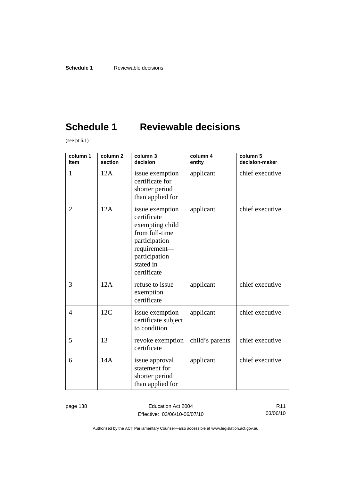# **Schedule 1 Reviewable decisions**

(see pt  $6.1$ )

| column 1<br>item | column <sub>2</sub><br>section | column 3<br>decision                                                                                                                              | column 4<br>entity | column 5<br>decision-maker |
|------------------|--------------------------------|---------------------------------------------------------------------------------------------------------------------------------------------------|--------------------|----------------------------|
| $\mathbf{1}$     | 12A                            | issue exemption<br>certificate for<br>shorter period<br>than applied for                                                                          | applicant          | chief executive            |
| $\overline{2}$   | 12A                            | issue exemption<br>certificate<br>exempting child<br>from full-time<br>participation<br>requirement-<br>participation<br>stated in<br>certificate | applicant          | chief executive            |
| 3                | 12A                            | refuse to issue<br>exemption<br>certificate                                                                                                       | applicant          | chief executive            |
| $\overline{4}$   | 12C                            | issue exemption<br>certificate subject<br>to condition                                                                                            | applicant          | chief executive            |
| 5                | 13                             | revoke exemption<br>certificate                                                                                                                   | child's parents    | chief executive            |
| 6                | 14A                            | issue approval<br>statement for<br>shorter period<br>than applied for                                                                             | applicant          | chief executive            |

page 138 **Education Act 2004** Effective: 03/06/10-06/07/10

R11 03/06/10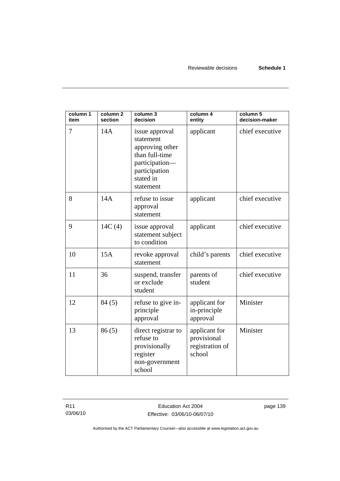| column 1<br>item | column <sub>2</sub><br>section | column 3<br>decision                                                                                                          | column 4<br>entity                                        | column 5<br>decision-maker |
|------------------|--------------------------------|-------------------------------------------------------------------------------------------------------------------------------|-----------------------------------------------------------|----------------------------|
| 7                | 14A                            | issue approval<br>statement<br>approving other<br>than full-time<br>participation-<br>participation<br>stated in<br>statement | applicant                                                 | chief executive            |
| 8                | 14A                            | refuse to issue<br>approval<br>statement                                                                                      | applicant                                                 | chief executive            |
| 9                | 14C(4)                         | issue approval<br>statement subject<br>to condition                                                                           | applicant                                                 | chief executive            |
| 10               | 15A                            | revoke approval<br>statement                                                                                                  | child's parents                                           | chief executive            |
| 11               | 36                             | suspend, transfer<br>or exclude<br>student                                                                                    | parents of<br>student                                     | chief executive            |
| 12               | 84(5)                          | refuse to give in-<br>principle<br>approval                                                                                   | applicant for<br>in-principle<br>approval                 | Minister                   |
| 13               | 86(5)                          | direct registrar to<br>refuse to<br>provisionally<br>register<br>non-government<br>school                                     | applicant for<br>provisional<br>registration of<br>school | Minister                   |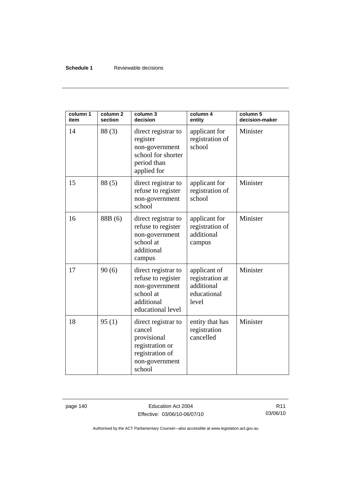## **Schedule 1** Reviewable decisions

| column 1<br>item | column <sub>2</sub><br>section | column 3<br>decision                                                                                           | column 4<br>entity                                                    | column 5<br>decision-maker |
|------------------|--------------------------------|----------------------------------------------------------------------------------------------------------------|-----------------------------------------------------------------------|----------------------------|
| 14               | 88(3)                          | direct registrar to<br>register<br>non-government<br>school for shorter<br>period than<br>applied for          | applicant for<br>registration of<br>school                            | Minister                   |
| 15               | 88(5)                          | direct registrar to<br>refuse to register<br>non-government<br>school                                          | applicant for<br>registration of<br>school                            | Minister                   |
| 16               | 88B (6)                        | direct registrar to<br>refuse to register<br>non-government<br>school at<br>additional<br>campus               | applicant for<br>registration of<br>additional<br>campus              | Minister                   |
| 17               | 90(6)                          | direct registrar to<br>refuse to register<br>non-government<br>school at<br>additional<br>educational level    | applicant of<br>registration at<br>additional<br>educational<br>level | Minister                   |
| 18               | 95(1)                          | direct registrar to<br>cancel<br>provisional<br>registration or<br>registration of<br>non-government<br>school | entity that has<br>registration<br>cancelled                          | Minister                   |

page 140 **Education Act 2004** Effective: 03/06/10-06/07/10

R11 03/06/10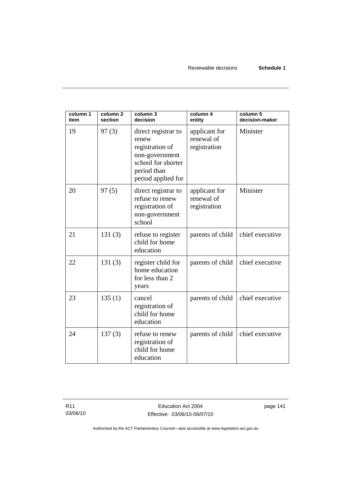| column 1<br>item | column <sub>2</sub><br>section | column 3<br>decision                                                                                                         | column 4<br>entity                          | column 5<br>decision-maker |
|------------------|--------------------------------|------------------------------------------------------------------------------------------------------------------------------|---------------------------------------------|----------------------------|
| 19               | 97(3)                          | direct registrar to<br>renew<br>registration of<br>non-government<br>school for shorter<br>period than<br>period applied for | applicant for<br>renewal of<br>registration | Minister                   |
| 20               | 97(5)                          | direct registrar to<br>refuse to renew<br>registration of<br>non-government<br>school                                        | applicant for<br>renewal of<br>registration | Minister                   |
| 21               | 131(3)                         | refuse to register<br>child for home<br>education                                                                            | parents of child                            | chief executive            |
| 22               | 131(3)                         | register child for<br>home education<br>for less than 2<br>years                                                             | parents of child                            | chief executive            |
| 23               | 135(1)                         | cancel<br>registration of<br>child for home<br>education                                                                     | parents of child                            | chief executive            |
| 24               | 137(3)                         | refuse to renew<br>registration of<br>child for home<br>education                                                            | parents of child                            | chief executive            |

page 141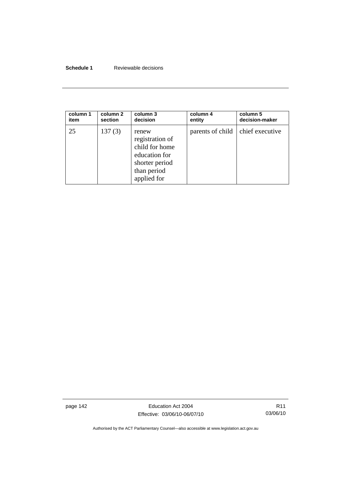## **Schedule 1** Reviewable decisions

| column 1 | column 2 | column 3                                                                                                    | column 4                           | column 5       |
|----------|----------|-------------------------------------------------------------------------------------------------------------|------------------------------------|----------------|
| item     | section  | decision                                                                                                    | entity                             | decision-maker |
| 25       | 137(3)   | renew<br>registration of<br>child for home<br>education for<br>shorter period<br>than period<br>applied for | parents of child   chief executive |                |

page 142 **Education Act 2004** Effective: 03/06/10-06/07/10

R11 03/06/10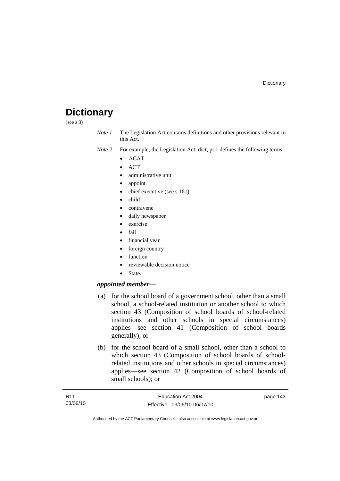# **Dictionary**

(see s 3)

*Note 1* The Legislation Act contains definitions and other provisions relevant to this Act.

- *Note 2* For example, the Legislation Act, dict, pt 1 defines the following terms:
	- ACAT
	- ACT
	- administrative unit
	- appoint
	- chief executive (see s 161)
	- child
	- contravene
	- daily newspaper
	- exercise
	- fail
	- financial year
	- foreign country
	- function
	- reviewable decision notice
	- State.

## *appointed member*—

- (a) for the school board of a government school, other than a small school, a school-related institution or another school to which section 43 (Composition of school boards of school-related institutions and other schools in special circumstances) applies—see section 41 (Composition of school boards generally); or
- (b) for the school board of a small school, other than a school to which section 43 (Composition of school boards of schoolrelated institutions and other schools in special circumstances) applies—see section 42 (Composition of school boards of small schools); or

| R11      | Education Act 2004           | page 143 |
|----------|------------------------------|----------|
| 03/06/10 | Effective: 03/06/10-06/07/10 |          |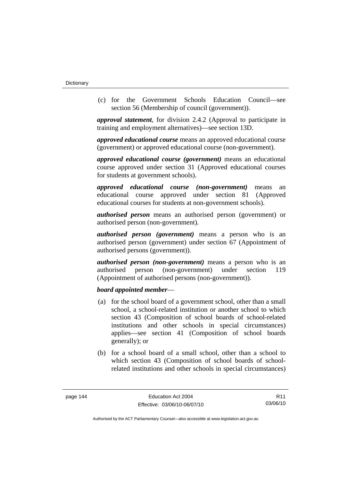(c) for the Government Schools Education Council—see section 56 (Membership of council (government)).

*approval statement*, for division 2.4.2 (Approval to participate in training and employment alternatives)—see section 13D.

*approved educational course* means an approved educational course (government) or approved educational course (non-government).

*approved educational course (government)* means an educational course approved under section 31 (Approved educational courses for students at government schools).

*approved educational course (non-government)* means an educational course approved under section 81 (Approved educational courses for students at non-government schools).

*authorised person* means an authorised person (government) or authorised person (non-government).

*authorised person (government)* means a person who is an authorised person (government) under section 67 (Appointment of authorised persons (government)).

*authorised person (non-government)* means a person who is an authorised person (non-government) under section 119 (Appointment of authorised persons (non-government)).

## *board appointed member*—

- (a) for the school board of a government school, other than a small school, a school-related institution or another school to which section 43 (Composition of school boards of school-related institutions and other schools in special circumstances) applies—see section 41 (Composition of school boards generally); or
- (b) for a school board of a small school, other than a school to which section 43 (Composition of school boards of schoolrelated institutions and other schools in special circumstances)

R11 03/06/10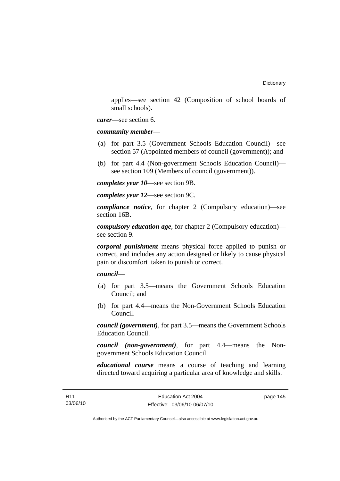applies—see section 42 (Composition of school boards of small schools).

*carer*—see section 6.

*community member*—

- (a) for part 3.5 (Government Schools Education Council)—see section 57 (Appointed members of council (government)); and
- (b) for part 4.4 (Non-government Schools Education Council) see section 109 (Members of council (government)).

*completes year 10*—see section 9B.

*completes year 12*—see section 9C.

*compliance notice*, for chapter 2 (Compulsory education)—see section 16B.

*compulsory education age*, for chapter 2 (Compulsory education) see section 9.

*corporal punishment* means physical force applied to punish or correct, and includes any action designed or likely to cause physical pain or discomfort taken to punish or correct.

*council*—

- (a) for part 3.5—means the Government Schools Education Council; and
- (b) for part 4.4—means the Non-Government Schools Education Council.

*council (government)*, for part 3.5—means the Government Schools Education Council.

*council (non-government)*, for part 4.4—means the Nongovernment Schools Education Council.

*educational course* means a course of teaching and learning directed toward acquiring a particular area of knowledge and skills.

page 145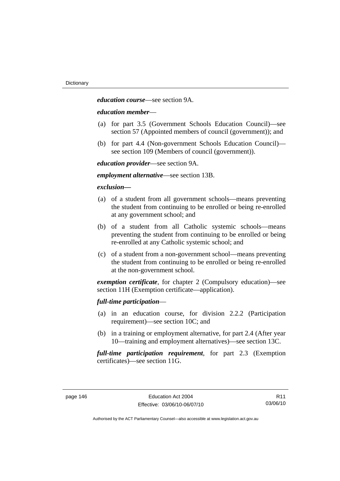*education course*—see section 9A.

## *education member*—

- (a) for part 3.5 (Government Schools Education Council)—see section 57 (Appointed members of council (government)); and
- (b) for part 4.4 (Non-government Schools Education Council) see section 109 (Members of council (government)).

*education provider*—see section 9A.

*employment alternative*—see section 13B.

## *exclusion***—**

- (a) of a student from all government schools—means preventing the student from continuing to be enrolled or being re-enrolled at any government school; and
- (b) of a student from all Catholic systemic schools—means preventing the student from continuing to be enrolled or being re-enrolled at any Catholic systemic school; and
- (c) of a student from a non-government school—means preventing the student from continuing to be enrolled or being re-enrolled at the non-government school.

*exemption certificate*, for chapter 2 (Compulsory education)—see section 11H (Exemption certificate—application).

## *full-time participation*—

- (a) in an education course, for division 2.2.2 (Participation requirement)—see section 10C; and
- (b) in a training or employment alternative, for part 2.4 (After year 10—training and employment alternatives)—see section 13C.

*full-time participation requirement*, for part 2.3 (Exemption certificates)—see section 11G.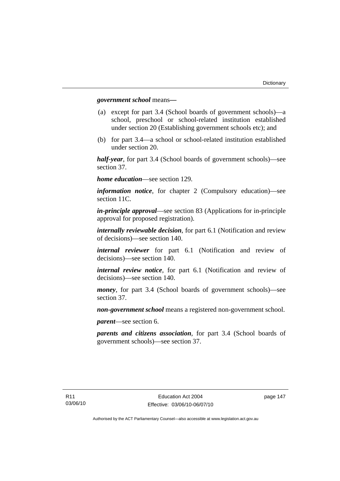## *government school* means*—*

- (a) except for part 3.4 (School boards of government schools)—a school, preschool or school-related institution established under section 20 (Establishing government schools etc); and
- (b) for part 3.4—a school or school-related institution established under section 20.

*half-year*, for part 3.4 (School boards of government schools)—see section 37.

*home education*—see section 129.

*information notice*, for chapter 2 (Compulsory education)—see section 11C.

*in-principle approval*—see section 83 (Applications for in-principle approval for proposed registration).

*internally reviewable decision*, for part 6.1 (Notification and review of decisions)—see section 140.

*internal reviewer* for part 6.1 (Notification and review of decisions)—see section 140.

*internal review notice*, for part 6.1 (Notification and review of decisions)—see section 140.

*money*, for part 3.4 (School boards of government schools)—see section 37.

*non-government school* means a registered non-government school.

*parent*—see section 6.

*parents and citizens association*, for part 3.4 (School boards of government schools)—see section 37.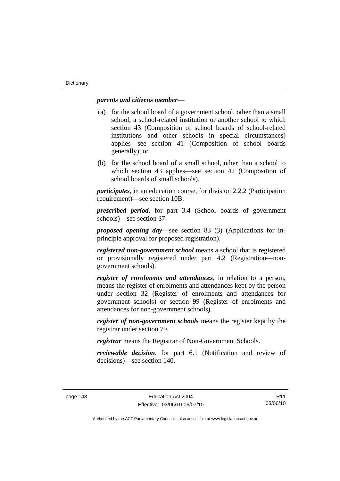## *parents and citizens member*—

- (a) for the school board of a government school, other than a small school, a school-related institution or another school to which section 43 (Composition of school boards of school-related institutions and other schools in special circumstances) applies—see section 41 (Composition of school boards generally); or
- (b) for the school board of a small school, other than a school to which section 43 applies—see section 42 (Composition of school boards of small schools).

*participates*, in an education course, for division 2.2.2 (Participation requirement)—see section 10B.

*prescribed period*, for part 3.4 (School boards of government schools)—see section 37.

*proposed opening day*—see section 83 (3) (Applications for inprinciple approval for proposed registration).

*registered non-government school* means a school that is registered or provisionally registered under part 4.2 (Registration—nongovernment schools).

*register of enrolments and attendances*, in relation to a person, means the register of enrolments and attendances kept by the person under section 32 (Register of enrolments and attendances for government schools) or section 99 (Register of enrolments and attendances for non-government schools).

*register of non-government schools* means the register kept by the registrar under section 79.

*registrar* means the Registrar of Non-Government Schools.

*reviewable decision*, for part 6.1 (Notification and review of decisions)—see section 140.

R11 03/06/10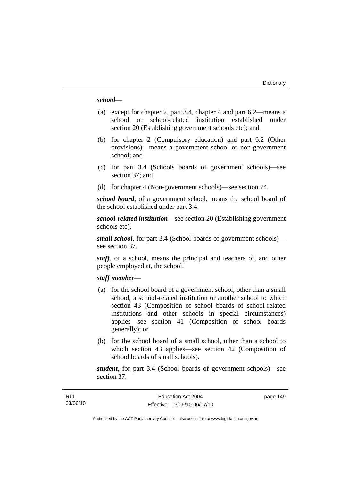## *school*—

- (a) except for chapter 2, part 3.4, chapter 4 and part 6.2—means a school or school-related institution established under section 20 (Establishing government schools etc); and
- (b) for chapter 2 (Compulsory education) and part 6.2 (Other provisions)—means a government school or non-government school; and
- (c) for part 3.4 (Schools boards of government schools)—see section 37; and
- (d) for chapter 4 (Non-government schools)—see section 74.

*school board*, of a government school, means the school board of the school established under part 3.4.

*school-related institution*—see section 20 (Establishing government schools etc).

*small school*, for part 3.4 (School boards of government schools) see section 37.

*staff*, of a school, means the principal and teachers of, and other people employed at, the school.

## *staff member*—

- (a) for the school board of a government school, other than a small school, a school-related institution or another school to which section 43 (Composition of school boards of school-related institutions and other schools in special circumstances) applies—see section 41 (Composition of school boards generally); or
- (b) for the school board of a small school, other than a school to which section 43 applies—see section 42 (Composition of school boards of small schools).

*student*, for part 3.4 (School boards of government schools)—see section 37.

page 149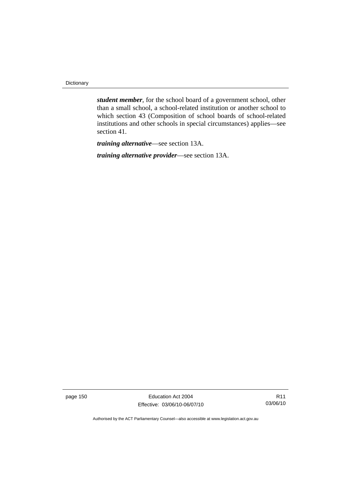Dictionary

*student member*, for the school board of a government school, other than a small school, a school-related institution or another school to which section 43 (Composition of school boards of school-related institutions and other schools in special circumstances) applies—see section 41.

*training alternative*—see section 13A.

*training alternative provider*—see section 13A.

page 150 **Education Act 2004** Effective: 03/06/10-06/07/10

R11 03/06/10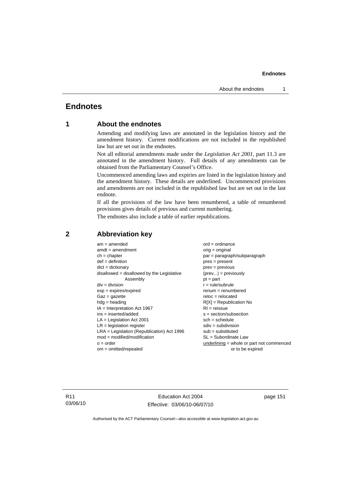# **Endnotes**

# **1 About the endnotes**

Amending and modifying laws are annotated in the legislation history and the amendment history. Current modifications are not included in the republished law but are set out in the endnotes.

Not all editorial amendments made under the *Legislation Act 2001*, part 11.3 are annotated in the amendment history. Full details of any amendments can be obtained from the Parliamentary Counsel's Office.

Uncommenced amending laws and expiries are listed in the legislation history and the amendment history. These details are underlined. Uncommenced provisions and amendments are not included in the republished law but are set out in the last endnote.

If all the provisions of the law have been renumbered, a table of renumbered provisions gives details of previous and current numbering.

The endnotes also include a table of earlier republications.

| $am = amended$                               | $ord = ordinance$                         |
|----------------------------------------------|-------------------------------------------|
| $amdt = amendment$                           | $orig = original$                         |
| $ch = chapter$                               | $par = paragraph/subparagraph$            |
| $def = definition$                           | $pres = present$                          |
| $dict = dictionary$                          | $prev = previous$                         |
| $disallowed = disallowed by the Legislative$ | $(\text{prev}) = \text{previously}$       |
| Assembly                                     | $pt = part$                               |
| $div = division$                             | $r = rule/subrule$                        |
| $exp = expires/expired$                      | $remum = renumbered$                      |
| $Gaz = gazette$                              | $reloc = relocated$                       |
| $hdg =$ heading                              | $R[X]$ = Republication No                 |
| $IA = Interpretation Act 1967$               | $RI = reissue$                            |
| $ins = inserted/added$                       | $s = section/subsection$                  |
| $LA =$ Legislation Act 2001                  | $sch = schedule$                          |
| $LR =$ legislation register                  | $sdiv = subdivision$                      |
| $LRA =$ Legislation (Republication) Act 1996 | $sub =$ substituted                       |
| $mod = modified/modification$                | SL = Subordinate Law                      |
| $o = order$                                  | underlining = whole or part not commenced |
| $om = omitted/report$                        | or to be expired                          |
|                                              |                                           |

## **2 Abbreviation key**

R11 03/06/10

Education Act 2004 Effective: 03/06/10-06/07/10 page 151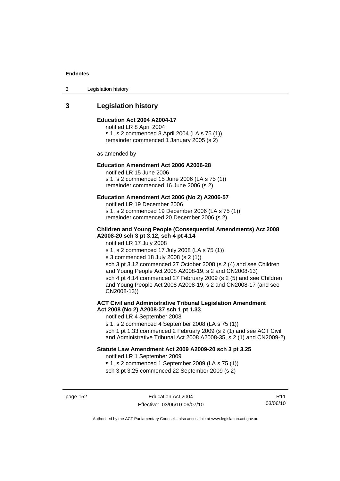3 Legislation history

# **3 Legislation history**

### **Education Act 2004 A2004-17**

notified LR 8 April 2004 s 1, s 2 commenced 8 April 2004 (LA s 75 (1)) remainder commenced 1 January 2005 (s 2)

as amended by

## **Education Amendment Act 2006 A2006-28**

notified LR 15 June 2006 s 1, s 2 commenced 15 June 2006 (LA s 75 (1)) remainder commenced 16 June 2006 (s 2)

### **Education Amendment Act 2006 (No 2) A2006-57**

notified LR 19 December 2006 s 1, s 2 commenced 19 December 2006 (LA s 75 (1)) remainder commenced 20 December 2006 (s 2)

### **Children and Young People (Consequential Amendments) Act 2008 A2008-20 sch 3 pt 3.12, sch 4 pt 4.14**

notified LR 17 July 2008

s 1, s 2 commenced 17 July 2008 (LA s 75 (1))

s 3 commenced 18 July 2008 (s 2 (1))

sch 3 pt 3.12 commenced 27 October 2008 (s 2 (4) and see Children and Young People Act 2008 A2008-19, s 2 and CN2008-13) sch 4 pt 4.14 commenced 27 February 2009 (s 2 (5) and see Children and Young People Act 2008 A2008-19, s 2 and CN2008-17 (and see CN2008-13))

## **ACT Civil and Administrative Tribunal Legislation Amendment Act 2008 (No 2) A2008-37 sch 1 pt 1.33**

notified LR 4 September 2008

s 1, s 2 commenced 4 September 2008 (LA s 75 (1)) sch 1 pt 1.33 commenced 2 February 2009 (s 2 (1) and see ACT Civil and Administrative Tribunal Act 2008 A2008-35, s 2 (1) and CN2009-2)

#### **Statute Law Amendment Act 2009 A2009-20 sch 3 pt 3.25**

notified LR 1 September 2009 s 1, s 2 commenced 1 September 2009 (LA s 75 (1)) sch 3 pt 3.25 commenced 22 September 2009 (s 2)

page 152 **Education Act 2004** Effective: 03/06/10-06/07/10

R11 03/06/10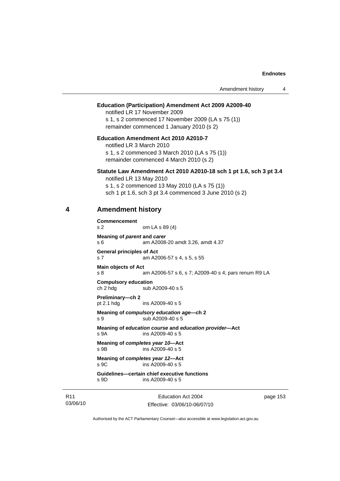| Amendment history |  |
|-------------------|--|
|                   |  |

### **Education (Participation) Amendment Act 2009 A2009-40**

notified LR 17 November 2009 s 1, s 2 commenced 17 November 2009 (LA s 75 (1)) remainder commenced 1 January 2010 (s 2)

**Education Amendment Act 2010 A2010-7**  notified LR 3 March 2010 s 1, s 2 commenced 3 March 2010 (LA s 75 (1))

remainder commenced 4 March 2010 (s 2)

#### **Statute Law Amendment Act 2010 A2010-18 sch 1 pt 1.6, sch 3 pt 3.4**

notified LR 13 May 2010 s 1, s 2 commenced 13 May 2010 (LA s 75 (1)) sch 1 pt 1.6, sch 3 pt 3.4 commenced 3 June 2010 (s 2)

# **4 Amendment history**

**Commencement**  s 2 om LA s 89 (4) **Meaning of** *parent* **and** *carer*  s 6 am A2008-20 amdt 3.26, amdt 4.37 **General principles of Act**  s 7 am A2006-57 s 4, s 5, s 55 **Main objects of Act**  s 8 am A2006-57 s 6, s 7; A2009-40 s 4; pars renum R9 LA **Compulsory education**  ch 2 hdg sub A2009-40 s 5 **Preliminary—ch 2**  pt 2.1 hdg ins A2009-40 s 5 **Meaning of** *compulsory education age***—ch 2**  s 9 sub A2009-40 s 5 **Meaning of** *education course* **and** *education provider***—Act**  s 9A ins A2009-40 s 5 **Meaning of** *completes year 10***—Act**  s 9B ins A2009-40 s 5 **Meaning of** *completes year 12***—Act**  s 9C ins A2009-40 s 5 **Guidelines—certain chief executive functions** 

s 9D ins A2009-40 s 5

R11 03/06/10

Education Act 2004 Effective: 03/06/10-06/07/10 page 153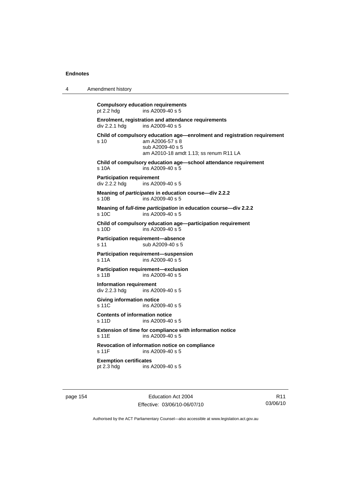4 Amendment history

| pt 2.2 hdg                                        | <b>Compulsory education requirements</b><br>ins A2009-40 s 5                                                                                              |
|---------------------------------------------------|-----------------------------------------------------------------------------------------------------------------------------------------------------------|
| div 2.2.1 hdg                                     | Enrolment, registration and attendance requirements<br>ins A2009-40 s 5                                                                                   |
| s 10                                              | Child of compulsory education age—enrolment and registration requirement<br>am A2006-57 s 8<br>sub A2009-40 s 5<br>am A2010-18 amdt 1.13; ss renum R11 LA |
| s 10A                                             | Child of compulsory education age-school attendance requirement<br>ins A2009-40 s 5                                                                       |
| <b>Participation requirement</b><br>div 2.2.2 hdg | ins $A2009-40 s 5$                                                                                                                                        |
| s 10B                                             | Meaning of participates in education course-div 2.2.2<br>ins A2009-40 s 5                                                                                 |
| s 10C                                             | Meaning of full-time participation in education course-div 2.2.2<br>ins A2009-40 s 5                                                                      |
| s 10D                                             | Child of compulsory education age-participation requirement<br>ins A2009-40 s 5                                                                           |
| s 11                                              | Participation requirement-absence<br>sub A2009-40 s 5                                                                                                     |
| s 11A                                             | Participation requirement-suspension<br>ins A2009-40 s 5                                                                                                  |
| s 11B                                             | Participation requirement-exclusion<br>ins A2009-40 s 5                                                                                                   |
| <b>Information requirement</b><br>div 2.2.3 hdg   | ins $A2009-40 s5$                                                                                                                                         |
| <b>Giving information notice</b><br>s 11C         | ins $A2009-40 s5$                                                                                                                                         |
| <b>Contents of information notice</b><br>s 11D    | ins A2009-40 s 5                                                                                                                                          |
| s 11E                                             | Extension of time for compliance with information notice<br>ins A2009-40 s 5                                                                              |
| s 11F                                             | Revocation of information notice on compliance<br>ins A2009-40 s 5                                                                                        |
| <b>Exemption certificates</b><br>pt 2.3 hdg       | ins A2009-40 s 5                                                                                                                                          |
|                                                   |                                                                                                                                                           |

page 154 Education Act 2004 Effective: 03/06/10-06/07/10

R11 03/06/10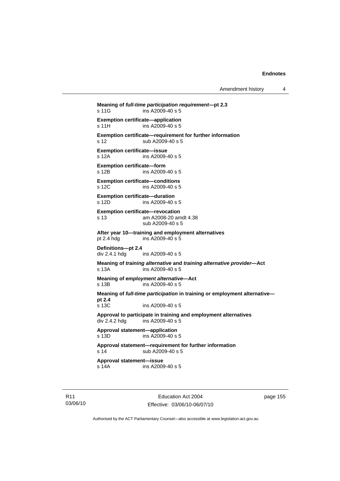Amendment history 4

```
Meaning of full-time participation requirement—pt 2.3 
s 11G ins A2009-40 s 5
Exemption certificate—application 
s 11H ins A2009-40 s 5
Exemption certificate—requirement for further information 
s 12 sub A2009-40 s 5 
Exemption certificate—issue 
s 12A ins A2009-40 s 5 
Exemption certificate—form 
                ins A2009-40 s 5
Exemption certificate—conditions 
s 12C ins A2009-40 s 5 
Exemption certificate—duration 
s 12D ins A2009-40 s 5 
Exemption certificate—revocation 
s 13 am A2008-20 amdt 4.38 
                 sub A2009-40 s 5 
After year 10—training and employment alternatives 
pt 2.4 hdg ins A2009-40 s 5 
Definitions—pt 2.4 
                ins A2009-40 s 5
Meaning of training alternative and training alternative provider—Act 
s 13A ins A2009-40 s 5 
Meaning of employment alternative—Act s 13B ins A2009-40 <b>s 5
                \sim ins A2009-40 s 5
Meaning of full-time participation in training or employment alternative—
pt 2.4 
s 13C ins A2009-40 s 5 
Approval to participate in training and employment alternatives 
div 2.4.2 hdg ins A2009-40 s 5 
Approval statement—application 
s 13D ins A2009-40 s 5 
Approval statement—requirement for further information 
s 14 sub A2009-40 s 5
Approval statement—issue 
s 14A ins A2009-40 s 5
```
Education Act 2004 Effective: 03/06/10-06/07/10 page 155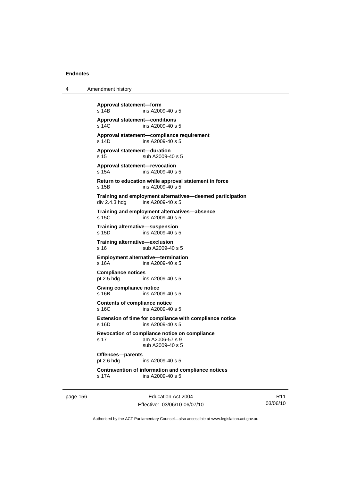4 Amendment history

**Approval statement—form**  ins A2009-40 s 5 **Approval statement—conditions**  s 14C ins A2009-40 s 5 **Approval statement—compliance requirement**  s 14D ins A2009-40 s 5 **Approval statement—duration**  s 15 sub A2009-40 s 5 **Approval statement—revocation**  s 15A ins A2009-40 s 5 **Return to education while approval statement in force**  s 15B ins A2009-40 s 5 **Training and employment alternatives—deemed participation**  div 2.4.3 hdg ins A2009-40 s 5 **Training and employment alternatives—absence**  s 15C ins A2009-40 s 5 **Training alternative—suspension**  s 15D ins A2009-40 s 5 **Training alternative—exclusion**  s 16 sub A2009-40 s 5 **Employment alternative—termination**  s 16A ins A2009-40 s 5 **Compliance notices**  pt 2.5 hdg ins A2009-40 s 5 **Giving compliance notice**  s 16B ins A2009-40 s 5 **Contents of compliance notice**  s 16C ins A2009-40 s 5 **Extension of time for compliance with compliance notice**  s 16D ins A2009-40 s 5 **Revocation of compliance notice on compliance**  s 17 am A2006-57 s 9 sub A2009-40 s 5 **Offences—parents**  pt 2.6 hdg ins A2009-40 s 5 **Contravention of information and compliance notices**  s 17A ins A2009-40 s 5

page 156 **Education Act 2004** Effective: 03/06/10-06/07/10

R11 03/06/10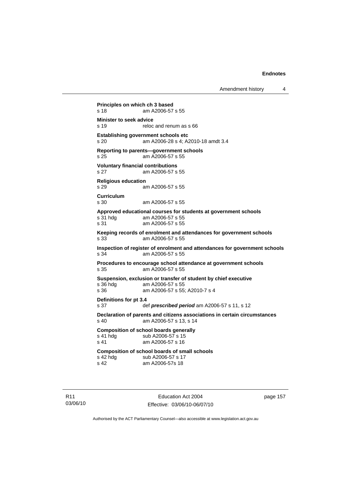Amendment history 4

**Principles on which ch 3 based**  s 18 am A2006-57 s 55 **Minister to seek advice**<br>s 19 reloc reloc and renum as s 66 **Establishing government schools etc**  s 20 am A2006-28 s 4; A2010-18 amdt 3.4 **Reporting to parents—government schools**  s 25 am A2006-57 s 55 **Voluntary financial contributions**  s 27 am A2006-57 s 55 **Religious education**  s 29 am A2006-57 s 55 **Curriculum**  s 30 am A2006-57 s 55 **Approved educational courses for students at government schools**  s 31 hdg am A2006-57 s 55<br>s 31 am A2006-57 s 55 am A2006-57 s 55 **Keeping records of enrolment and attendances for government schools**  s 33 am A2006-57 s 55 **Inspection of register of enrolment and attendances for government schools**  s 34 am A2006-57 s 55 **Procedures to encourage school attendance at government schools**  s 35 am A2006-57 s 55 **Suspension, exclusion or transfer of student by chief executive**  s 36 hdg am A2006-57 s 55<br>s 36 am A2006-57 s 55 am A2006-57 s 55; A2010-7 s 4 **Definitions for pt 3.4**  s 37 def *prescribed period* am A2006-57 s 11, s 12 **Declaration of parents and citizens associations in certain circumstances**  s 40 am A2006-57 s 13, s 14 **Composition of school boards generally**<br>s 41 hdg sub A2006-57 s 15 s 41 hdg sub A2006-57 s 15<br>s 41 am A2006-57 s 16 am A2006-57 s 16 **Composition of school boards of small schools**  s 42 hdg sub A2006-57 s 17<br>s 42 s 42 s 42 s 48 am A2006-57s 18

R11 03/06/10

Education Act 2004 Effective: 03/06/10-06/07/10 page 157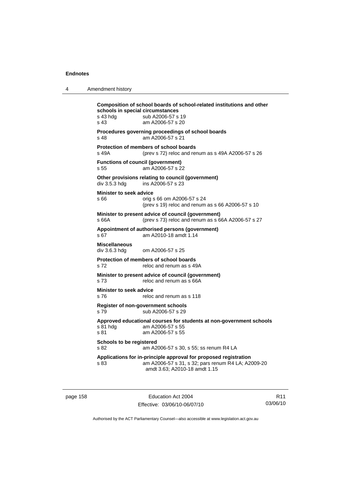4 Amendment history

| s 43 hdg<br>s 43                      | Composition of school boards of school-related institutions and other<br>schools in special circumstances<br>sub A2006-57 s 19<br>am A2006-57 s 20      |
|---------------------------------------|---------------------------------------------------------------------------------------------------------------------------------------------------------|
| s 48                                  | Procedures governing proceedings of school boards<br>am A2006-57 s 21                                                                                   |
| s 49A                                 | Protection of members of school boards<br>(prev s $72$ ) reloc and renum as s $49A$ A2006-57 s $26$                                                     |
| s 55                                  | <b>Functions of council (government)</b><br>am A2006-57 s 22                                                                                            |
| div 3.5.3 hdg                         | Other provisions relating to council (government)<br>ins A2006-57 s 23                                                                                  |
| Minister to seek advice<br>s 66       | orig s 66 om A2006-57 s 24<br>(prev s 19) reloc and renum as s 66 A2006-57 s 10                                                                         |
| s 66A                                 | Minister to present advice of council (government)<br>(prev s 73) reloc and renum as s 66A A2006-57 s 27                                                |
| s 67                                  | Appointment of authorised persons (government)<br>am A2010-18 amdt 1.14                                                                                 |
| <b>Miscellaneous</b><br>div 3.6.3 hdg | om A2006-57 s 25                                                                                                                                        |
| s 72                                  | Protection of members of school boards<br>reloc and renum as s 49A                                                                                      |
| s 73                                  | Minister to present advice of council (government)<br>reloc and renum as s 66A                                                                          |
| Minister to seek advice<br>s 76       | reloc and renum as s 118                                                                                                                                |
| s 79                                  | Register of non-government schools<br>sub A2006-57 s 29                                                                                                 |
| s 81 hda<br>s 81                      | Approved educational courses for students at non-government schools<br>am A2006-57 s 55<br>am A2006-57 s 55                                             |
| Schools to be registered<br>s 82      | am A2006-57 s 30, s 55; ss renum R4 LA                                                                                                                  |
| s 83                                  | Applications for in-principle approval for proposed registration<br>am A2006-57 s 31, s 32; pars renum R4 LA; A2009-20<br>amdt 3.63; A2010-18 amdt 1.15 |

page 158 extending the Education Act 2004 Effective: 03/06/10-06/07/10

R11 03/06/10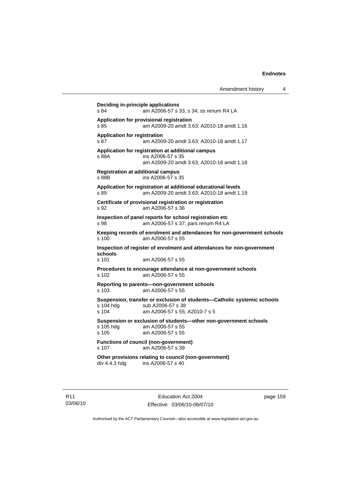**Deciding in-principle applications**  s 84 am A2006-57 s 33, s 34; ss renum R4 LA **Application for provisional registration**  s 85 am A2009-20 amdt 3.63; A2010-18 amdt 1.16 **Application for registration**  s 87 am A2009-20 amdt 3.63; A2010-18 amdt 1.17 **Application for registration at additional campus**  s 88A ins A2006-57 s 35 am A2009-20 amdt 3.63; A2010-18 amdt 1.18 **Registration at additional campus**  s 88B ins A2006-57 s 35 **Application for registration at additional educational levels**  s 89 am A2009-20 amdt 3.63; A2010-18 amdt 1.19 **Certificate of provisional registration or registration**  s 92 am A2006-57 s 36 **Inspection of panel reports for school registration etc**  s 98 am A2006-57 s 37; pars renum R4 LA **Keeping records of enrolment and attendances for non-government schools**  s 100 am A2006-57 s 55 **Inspection of register of enrolment and attendances for non-government schools**<br>s 101 am A2006-57 s 55 **Procedures to encourage attendance at non-government schools**  s 102 am A2006-57 s 55 **Reporting to parents—non-government schools**  s 103 am A2006-57 s 55 **Suspension, transfer or exclusion of students—Catholic systemic schools**  s 104 hdg sub A2006-57 s 38<br>s 104 am A2006-57 s 55: am A2006-57 s 55; A2010-7 s 5 **Suspension or exclusion of students—other non-government schools**  s 105 hdg am A2006-57 s 55 s 105 am A2006-57 s 55 **Functions of council (non-government)**  s 107 am A2006-57 s 39 **Other provisions relating to council (non-government)**  div 4.4.3 hdg ins A2006-57 s 40

R11 03/06/10

Education Act 2004 Effective: 03/06/10-06/07/10 page 159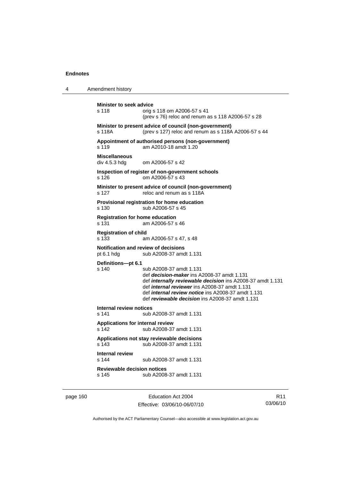4 Amendment history **Minister to seek advice**  s 118 orig s 118 om A2006-57 s 41 (prev s 76) reloc and renum as s 118 A2006-57 s 28 **Minister to present advice of council (non-government)**  s 118A (prev s 127) reloc and renum as s 118A A2006-57 s 44 **Appointment of authorised persons (non-government)**  s 119 am A2010-18 amdt 1.20 **Miscellaneous**  om A2006-57 s 42 **Inspection of register of non-government schools**  s 126 om A2006-57 s 43 **Minister to present advice of council (non-government)**  s 127 reloc and renum as s 118A **Provisional registration for home education**  s 130 sub A2006-57 s 45 **Registration for home education**  s 131 am A2006-57 s 46 **Registration of child**  s 133 am A2006-57 s 47, s 48 **Notification and review of decisions**<br>pt 6.1 hdg sub A2008-37 amo sub A2008-37 amdt 1.131 **Definitions***—***pt 6.1**  s 140 sub A2008-37 amdt 1.131 def *decision-maker* ins A2008-37 amdt 1.131 def *internally reviewable decision* ins A2008-37 amdt 1.131 def *internal reviewer* ins A2008-37 amdt 1.131 def *internal review notice* ins A2008-37 amdt 1.131 def *reviewable decision* ins A2008-37 amdt 1.131 **Internal review notices**  s 141 sub A2008-37 amdt 1.131 **Applications for internal review**  s 142 sub A2008-37 amdt 1.131 **Applications not stay reviewable decisions**  s 143 sub A2008-37 amdt 1.131 **Internal review**  sub A2008-37 amdt 1.131 **Reviewable decision notices**  s 145 sub A2008-37 amdt 1.131

page 160 Education Act 2004 Effective: 03/06/10-06/07/10

R11 03/06/10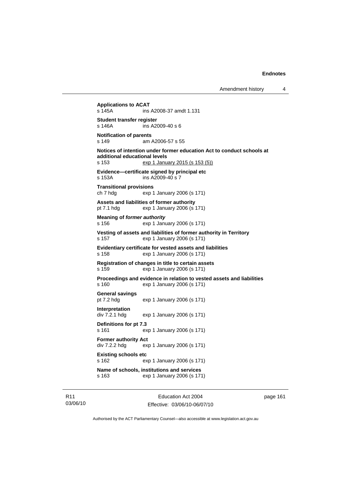**Applications to ACAT**  ins A2008-37 amdt 1.131 **Student transfer register**  s 146A ins A2009-40 s 6 **Notification of parents**  s 149 am A2006-57 s 55 **Notices of intention under former education Act to conduct schools at additional educational levels**  s 153 exp 1 January 2015 (s 153 (5)) **Evidence—certificate signed by principal etc**  s 153A ins A2009-40 s 7 **Transitional provisions**  ch 7 hdg exp 1 January 2006 (s 171) **Assets and liabilities of former authority**  pt 7.1 hdg exp 1 January 2006 (s 171) **Meaning of** *former authority* s 156 exp 1 January 2006 (s 171) **Vesting of assets and liabilities of former authority in Territory**  s 157 exp 1 January 2006 (s 171) **Evidentiary certificate for vested assets and liabilities**  s 158 exp 1 January 2006 (s 171) **Registration of changes in title to certain assets**  s 159 exp 1 January 2006 (s 171) **Proceedings and evidence in relation to vested assets and liabilities**  s 160 exp 1 January 2006 (s 171) **General savings**  pt 7.2 hdg exp 1 January 2006 (s 171) **Interpretation**  div 7.2.1 hdg exp 1 January 2006 (s 171) **Definitions for pt 7.3**  s 161 exp 1 January 2006 (s 171) **Former authority Act**  div 7.2.2 hdg exp 1 January 2006 (s 171) **Existing schools etc**  s 162 exp 1 January 2006 (s 171) **Name of schools, institutions and services**  s 163 exp 1 January 2006 (s 171)

R11 03/06/10

Education Act 2004 Effective: 03/06/10-06/07/10 page 161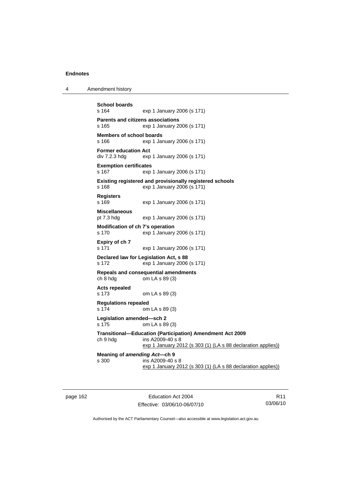4 Amendment history

```
School boards 
                exp 1 January 2006 (s 171)
Parents and citizens associations 
s 165 exp 1 January 2006 (s 171) 
Members of school boards 
s 166 exp 1 January 2006 (s 171) 
Former education Act 
div 7.2.3 hdg exp 1 January 2006 (s 171) 
Exemption certificates 
s 167 exp 1 January 2006 (s 171) 
Existing registered and provisionally registered schools 
s 168 exp 1 January 2006 (s 171) 
Registers 
s 169 exp 1 January 2006 (s 171) 
Miscellaneous 
pt 7.3 hdg exp 1 January 2006 (s 171) 
Modification of ch 7's operation 
s 170 exp 1 January 2006 (s 171) 
Expiry of ch 7 
s 171 exp 1 January 2006 (s 171) 
Declared law for Legislation Act, s 88 
s 172 exp 1 January 2006 (s 171) 
Repeals and consequential amendments 
ch 8 hdg om LA s 89 (3) 
Acts repealed 
s 173 om LA s 89 (3) 
Regulations repealed 
s 174 om LA s 89 (3) 
Legislation amended—sch 2 
s 175 om LA s 89 (3) 
Transitional—Education (Participation) Amendment Act 2009 
ch 9 hdg ins A2009-40 s 8 
                exp 1 January 2012 (s 303 (1) (LA s 88 declaration applies))
Meaning of amending Act—ch 9 
s 300 ins A2009-40 s 8 
                 exp 1 January 2012 (s 303 (1) (LA s 88 declaration applies))
```
page 162 Education Act 2004 Effective: 03/06/10-06/07/10

R11 03/06/10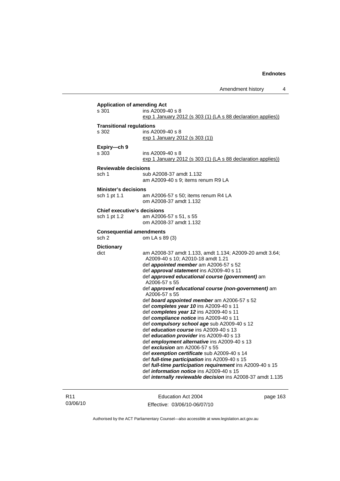Amendment history 4

| s 301                              | ins A2009-40 s 8<br>exp 1 January 2012 (s 303 (1) (LA s 88 declaration applies))             |
|------------------------------------|----------------------------------------------------------------------------------------------|
| <b>Transitional regulations</b>    |                                                                                              |
| s 302                              | ins A2009-40 s 8                                                                             |
|                                    | exp 1 January 2012 (s 303 (1))                                                               |
| Expiry-ch 9                        |                                                                                              |
| s 303                              | ins A2009-40 s 8                                                                             |
|                                    | exp 1 January 2012 (s 303 (1) (LA s 88 declaration applies))                                 |
| <b>Reviewable decisions</b>        |                                                                                              |
| sch 1                              | sub A2008-37 amdt 1.132                                                                      |
|                                    | am A2009-40 s 9; items renum R9 LA                                                           |
|                                    |                                                                                              |
| <b>Minister's decisions</b>        |                                                                                              |
| sch 1 pt 1.1                       | am A2006-57 s 50; items renum R4 LA<br>om A2008-37 amdt 1.132                                |
|                                    |                                                                                              |
| <b>Chief executive's decisions</b> |                                                                                              |
| sch 1 pt 1.2                       | am A2006-57 s 51, s 55<br>om A2008-37 amdt 1.132                                             |
|                                    |                                                                                              |
| <b>Consequential amendments</b>    |                                                                                              |
| sch <sub>2</sub>                   | om LA s 89 (3)                                                                               |
| <b>Dictionary</b>                  |                                                                                              |
| dict                               | am A2008-37 amdt 1.133, amdt 1.134; A2009-20 amdt 3.64;                                      |
|                                    | A2009-40 s 10; A2010-18 amdt 1.21                                                            |
|                                    | def appointed member am A2006-57 s 52                                                        |
|                                    | def approval statement ins A2009-40 s 11                                                     |
|                                    | def approved educational course (government) am                                              |
|                                    | A2006-57 s 55                                                                                |
|                                    | def approved educational course (non-government) am<br>A2006-57 s 55                         |
|                                    | def board appointed member am A2006-57 s 52                                                  |
|                                    | def completes year 10 ins A2009-40 s 11                                                      |
|                                    | def completes year 12 ins A2009-40 s 11                                                      |
|                                    | def compliance notice ins A2009-40 s 11                                                      |
|                                    | def compulsory school age sub A2009-40 s 12                                                  |
|                                    | def education course ins A2009-40 s 13                                                       |
|                                    | def education provider ins A2009-40 s 13                                                     |
|                                    | def employment alternative ins A2009-40 s 13                                                 |
|                                    | def exclusion am A2006-57 s 55                                                               |
|                                    | def exemption certificate sub A2009-40 s 14<br>def full-time participation ins A2009-40 s 15 |
|                                    | def full-time participation requirement ins A2009-40 s 15                                    |
|                                    | def <i>information notice</i> ins A2009-40 s 15                                              |
|                                    |                                                                                              |

R11 03/06/10

Education Act 2004 Effective: 03/06/10-06/07/10 page 163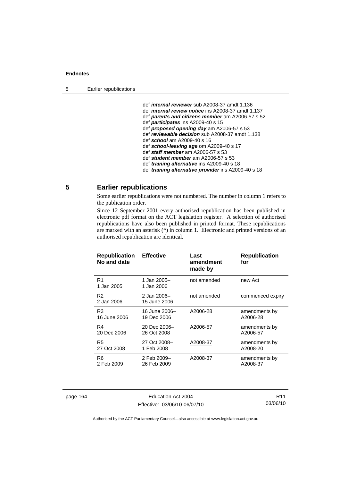def *internal reviewer* sub A2008-37 amdt 1.136 def *internal review notice* ins A2008-37 amdt 1.137 def *parents and citizens member* am A2006-57 s 52 def *participates* ins A2009-40 s 15 def *proposed opening day* am A2006-57 s 53 def *reviewable decision* sub A2008-37 amdt 1.138 def *school* am A2009-40 s 16 def *school-leaving age* om A2009-40 s 17 def *staff member* am A2006-57 s 53 def *student member* am A2006-57 s 53 def *training alternative* ins A2009-40 s 18 def *training alternative provider* ins A2009-40 s 18

# **5 Earlier republications**

Some earlier republications were not numbered. The number in column 1 refers to the publication order.

Since 12 September 2001 every authorised republication has been published in electronic pdf format on the ACT legislation register. A selection of authorised republications have also been published in printed format. These republications are marked with an asterisk (\*) in column 1. Electronic and printed versions of an authorised republication are identical.

| <b>Republication</b><br>No and date | <b>Effective</b>            | Last<br>amendment<br>made by | <b>Republication</b><br>for |
|-------------------------------------|-----------------------------|------------------------------|-----------------------------|
| R1<br>1 Jan 2005                    | 1 Jan 2005-<br>1 Jan 2006   | not amended                  | new Act                     |
| R <sub>2</sub><br>2 Jan 2006        | 2 Jan 2006-<br>15 June 2006 | not amended                  | commenced expiry            |
| R3                                  | 16 June 2006–               | A2006-28                     | amendments by               |
| 16 June 2006                        | 19 Dec 2006                 |                              | A2006-28                    |
| R4                                  | 20 Dec 2006-                | A2006-57                     | amendments by               |
| 20 Dec 2006                         | 26 Oct 2008                 |                              | A2006-57                    |
| R5                                  | 27 Oct 2008-                | A2008-37                     | amendments by               |
| 27 Oct 2008                         | 1 Feb 2008                  |                              | A2008-20                    |
| R6                                  | 2 Feb 2009-                 | A2008-37                     | amendments by               |
| 2 Feb 2009                          | 26 Feb 2009                 |                              | A2008-37                    |

page 164 Education Act 2004 Effective: 03/06/10-06/07/10

R11 03/06/10